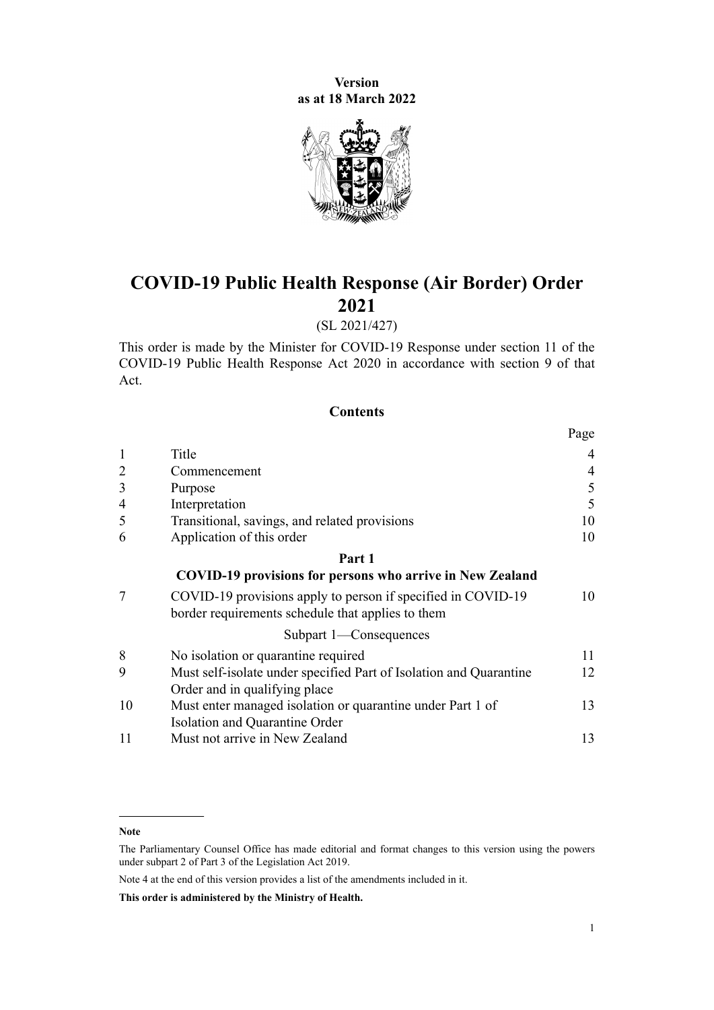**Version as at 18 March 2022**



# **COVID-19 Public Health Response (Air Border) Order 2021**

# (SL 2021/427)

This order is made by the Minister for COVID-19 Response under [section 11](http://legislation.govt.nz/pdflink.aspx?id=LMS344177) of the [COVID-19 Public Health Response Act 2020](http://legislation.govt.nz/pdflink.aspx?id=LMS344121) in accordance with [section 9](http://legislation.govt.nz/pdflink.aspx?id=LMS344175) of that Act.

#### **Contents**

|                |                                                                                                                   | Page |
|----------------|-------------------------------------------------------------------------------------------------------------------|------|
| $\mathbf{1}$   | Title                                                                                                             | 4    |
| $\overline{2}$ | Commencement                                                                                                      | 4    |
| 3              | Purpose                                                                                                           | 5    |
| $\overline{4}$ | Interpretation                                                                                                    | 5    |
| 5              | Transitional, savings, and related provisions                                                                     | 10   |
| 6              | Application of this order                                                                                         | 10   |
|                | Part 1                                                                                                            |      |
|                | <b>COVID-19 provisions for persons who arrive in New Zealand</b>                                                  |      |
| 7              | COVID-19 provisions apply to person if specified in COVID-19<br>border requirements schedule that applies to them | 10   |
|                | Subpart 1-Consequences                                                                                            |      |
| 8              | No isolation or quarantine required                                                                               | 11   |
| 9              | Must self-isolate under specified Part of Isolation and Quarantine                                                | 12   |
|                | Order and in qualifying place                                                                                     |      |
| 10             | Must enter managed isolation or quarantine under Part 1 of                                                        | 13   |
|                | Isolation and Quarantine Order                                                                                    |      |
| 11             | Must not arrive in New Zealand                                                                                    | 13   |

Note 4 at the end of this version provides a list of the amendments included in it.

**This order is administered by the Ministry of Health.**

**Note**

The Parliamentary Counsel Office has made editorial and format changes to this version using the powers under [subpart 2](http://legislation.govt.nz/pdflink.aspx?id=DLM7298371) of Part 3 of the Legislation Act 2019.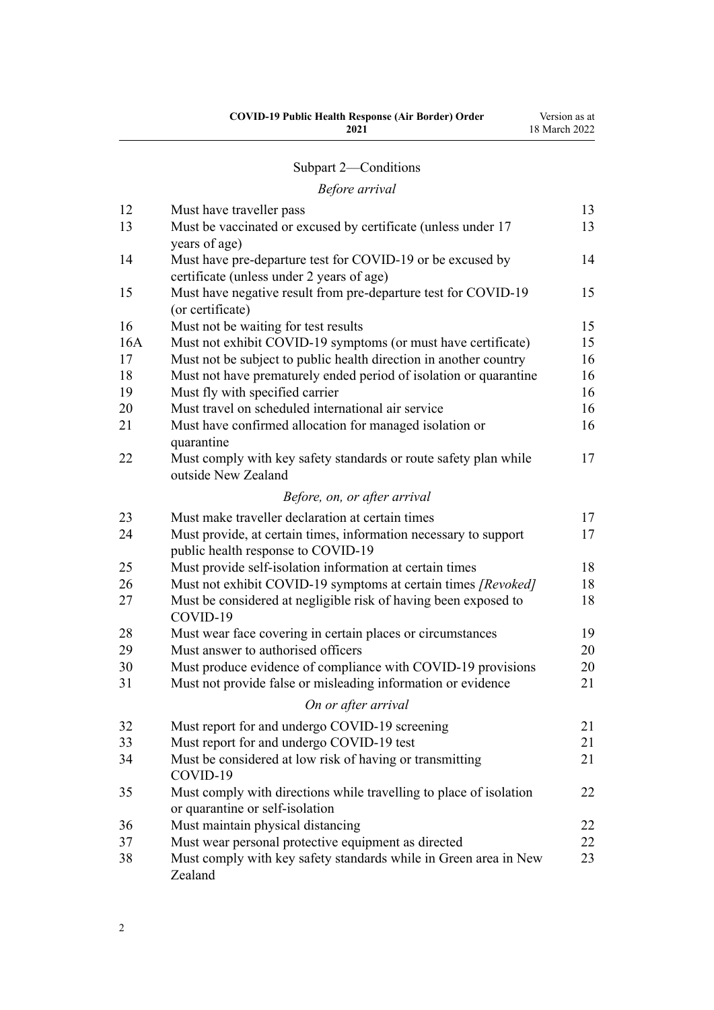| <b>COVID-19 Public Health Response (Air Border) Order</b> | Version as at |
|-----------------------------------------------------------|---------------|
| 2021                                                      | 18 March 2022 |
|                                                           |               |

# [Subpart 2—Conditions](#page-12-0)

# *[Before arrival](#page-12-0)*

| 12  | Must have traveller pass                                                                               | 13 |
|-----|--------------------------------------------------------------------------------------------------------|----|
| 13  | Must be vaccinated or excused by certificate (unless under 17<br>years of age)                         | 13 |
| 14  | Must have pre-departure test for COVID-19 or be excused by                                             | 14 |
|     | certificate (unless under 2 years of age)                                                              |    |
| 15  | Must have negative result from pre-departure test for COVID-19                                         | 15 |
|     | (or certificate)                                                                                       |    |
| 16  | Must not be waiting for test results                                                                   | 15 |
| 16A | Must not exhibit COVID-19 symptoms (or must have certificate)                                          | 15 |
| 17  | Must not be subject to public health direction in another country                                      | 16 |
| 18  | Must not have prematurely ended period of isolation or quarantine                                      | 16 |
| 19  | Must fly with specified carrier                                                                        | 16 |
| 20  | Must travel on scheduled international air service                                                     | 16 |
| 21  | Must have confirmed allocation for managed isolation or<br>quarantine                                  | 16 |
| 22  | Must comply with key safety standards or route safety plan while<br>outside New Zealand                | 17 |
|     | Before, on, or after arrival                                                                           |    |
| 23  | Must make traveller declaration at certain times                                                       | 17 |
| 24  | Must provide, at certain times, information necessary to support<br>public health response to COVID-19 | 17 |
| 25  | Must provide self-isolation information at certain times                                               | 18 |
| 26  | Must not exhibit COVID-19 symptoms at certain times [Revoked]                                          | 18 |
| 27  | Must be considered at negligible risk of having been exposed to<br>COVID-19                            | 18 |
| 28  | Must wear face covering in certain places or circumstances                                             | 19 |
| 29  | Must answer to authorised officers                                                                     | 20 |
| 30  | Must produce evidence of compliance with COVID-19 provisions                                           | 20 |
| 31  | Must not provide false or misleading information or evidence                                           | 21 |
|     | On or after arrival                                                                                    |    |
| 32  | Must report for and undergo COVID-19 screening                                                         | 21 |
| 33  | Must report for and undergo COVID-19 test                                                              | 21 |
| 34  | Must be considered at low risk of having or transmitting                                               | 21 |
|     | COVID-19                                                                                               |    |
| 35  | Must comply with directions while travelling to place of isolation<br>or quarantine or self-isolation  | 22 |
| 36  | Must maintain physical distancing                                                                      | 22 |
| 37  | Must wear personal protective equipment as directed                                                    | 22 |
| 38  | Must comply with key safety standards while in Green area in New<br>Zealand                            | 23 |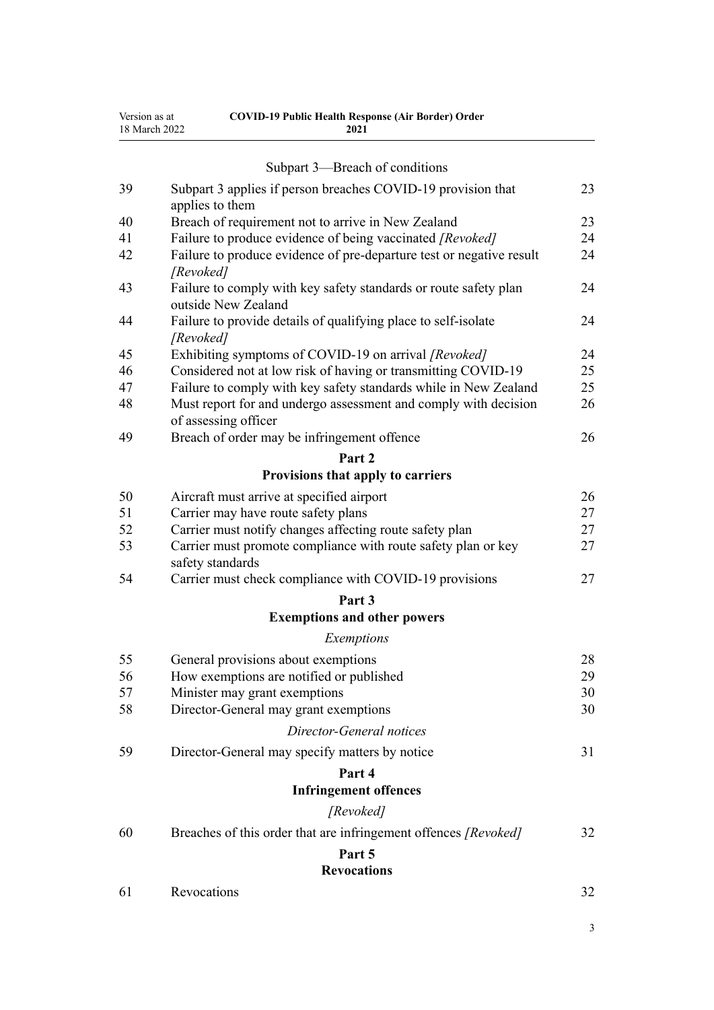|    | Subpart 3—Breach of conditions                                                          |    |
|----|-----------------------------------------------------------------------------------------|----|
| 39 | Subpart 3 applies if person breaches COVID-19 provision that<br>applies to them         | 23 |
| 40 | Breach of requirement not to arrive in New Zealand                                      | 23 |
| 41 | Failure to produce evidence of being vaccinated [Revoked]                               | 24 |
| 42 | Failure to produce evidence of pre-departure test or negative result<br>[Revoked]       | 24 |
| 43 | Failure to comply with key safety standards or route safety plan<br>outside New Zealand | 24 |
| 44 | Failure to provide details of qualifying place to self-isolate<br>[Revoked]             | 24 |
| 45 | Exhibiting symptoms of COVID-19 on arrival [Revoked]                                    | 24 |
| 46 | Considered not at low risk of having or transmitting COVID-19                           | 25 |
| 47 | Failure to comply with key safety standards while in New Zealand                        | 25 |
| 48 | Must report for and undergo assessment and comply with decision<br>of assessing officer | 26 |
| 49 | Breach of order may be infringement offence                                             | 26 |
|    | Part 2                                                                                  |    |
|    | Provisions that apply to carriers                                                       |    |
| 50 | Aircraft must arrive at specified airport                                               | 26 |
| 51 | Carrier may have route safety plans                                                     | 27 |
| 52 | Carrier must notify changes affecting route safety plan                                 | 27 |
| 53 | Carrier must promote compliance with route safety plan or key<br>safety standards       | 27 |
| 54 | Carrier must check compliance with COVID-19 provisions                                  | 27 |
|    | Part 3                                                                                  |    |
|    | <b>Exemptions and other powers</b>                                                      |    |
|    | Exemptions                                                                              |    |
| 55 | General provisions about exemptions                                                     | 28 |
| 56 | How exemptions are notified or published                                                | 29 |
| 57 | Minister may grant exemptions                                                           | 30 |
| 58 | Director-General may grant exemptions                                                   | 30 |
|    | Director-General notices                                                                |    |
| 59 | Director-General may specify matters by notice                                          | 31 |
|    | Part 4                                                                                  |    |
|    | <b>Infringement offences</b>                                                            |    |
|    | [Revoked]                                                                               |    |
| 60 | Breaches of this order that are infringement offences [Revoked]                         | 32 |
|    | Part 5                                                                                  |    |
|    | <b>Revocations</b>                                                                      |    |
| 61 | Revocations                                                                             | 32 |

**COVID-19 Public Health Response (Air Border) Order 2021**

Version as at 18 March 2022

3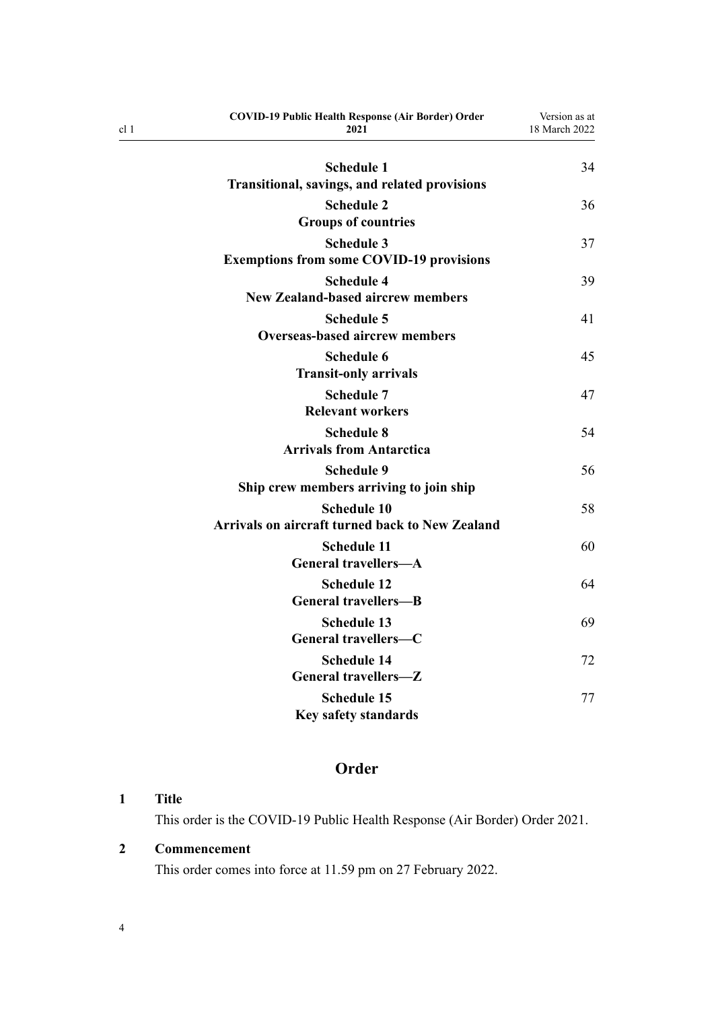| <b>COVID-19 Public Health Response (Air Border) Order</b><br>2021 | Version as at<br>18 March 2022 |
|-------------------------------------------------------------------|--------------------------------|
| <b>Schedule 1</b>                                                 | 34                             |
| Transitional, savings, and related provisions                     |                                |
| <b>Schedule 2</b>                                                 | 36                             |
| <b>Groups of countries</b>                                        |                                |
| <b>Schedule 3</b>                                                 | 37                             |
| <b>Exemptions from some COVID-19 provisions</b>                   |                                |
| <b>Schedule 4</b>                                                 | 39                             |
| <b>New Zealand-based aircrew members</b>                          |                                |
| <b>Schedule 5</b><br><b>Overseas-based aircrew members</b>        | 41                             |
| <b>Schedule 6</b>                                                 | 45                             |
| <b>Transit-only arrivals</b>                                      |                                |
| <b>Schedule 7</b>                                                 | 47                             |
| <b>Relevant workers</b>                                           |                                |
| <b>Schedule 8</b>                                                 | 54                             |
| <b>Arrivals from Antarctica</b>                                   |                                |
| <b>Schedule 9</b>                                                 | 56                             |
| Ship crew members arriving to join ship                           |                                |
| <b>Schedule 10</b>                                                | 58                             |
| <b>Arrivals on aircraft turned back to New Zealand</b>            |                                |
| <b>Schedule 11</b><br><b>General travellers-A</b>                 | 60                             |
| <b>Schedule 12</b>                                                | 64                             |
| <b>General travellers-B</b>                                       |                                |
| <b>Schedule 13</b>                                                | 69                             |
| General travellers-C                                              |                                |
| <b>Schedule 14</b>                                                | 72                             |
| General travellers-Z                                              |                                |
| <b>Schedule 15</b>                                                | 77                             |
| <b>Key safety standards</b>                                       |                                |

# **Order**

# **1 Title**

<span id="page-3-0"></span>cl 1

This order is the COVID-19 Public Health Response (Air Border) Order 2021.

# **2 Commencement**

This order comes into force at 11.59 pm on 27 February 2022.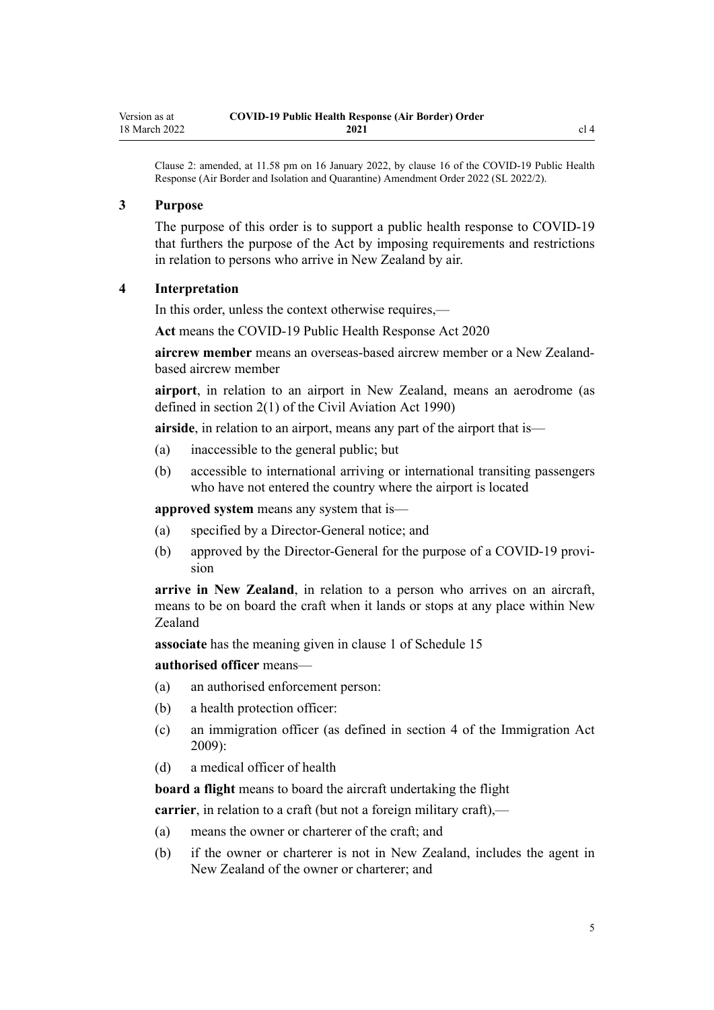<span id="page-4-0"></span>Clause 2: amended, at 11.58 pm on 16 January 2022, by [clause 16](http://legislation.govt.nz/pdflink.aspx?id=LMS629294) of the COVID-19 Public Health Response (Air Border and Isolation and Quarantine) Amendment Order 2022 (SL 2022/2).

#### **3 Purpose**

The purpose of this order is to support a public health response to COVID-19 that furthers the purpose of the Act by imposing requirements and restrictions in relation to persons who arrive in New Zealand by air.

#### **4 Interpretation**

In this order, unless the context otherwise requires,—

**Act** means the [COVID-19 Public Health Response Act 2020](http://legislation.govt.nz/pdflink.aspx?id=LMS344121)

**aircrew member** means an overseas-based aircrew member or a New Zealandbased aircrew member

**airport**, in relation to an airport in New Zealand, means an aerodrome (as defined in [section 2\(1\)](http://legislation.govt.nz/pdflink.aspx?id=DLM214692) of the Civil Aviation Act 1990)

**airside**, in relation to an airport, means any part of the airport that is—

- (a) inaccessible to the general public; but
- (b) accessible to international arriving or international transiting passengers who have not entered the country where the airport is located

**approved system** means any system that is—

- (a) specified by a Director-General notice; and
- (b) approved by the Director-General for the purpose of a COVID-19 provision

**arrive in New Zealand**, in relation to a person who arrives on an aircraft, means to be on board the craft when it lands or stops at any place within New Zealand

**associate** has the meaning given in [clause 1](#page-76-0) of Schedule 15

**authorised officer** means—

- (a) an authorised enforcement person:
- (b) a health protection officer:
- (c) an immigration officer (as defined in [section 4](http://legislation.govt.nz/pdflink.aspx?id=DLM1440311) of the Immigration Act 2009):
- (d) a medical officer of health

**board a flight** means to board the aircraft undertaking the flight

**carrier**, in relation to a craft (but not a foreign military craft),—

- (a) means the owner or charterer of the craft; and
- (b) if the owner or charterer is not in New Zealand, includes the agent in New Zealand of the owner or charterer; and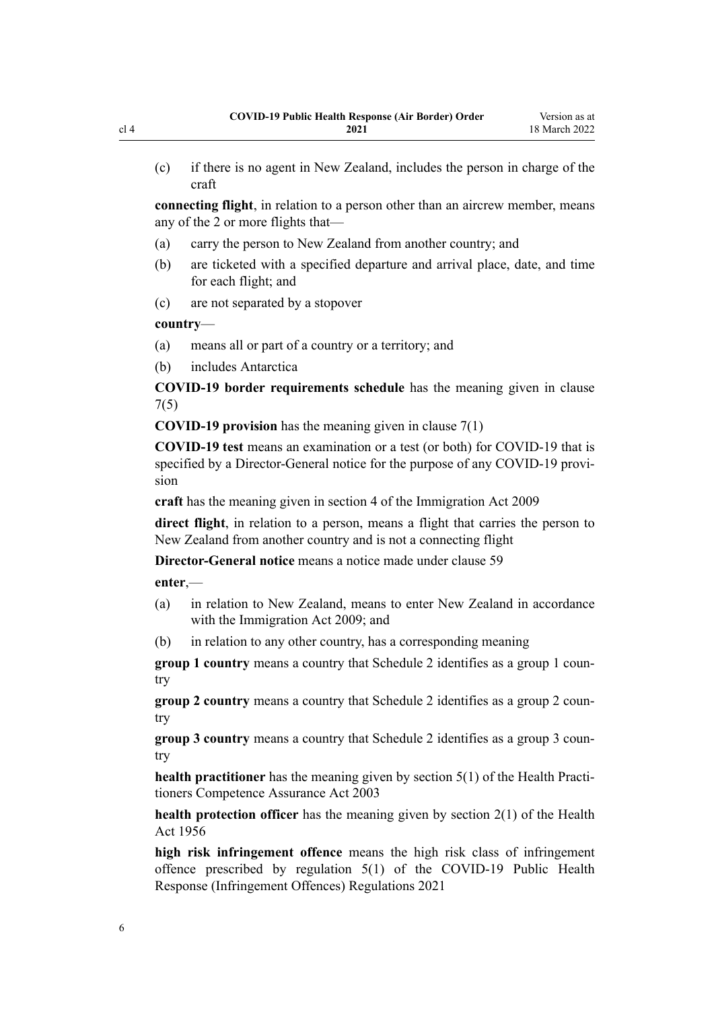(c) if there is no agent in New Zealand, includes the person in charge of the craft

**connecting flight**, in relation to a person other than an aircrew member, means any of the 2 or more flights that—

- (a) carry the person to New Zealand from another country; and
- (b) are ticketed with a specified departure and arrival place, date, and time for each flight; and
- (c) are not separated by a stopover

#### **country**—

- (a) means all or part of a country or a territory; and
- (b) includes Antarctica

**COVID-19 border requirements schedule** has the meaning given in [clause](#page-9-0) [7\(5\)](#page-9-0)

**COVID-19 provision** has the meaning given in [clause 7\(1\)](#page-9-0)

**COVID-19 test** means an examination or a test (or both) for COVID-19 that is specified by a Director-General notice for the purpose of any COVID-19 provision

**craft** has the meaning given in [section 4](http://legislation.govt.nz/pdflink.aspx?id=DLM1440311) of the Immigration Act 2009

**direct flight**, in relation to a person, means a flight that carries the person to New Zealand from another country and is not a connecting flight

**Director-General notice** means a notice made under [clause 59](#page-30-0)

**enter**,—

- (a) in relation to New Zealand, means to enter New Zealand in accordance with the [Immigration Act 2009](http://legislation.govt.nz/pdflink.aspx?id=DLM1440300); and
- (b) in relation to any other country, has a corresponding meaning

**group 1 country** means a country that [Schedule 2](#page-35-0) identifies as a group 1 country

**group 2 country** means a country that [Schedule 2](#page-35-0) identifies as a group 2 country

**group 3 country** means a country that [Schedule 2](#page-35-0) identifies as a group 3 country

**health practitioner** has the meaning given by [section 5\(1\)](http://legislation.govt.nz/pdflink.aspx?id=DLM203321) of the Health Practitioners Competence Assurance Act 2003

**health protection officer** has the meaning given by [section 2\(1\)](http://legislation.govt.nz/pdflink.aspx?id=DLM305845) of the Health Act 1956

**high risk infringement offence** means the high risk class of infringement offence prescribed by [regulation 5\(1\)](http://legislation.govt.nz/pdflink.aspx?id=LMS600713) of the COVID-19 Public Health Response (Infringement Offences) Regulations 2021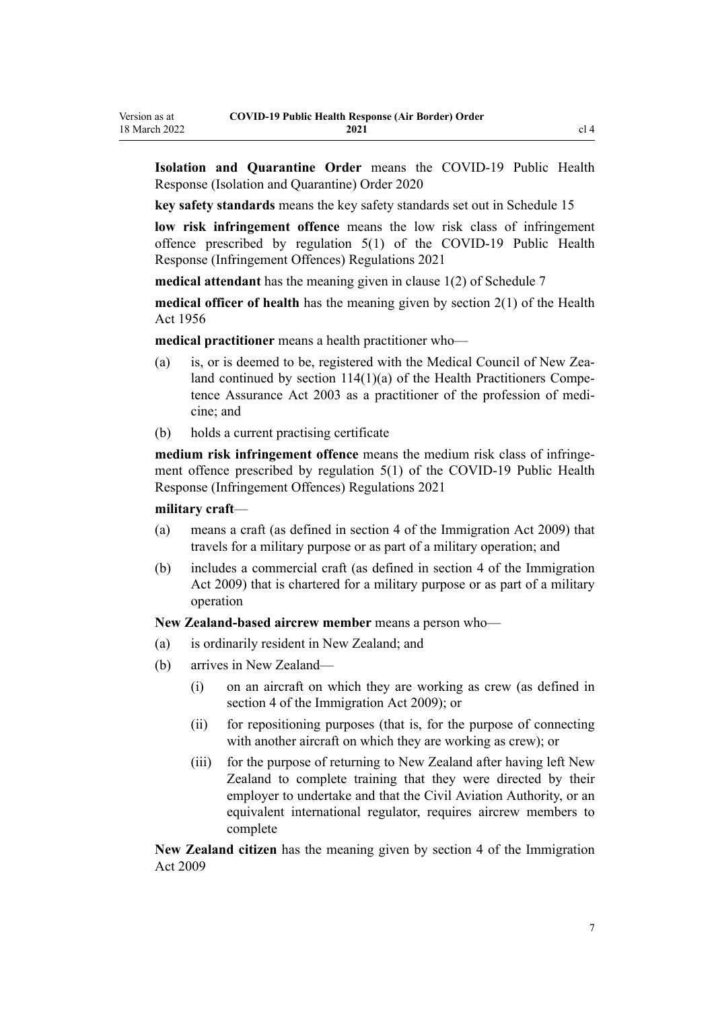**Isolation and Quarantine Order** means the [COVID-19 Public Health](http://legislation.govt.nz/pdflink.aspx?id=LMS401666) [Response \(Isolation and Quarantine\) Order 2020](http://legislation.govt.nz/pdflink.aspx?id=LMS401666)

**key safety standards** means the key safety standards set out in [Schedule 15](#page-76-0)

**low risk infringement offence** means the low risk class of infringement offence prescribed by [regulation 5\(1\)](http://legislation.govt.nz/pdflink.aspx?id=LMS600713) of the COVID-19 Public Health Response (Infringement Offences) Regulations 2021

**medical attendant** has the meaning given in [clause 1\(2\)](#page-46-0) of Schedule 7

**medical officer of health** has the meaning given by [section 2\(1\)](http://legislation.govt.nz/pdflink.aspx?id=DLM305845) of the Health Act 1956

**medical practitioner** means a health practitioner who—

- (a) is, or is deemed to be, registered with the Medical Council of New Zealand continued by section  $114(1)(a)$  of the Health Practitioners Competence Assurance Act 2003 as a practitioner of the profession of medi‐ cine; and
- (b) holds a current practising certificate

**medium risk infringement offence** means the medium risk class of infringement offence prescribed by [regulation 5\(1\)](http://legislation.govt.nz/pdflink.aspx?id=LMS600713) of the COVID-19 Public Health Response (Infringement Offences) Regulations 2021

#### **military craft**—

Version as at

- (a) means a craft (as defined in [section 4](http://legislation.govt.nz/pdflink.aspx?id=DLM1440311) of the Immigration Act 2009) that travels for a military purpose or as part of a military operation; and
- (b) includes a commercial craft (as defined in [section 4](http://legislation.govt.nz/pdflink.aspx?id=DLM1440311) of the Immigration Act 2009) that is chartered for a military purpose or as part of a military operation

**New Zealand-based aircrew member** means a person who—

- (a) is ordinarily resident in New Zealand; and
- (b) arrives in New Zealand—
	- (i) on an aircraft on which they are working as crew (as defined in [section 4](http://legislation.govt.nz/pdflink.aspx?id=DLM1440311) of the Immigration Act 2009); or
	- (ii) for repositioning purposes (that is, for the purpose of connecting with another aircraft on which they are working as crew); or
	- (iii) for the purpose of returning to New Zealand after having left New Zealand to complete training that they were directed by their employer to undertake and that the Civil Aviation Authority, or an equivalent international regulator, requires aircrew members to complete

**New Zealand citizen** has the meaning given by [section 4](http://legislation.govt.nz/pdflink.aspx?id=DLM1440311) of the Immigration Act 2009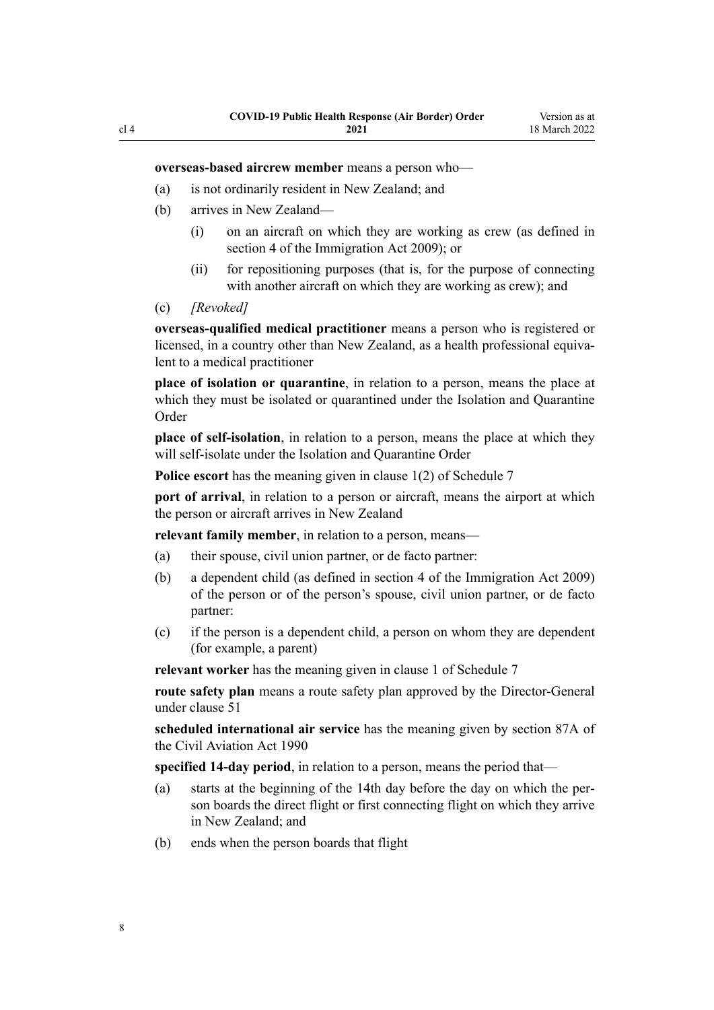**overseas-based aircrew member** means a person who—

- (a) is not ordinarily resident in New Zealand; and
- (b) arrives in New Zealand—
	- (i) on an aircraft on which they are working as crew (as defined in [section 4](http://legislation.govt.nz/pdflink.aspx?id=DLM1440311) of the Immigration Act 2009); or
	- (ii) for repositioning purposes (that is, for the purpose of connecting with another aircraft on which they are working as crew); and
- (c) *[Revoked]*

**overseas-qualified medical practitioner** means a person who is registered or licensed, in a country other than New Zealand, as a health professional equivalent to a medical practitioner

**place of isolation or quarantine**, in relation to a person, means the place at which they must be isolated or quarantined under the Isolation and Quarantine Order

**place of self-isolation**, in relation to a person, means the place at which they will self-isolate under the Isolation and Quarantine Order

**Police escort** has the meaning given in [clause 1\(2\)](#page-46-0) of Schedule 7

**port of arrival**, in relation to a person or aircraft, means the airport at which the person or aircraft arrives in New Zealand

**relevant family member**, in relation to a person, means—

- (a) their spouse, civil union partner, or de facto partner:
- (b) a dependent child (as defined in [section 4](http://legislation.govt.nz/pdflink.aspx?id=DLM1440311) of the Immigration Act 2009) of the person or of the person's spouse, civil union partner, or de facto partner:
- (c) if the person is a dependent child, a person on whom they are dependent (for example, a parent)

**relevant worker** has the meaning given in [clause 1](#page-46-0) of Schedule 7

**route safety plan** means a route safety plan approved by the Director-General under [clause 51](#page-26-0)

**scheduled international air service** has the meaning given by [section 87A](http://legislation.govt.nz/pdflink.aspx?id=DLM217812) of the Civil Aviation Act 1990

**specified 14-day period**, in relation to a person, means the period that—

- (a) starts at the beginning of the 14th day before the day on which the per‐ son boards the direct flight or first connecting flight on which they arrive in New Zealand; and
- (b) ends when the person boards that flight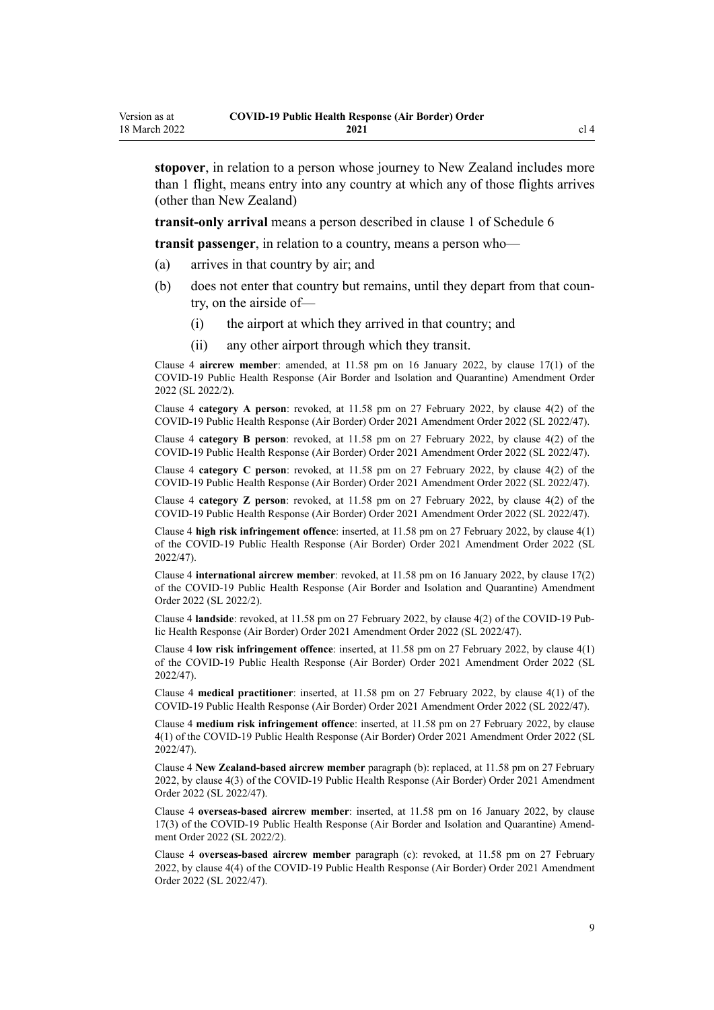**stopover**, in relation to a person whose journey to New Zealand includes more than 1 flight, means entry into any country at which any of those flights arrives (other than New Zealand)

**transit-only arrival** means a person described in [clause 1](#page-44-0) of Schedule 6

**transit passenger**, in relation to a country, means a person who—

- (a) arrives in that country by air; and
- (b) does not enter that country but remains, until they depart from that coun‐ try, on the airside of—
	- (i) the airport at which they arrived in that country; and
	- (ii) any other airport through which they transit.

Clause 4 **aircrew member**: amended, at 11.58 pm on 16 January 2022, by [clause 17\(1\)](http://legislation.govt.nz/pdflink.aspx?id=LMS629299) of the COVID-19 Public Health Response (Air Border and Isolation and Quarantine) Amendment Order 2022 (SL 2022/2).

Clause 4 **category A person**: revoked, at 11.58 pm on 27 February 2022, by [clause 4\(2\)](http://legislation.govt.nz/pdflink.aspx?id=LMS650823) of the COVID-19 Public Health Response (Air Border) Order 2021 Amendment Order 2022 (SL 2022/47).

Clause 4 **category B person**: revoked, at 11.58 pm on 27 February 2022, by [clause 4\(2\)](http://legislation.govt.nz/pdflink.aspx?id=LMS650823) of the COVID-19 Public Health Response (Air Border) Order 2021 Amendment Order 2022 (SL 2022/47).

Clause 4 **category C person**: revoked, at 11.58 pm on 27 February 2022, by [clause 4\(2\)](http://legislation.govt.nz/pdflink.aspx?id=LMS650823) of the COVID-19 Public Health Response (Air Border) Order 2021 Amendment Order 2022 (SL 2022/47).

Clause 4 **category Z person**: revoked, at 11.58 pm on 27 February 2022, by [clause 4\(2\)](http://legislation.govt.nz/pdflink.aspx?id=LMS650823) of the COVID-19 Public Health Response (Air Border) Order 2021 Amendment Order 2022 (SL 2022/47).

Clause 4 **high risk infringement offence**: inserted, at 11.58 pm on 27 February 2022, by [clause 4\(1\)](http://legislation.govt.nz/pdflink.aspx?id=LMS650823) of the COVID-19 Public Health Response (Air Border) Order 2021 Amendment Order 2022 (SL 2022/47).

Clause 4 **international aircrew member**: revoked, at 11.58 pm on 16 January 2022, by [clause 17\(2\)](http://legislation.govt.nz/pdflink.aspx?id=LMS629299) of the COVID-19 Public Health Response (Air Border and Isolation and Quarantine) Amendment Order 2022 (SL 2022/2).

Clause 4 **landside**: revoked, at 11.58 pm on 27 February 2022, by [clause 4\(2\)](http://legislation.govt.nz/pdflink.aspx?id=LMS650823) of the COVID-19 Pub‐ lic Health Response (Air Border) Order 2021 Amendment Order 2022 (SL 2022/47).

Clause 4 **low risk infringement offence**: inserted, at 11.58 pm on 27 February 2022, by [clause 4\(1\)](http://legislation.govt.nz/pdflink.aspx?id=LMS650823) of the COVID-19 Public Health Response (Air Border) Order 2021 Amendment Order 2022 (SL 2022/47).

Clause 4 **medical practitioner**: inserted, at 11.58 pm on 27 February 2022, by [clause 4\(1\)](http://legislation.govt.nz/pdflink.aspx?id=LMS650823) of the COVID-19 Public Health Response (Air Border) Order 2021 Amendment Order 2022 (SL 2022/47).

Clause 4 **medium risk infringement offence**: inserted, at 11.58 pm on 27 February 2022, by [clause](http://legislation.govt.nz/pdflink.aspx?id=LMS650823) [4\(1\)](http://legislation.govt.nz/pdflink.aspx?id=LMS650823) of the COVID-19 Public Health Response (Air Border) Order 2021 Amendment Order 2022 (SL 2022/47).

Clause 4 **New Zealand-based aircrew member** paragraph (b): replaced, at 11.58 pm on 27 February 2022, by [clause 4\(3\)](http://legislation.govt.nz/pdflink.aspx?id=LMS650823) of the COVID-19 Public Health Response (Air Border) Order 2021 Amendment Order 2022 (SL 2022/47).

Clause 4 **overseas-based aircrew member**: inserted, at 11.58 pm on 16 January 2022, by [clause](http://legislation.govt.nz/pdflink.aspx?id=LMS629299) [17\(3\)](http://legislation.govt.nz/pdflink.aspx?id=LMS629299) of the COVID-19 Public Health Response (Air Border and Isolation and Quarantine) Amend‐ ment Order 2022 (SL 2022/2).

Clause 4 **overseas-based aircrew member** paragraph (c): revoked, at 11.58 pm on 27 February 2022, by [clause 4\(4\)](http://legislation.govt.nz/pdflink.aspx?id=LMS650823) of the COVID-19 Public Health Response (Air Border) Order 2021 Amendment Order 2022 (SL 2022/47).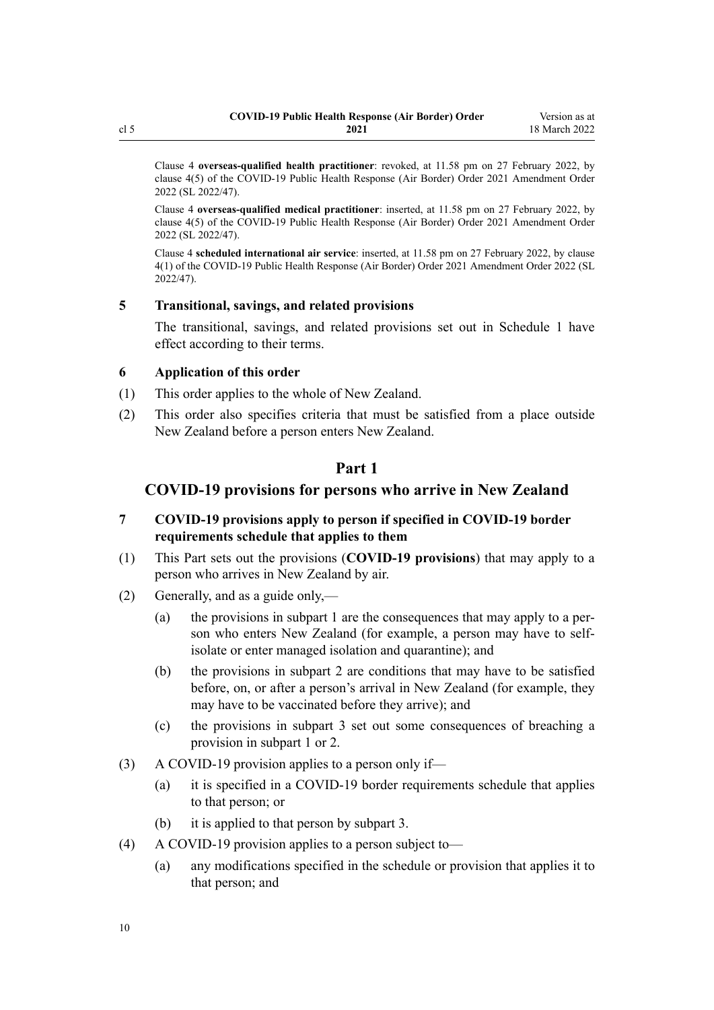<span id="page-9-0"></span>Clause 4 **overseas-qualified health practitioner**: revoked, at 11.58 pm on 27 February 2022, by [clause 4\(5\)](http://legislation.govt.nz/pdflink.aspx?id=LMS650823) of the COVID-19 Public Health Response (Air Border) Order 2021 Amendment Order 2022 (SL 2022/47).

Clause 4 **overseas-qualified medical practitioner**: inserted, at 11.58 pm on 27 February 2022, by [clause 4\(5\)](http://legislation.govt.nz/pdflink.aspx?id=LMS650823) of the COVID-19 Public Health Response (Air Border) Order 2021 Amendment Order 2022 (SL 2022/47).

Clause 4 **scheduled international air service**: inserted, at 11.58 pm on 27 February 2022, by [clause](http://legislation.govt.nz/pdflink.aspx?id=LMS650823) [4\(1\)](http://legislation.govt.nz/pdflink.aspx?id=LMS650823) of the COVID-19 Public Health Response (Air Border) Order 2021 Amendment Order 2022 (SL 2022/47).

#### **5 Transitional, savings, and related provisions**

The transitional, savings, and related provisions set out in [Schedule 1](#page-33-0) have effect according to their terms.

#### **6 Application of this order**

- (1) This order applies to the whole of New Zealand.
- (2) This order also specifies criteria that must be satisfied from a place outside New Zealand before a person enters New Zealand.

# **Part 1**

# **COVID-19 provisions for persons who arrive in New Zealand**

- **7 COVID-19 provisions apply to person if specified in COVID-19 border requirements schedule that applies to them**
- (1) This Part sets out the provisions (**COVID-19 provisions**) that may apply to a person who arrives in New Zealand by air.
- (2) Generally, and as a guide only,—
	- (a) the provisions in [subpart 1](#page-10-0) are the consequences that may apply to a per‐ son who enters New Zealand (for example, a person may have to selfisolate or enter managed isolation and quarantine); and
	- (b) the provisions in [subpart 2](#page-12-0) are conditions that may have to be satisfied before, on, or after a person's arrival in New Zealand (for example, they may have to be vaccinated before they arrive); and
	- (c) the provisions in [subpart 3](#page-22-0) set out some consequences of breaching a provision in [subpart 1](#page-10-0) or [2.](#page-12-0)
- (3) A COVID-19 provision applies to a person only if—
	- (a) it is specified in a COVID-19 border requirements schedule that applies to that person; or
	- (b) it is applied to that person by [subpart 3](#page-22-0).
- (4) A COVID-19 provision applies to a person subject to—
	- (a) any modifications specified in the schedule or provision that applies it to that person; and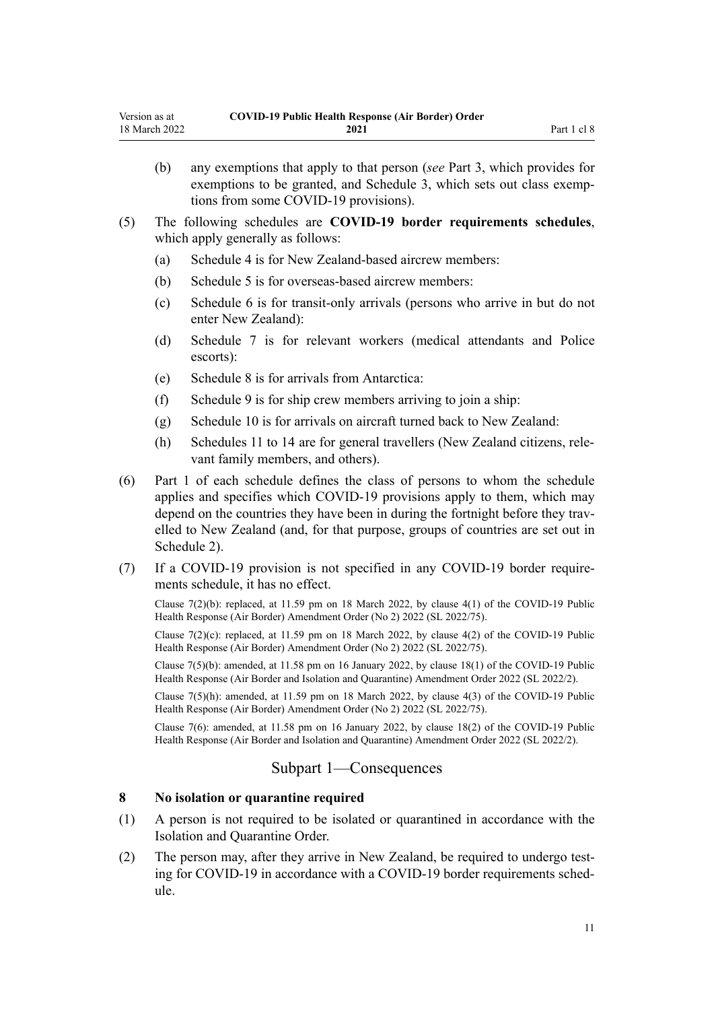- <span id="page-10-0"></span>(b) any exemptions that apply to that person (*see* [Part 3,](#page-27-0) which provides for exemptions to be granted, and [Schedule 3](#page-36-0), which sets out class exemptions from some COVID-19 provisions).
- (5) The following schedules are **COVID-19 border requirements schedules**, which apply generally as follows:
	- (a) [Schedule 4](#page-38-0) is for New Zealand-based aircrew members:
	- (b) [Schedule 5](#page-40-0) is for overseas-based aircrew members:
	- (c) [Schedule 6](#page-44-0) is for transit-only arrivals (persons who arrive in but do not enter New Zealand):
	- (d) [Schedule 7](#page-46-0) is for relevant workers (medical attendants and Police escorts):
	- (e) [Schedule 8](#page-53-0) is for arrivals from Antarctica:
	- (f) [Schedule 9](#page-55-0) is for ship crew members arriving to join a ship:
	- (g) [Schedule 10](#page-57-0) is for arrivals on aircraft turned back to New Zealand:
	- (h) [Schedules 11 to 14](#page-59-0) are for general travellers (New Zealand citizens, rele‐ vant family members, and others).
- (6) Part 1 of each schedule defines the class of persons to whom the schedule applies and specifies which COVID-19 provisions apply to them, which may depend on the countries they have been in during the fortnight before they travelled to New Zealand (and, for that purpose, groups of countries are set out in [Schedule 2\)](#page-35-0).
- (7) If a COVID-19 provision is not specified in any COVID-19 border require‐ ments schedule, it has no effect.

Clause  $7(2)(b)$ : replaced, at 11.59 pm on 18 March 2022, by clause  $4(1)$  of the COVID-19 Public Health Response (Air Border) Amendment Order (No 2) 2022 (SL 2022/75).

Clause  $7(2)(c)$ : replaced, at 11.59 pm on 18 March 2022, by clause  $4(2)$  of the COVID-19 Public Health Response (Air Border) Amendment Order (No 2) 2022 (SL 2022/75).

Clause 7(5)(b): amended, at 11.58 pm on 16 January 2022, by [clause 18\(1\)](http://legislation.govt.nz/pdflink.aspx?id=LMS629300) of the COVID-19 Public Health Response (Air Border and Isolation and Quarantine) Amendment Order 2022 (SL 2022/2).

Clause 7(5)(h): amended, at 11.59 pm on 18 March 2022, by [clause 4\(3\)](http://legislation.govt.nz/pdflink.aspx?id=LMS664426) of the COVID-19 Public Health Response (Air Border) Amendment Order (No 2) 2022 (SL 2022/75).

Clause 7(6): amended, at 11.58 pm on 16 January 2022, by [clause 18\(2\)](http://legislation.govt.nz/pdflink.aspx?id=LMS629300) of the COVID-19 Public Health Response (Air Border and Isolation and Quarantine) Amendment Order 2022 (SL 2022/2).

### Subpart 1—Consequences

# **8 No isolation or quarantine required**

- (1) A person is not required to be isolated or quarantined in accordance with the Isolation and Quarantine Order.
- (2) The person may, after they arrive in New Zealand, be required to undergo test‐ ing for COVID-19 in accordance with a COVID-19 border requirements schedule.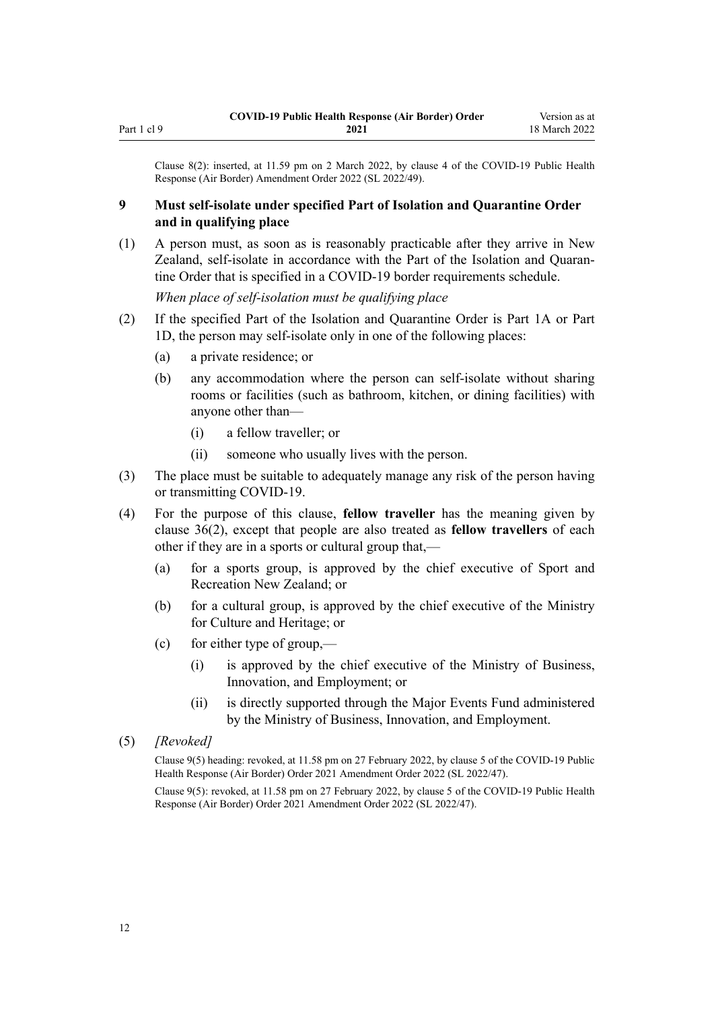<span id="page-11-0"></span>Clause 8(2): inserted, at 11.59 pm on 2 March 2022, by [clause 4](http://legislation.govt.nz/pdflink.aspx?id=LMS653777) of the COVID-19 Public Health Response (Air Border) Amendment Order 2022 (SL 2022/49).

### **9 Must self-isolate under specified Part of Isolation and Quarantine Order and in qualifying place**

(1) A person must, as soon as is reasonably practicable after they arrive in New Zealand, self-isolate in accordance with the Part of the Isolation and Quaran‐ tine Order that is specified in a COVID-19 border requirements schedule.

*When place of self-isolation must be qualifying place*

- (2) If the specified Part of the Isolation and Quarantine Order is [Part 1A](http://legislation.govt.nz/pdflink.aspx?id=LMS415267) or [Part](http://legislation.govt.nz/pdflink.aspx?id=LMS652452) [1D](http://legislation.govt.nz/pdflink.aspx?id=LMS652452), the person may self-isolate only in one of the following places:
	- (a) a private residence; or
	- (b) any accommodation where the person can self-isolate without sharing rooms or facilities (such as bathroom, kitchen, or dining facilities) with anyone other than—
		- (i) a fellow traveller; or
		- (ii) someone who usually lives with the person.
- (3) The place must be suitable to adequately manage any risk of the person having or transmitting COVID-19.
- (4) For the purpose of this clause, **fellow traveller** has the meaning given by [clause 36\(2\)](#page-21-0), except that people are also treated as **fellow travellers** of each other if they are in a sports or cultural group that,—
	- (a) for a sports group, is approved by the chief executive of Sport and Recreation New Zealand; or
	- (b) for a cultural group, is approved by the chief executive of the Ministry for Culture and Heritage; or
	- (c) for either type of group,—
		- (i) is approved by the chief executive of the Ministry of Business, Innovation, and Employment; or
		- (ii) is directly supported through the Major Events Fund administered by the Ministry of Business, Innovation, and Employment.
- (5) *[Revoked]*

Clause 9(5) heading: revoked, at 11.58 pm on 27 February 2022, by [clause 5](http://legislation.govt.nz/pdflink.aspx?id=LMS650824) of the COVID-19 Public Health Response (Air Border) Order 2021 Amendment Order 2022 (SL 2022/47).

Clause 9(5): revoked, at 11.58 pm on 27 February 2022, by [clause 5](http://legislation.govt.nz/pdflink.aspx?id=LMS650824) of the COVID-19 Public Health Response (Air Border) Order 2021 Amendment Order 2022 (SL 2022/47).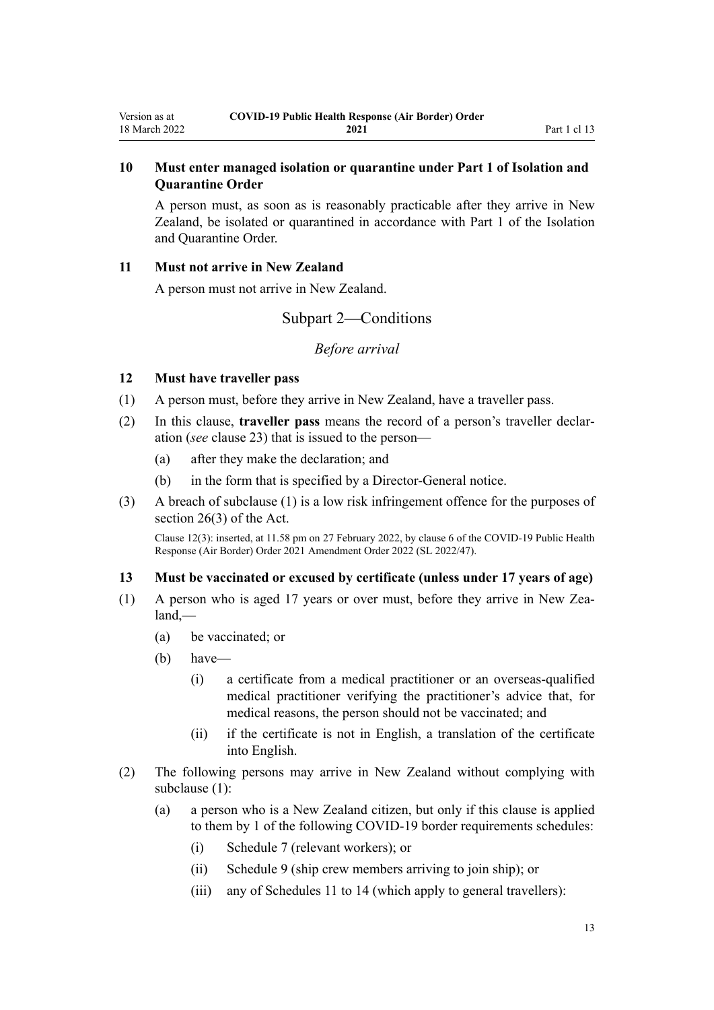# <span id="page-12-0"></span>**10 Must enter managed isolation or quarantine under Part 1 of Isolation and Quarantine Order**

A person must, as soon as is reasonably practicable after they arrive in New Zealand, be isolated or quarantined in accordance with [Part 1](http://legislation.govt.nz/pdflink.aspx?id=LMS401726) of the Isolation and Quarantine Order.

#### **11 Must not arrive in New Zealand**

A person must not arrive in New Zealand.

# Subpart 2—Conditions

### *Before arrival*

#### **12 Must have traveller pass**

- (1) A person must, before they arrive in New Zealand, have a traveller pass.
- (2) In this clause, **traveller pass** means the record of a person's traveller declar‐ ation (*see* [clause 23\)](#page-16-0) that is issued to the person—
	- (a) after they make the declaration; and
	- (b) in the form that is specified by a Director-General notice.
- (3) A breach of subclause (1) is a low risk infringement offence for the purposes of [section 26\(3\)](http://legislation.govt.nz/pdflink.aspx?id=LMS344200) of the Act.

Clause 12(3): inserted, at 11.58 pm on 27 February 2022, by [clause 6](http://legislation.govt.nz/pdflink.aspx?id=LMS650825) of the COVID-19 Public Health Response (Air Border) Order 2021 Amendment Order 2022 (SL 2022/47).

### **13 Must be vaccinated or excused by certificate (unless under 17 years of age)**

- (1) A person who is aged 17 years or over must, before they arrive in New Zea‐ land,—
	- (a) be vaccinated; or
	- (b) have—
		- (i) a certificate from a medical practitioner or an overseas-qualified medical practitioner verifying the practitioner's advice that, for medical reasons, the person should not be vaccinated; and
		- (ii) if the certificate is not in English, a translation of the certificate into English.
- (2) The following persons may arrive in New Zealand without complying with subclause (1):
	- (a) a person who is a New Zealand citizen, but only if this clause is applied to them by 1 of the following COVID-19 border requirements schedules:
		- (i) [Schedule 7](#page-46-0) (relevant workers); or
		- (ii) [Schedule 9](#page-55-0) (ship crew members arriving to join ship); or
		- (iii) any of [Schedules 11 to 14](#page-59-0) (which apply to general travellers):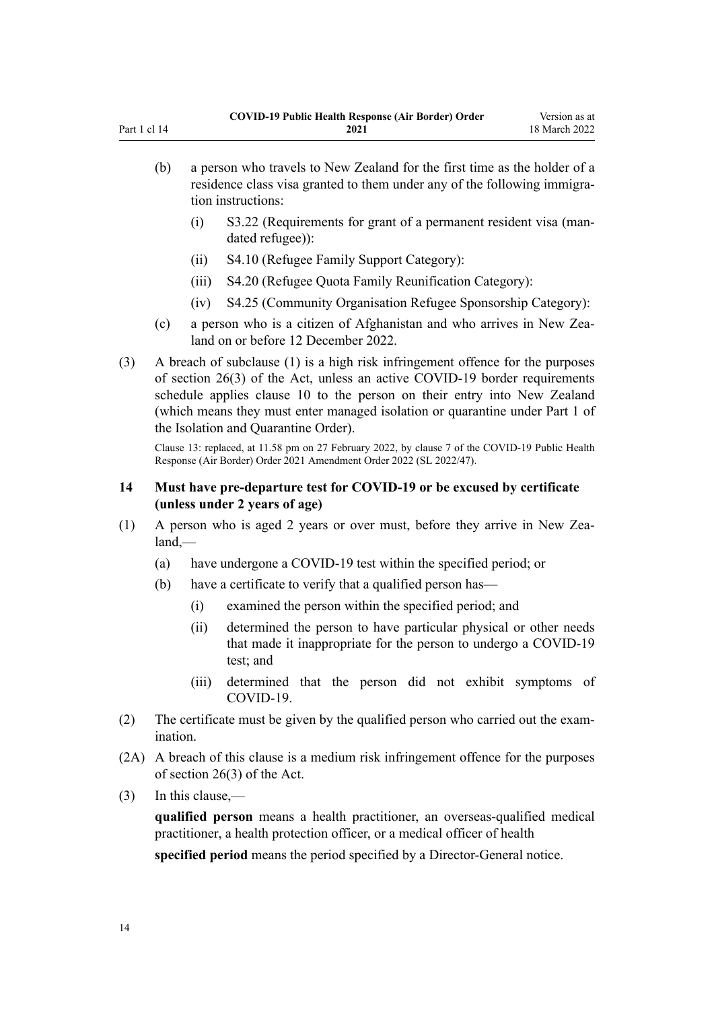<span id="page-13-0"></span>

| (b) | a person who travels to New Zealand for the first time as the holder of a<br>residence class visa granted to them under any of the following immigra-<br>tion instructions: |                                                                                      |  |
|-----|-----------------------------------------------------------------------------------------------------------------------------------------------------------------------------|--------------------------------------------------------------------------------------|--|
|     |                                                                                                                                                                             | S3.22 (Requirements for grant of a permanent resident visa (man-<br>dated refugee)): |  |

- (ii) S4.10 (Refugee Family Support Category):
- (iii) S4.20 (Refugee Quota Family Reunification Category):
- (iv) S4.25 (Community Organisation Refugee Sponsorship Category):
- (c) a person who is a citizen of Afghanistan and who arrives in New Zealand on or before 12 December 2022.
- (3) A breach of subclause (1) is a high risk infringement offence for the purposes of [section 26\(3\)](http://legislation.govt.nz/pdflink.aspx?id=LMS344200) of the Act, unless an active COVID-19 border requirements schedule applies [clause 10](#page-12-0) to the person on their entry into New Zealand (which means they must enter managed isolation or quarantine under [Part 1](http://legislation.govt.nz/pdflink.aspx?id=LMS401726) of the Isolation and Quarantine Order).

Clause 13: replaced, at 11.58 pm on 27 February 2022, by [clause 7](http://legislation.govt.nz/pdflink.aspx?id=LMS650827) of the COVID-19 Public Health Response (Air Border) Order 2021 Amendment Order 2022 (SL 2022/47).

### **14 Must have pre-departure test for COVID-19 or be excused by certificate (unless under 2 years of age)**

- (1) A person who is aged 2 years or over must, before they arrive in New Zea‐ land,—
	- (a) have undergone a COVID-19 test within the specified period; or
	- (b) have a certificate to verify that a qualified person has—
		- (i) examined the person within the specified period; and
		- (ii) determined the person to have particular physical or other needs that made it inappropriate for the person to undergo a COVID-19 test; and
		- (iii) determined that the person did not exhibit symptoms of COVID-19.
- (2) The certificate must be given by the qualified person who carried out the exam‐ ination.
- (2A) A breach of this clause is a medium risk infringement offence for the purposes of [section 26\(3\)](http://legislation.govt.nz/pdflink.aspx?id=LMS344200) of the Act.
- (3) In this clause,—

**qualified person** means a health practitioner, an overseas-qualified medical practitioner, a health protection officer, or a medical officer of health **specified period** means the period specified by a Director-General notice.

14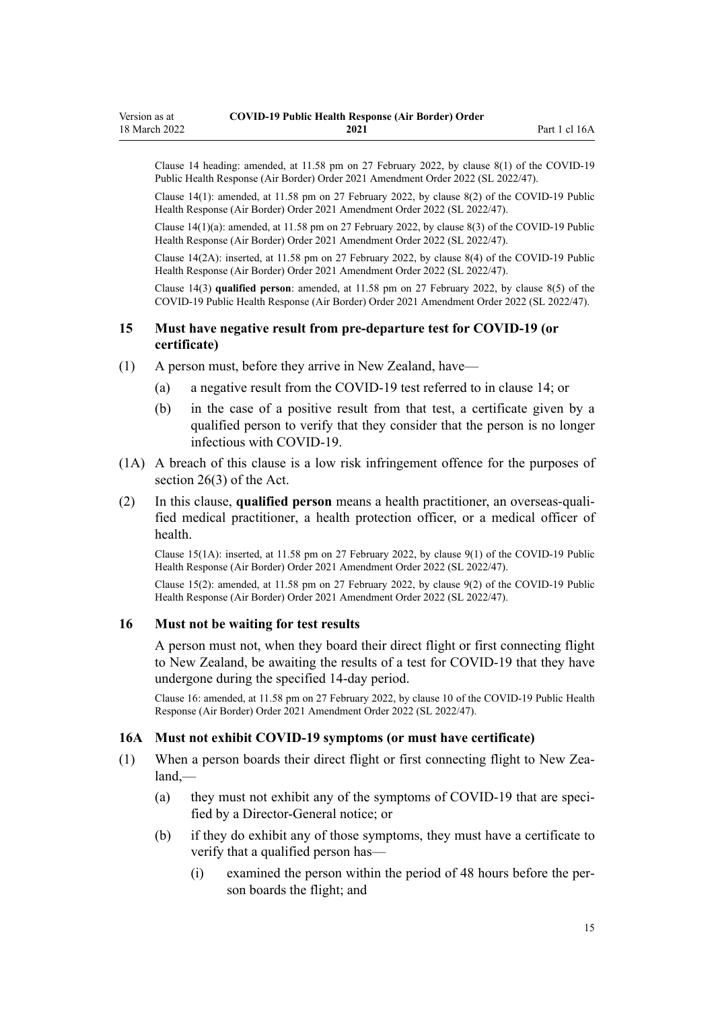<span id="page-14-0"></span>Clause 14 heading: amended, at 11.58 pm on 27 February 2022, by [clause 8\(1\)](http://legislation.govt.nz/pdflink.aspx?id=LMS650829) of the COVID-19 Public Health Response (Air Border) Order 2021 Amendment Order 2022 (SL 2022/47).

Clause 14(1): amended, at 11.58 pm on 27 February 2022, by [clause 8\(2\)](http://legislation.govt.nz/pdflink.aspx?id=LMS650829) of the COVID-19 Public Health Response (Air Border) Order 2021 Amendment Order 2022 (SL 2022/47).

Clause 14(1)(a): amended, at 11.58 pm on 27 February 2022, by [clause 8\(3\)](http://legislation.govt.nz/pdflink.aspx?id=LMS650829) of the COVID-19 Public Health Response (Air Border) Order 2021 Amendment Order 2022 (SL 2022/47).

Clause 14(2A): inserted, at 11.58 pm on 27 February 2022, by [clause 8\(4\)](http://legislation.govt.nz/pdflink.aspx?id=LMS650829) of the COVID-19 Public Health Response (Air Border) Order 2021 Amendment Order 2022 (SL 2022/47).

Clause 14(3) **qualified person**: amended, at 11.58 pm on 27 February 2022, by [clause 8\(5\)](http://legislation.govt.nz/pdflink.aspx?id=LMS650829) of the COVID-19 Public Health Response (Air Border) Order 2021 Amendment Order 2022 (SL 2022/47).

#### **15 Must have negative result from pre-departure test for COVID-19 (or certificate)**

- (1) A person must, before they arrive in New Zealand, have—
	- (a) a negative result from the COVID-19 test referred to in [clause 14](#page-13-0); or
	- (b) in the case of a positive result from that test, a certificate given by a qualified person to verify that they consider that the person is no longer infectious with COVID-19.
- (1A) A breach of this clause is a low risk infringement offence for the purposes of [section 26\(3\)](http://legislation.govt.nz/pdflink.aspx?id=LMS344200) of the Act.
- (2) In this clause, **qualified person** means a health practitioner, an overseas-quali‐ fied medical practitioner, a health protection officer, or a medical officer of health.

Clause 15(1A): inserted, at 11.58 pm on 27 February 2022, by [clause 9\(1\)](http://legislation.govt.nz/pdflink.aspx?id=LMS650830) of the COVID-19 Public Health Response (Air Border) Order 2021 Amendment Order 2022 (SL 2022/47).

Clause 15(2): amended, at 11.58 pm on 27 February 2022, by [clause 9\(2\)](http://legislation.govt.nz/pdflink.aspx?id=LMS650830) of the COVID-19 Public Health Response (Air Border) Order 2021 Amendment Order 2022 (SL 2022/47).

#### **16 Must not be waiting for test results**

A person must not, when they board their direct flight or first connecting flight to New Zealand, be awaiting the results of a test for COVID-19 that they have undergone during the specified 14-day period.

Clause 16: amended, at 11.58 pm on 27 February 2022, by [clause 10](http://legislation.govt.nz/pdflink.aspx?id=LMS650831) of the COVID-19 Public Health Response (Air Border) Order 2021 Amendment Order 2022 (SL 2022/47).

#### **16A Must not exhibit COVID-19 symptoms (or must have certificate)**

- (1) When a person boards their direct flight or first connecting flight to New Zealand,—
	- (a) they must not exhibit any of the symptoms of COVID-19 that are specified by a Director-General notice; or
	- (b) if they do exhibit any of those symptoms, they must have a certificate to verify that a qualified person has—
		- (i) examined the person within the period of 48 hours before the per‐ son boards the flight; and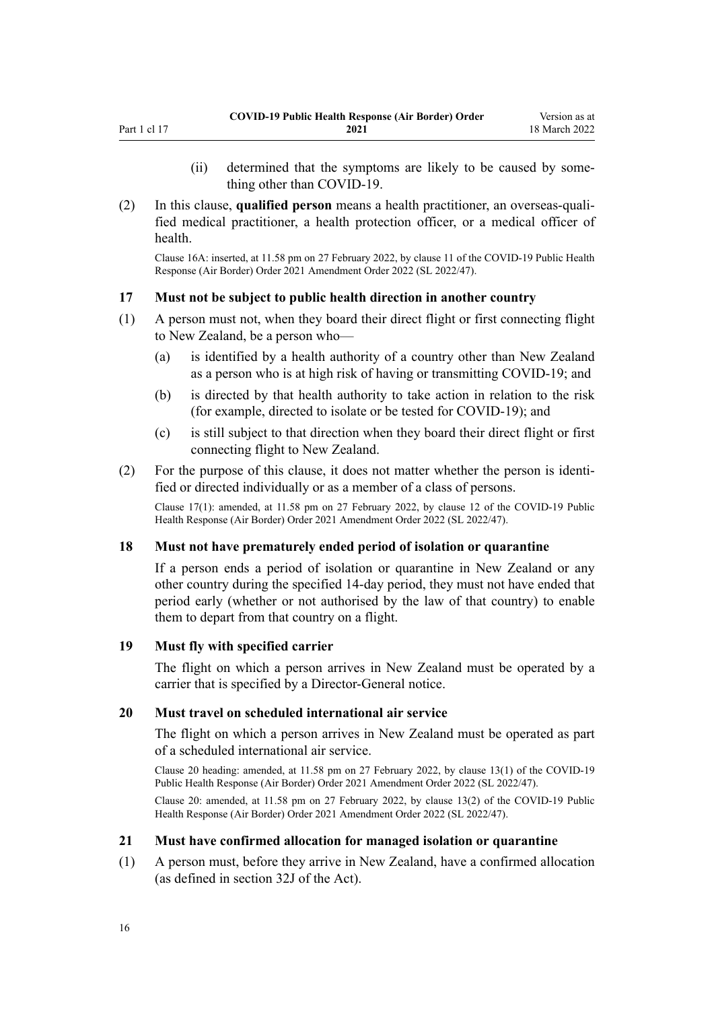<span id="page-15-0"></span>(2) In this clause, **qualified person** means a health practitioner, an overseas-quali‐ fied medical practitioner, a health protection officer, or a medical officer of health.

Clause 16A: inserted, at 11.58 pm on 27 February 2022, by [clause 11](http://legislation.govt.nz/pdflink.aspx?id=LMS650834) of the COVID-19 Public Health Response (Air Border) Order 2021 Amendment Order 2022 (SL 2022/47).

# **17 Must not be subject to public health direction in another country**

- (1) A person must not, when they board their direct flight or first connecting flight to New Zealand, be a person who-
	- (a) is identified by a health authority of a country other than New Zealand as a person who is at high risk of having or transmitting COVID-19; and
	- (b) is directed by that health authority to take action in relation to the risk (for example, directed to isolate or be tested for COVID-19); and
	- (c) is still subject to that direction when they board their direct flight or first connecting flight to New Zealand.
- $(2)$  For the purpose of this clause, it does not matter whether the person is identified or directed individually or as a member of a class of persons.

Clause 17(1): amended, at 11.58 pm on 27 February 2022, by [clause 12](http://legislation.govt.nz/pdflink.aspx?id=LMS650835) of the COVID-19 Public Health Response (Air Border) Order 2021 Amendment Order 2022 (SL 2022/47).

#### **18 Must not have prematurely ended period of isolation or quarantine**

If a person ends a period of isolation or quarantine in New Zealand or any other country during the specified 14-day period, they must not have ended that period early (whether or not authorised by the law of that country) to enable them to depart from that country on a flight.

#### **19 Must fly with specified carrier**

The flight on which a person arrives in New Zealand must be operated by a carrier that is specified by a Director-General notice.

#### **20 Must travel on scheduled international air service**

The flight on which a person arrives in New Zealand must be operated as part of a scheduled international air service.

Clause 20 heading: amended, at 11.58 pm on 27 February 2022, by [clause 13\(1\)](http://legislation.govt.nz/pdflink.aspx?id=LMS650836) of the COVID-19 Public Health Response (Air Border) Order 2021 Amendment Order 2022 (SL 2022/47).

Clause 20: amended, at 11.58 pm on 27 February 2022, by [clause 13\(2\)](http://legislation.govt.nz/pdflink.aspx?id=LMS650836) of the COVID-19 Public Health Response (Air Border) Order 2021 Amendment Order 2022 (SL 2022/47).

#### **21 Must have confirmed allocation for managed isolation or quarantine**

(1) A person must, before they arrive in New Zealand, have a confirmed allocation (as defined in [section 32J](http://legislation.govt.nz/pdflink.aspx?id=LMS600936) of the Act).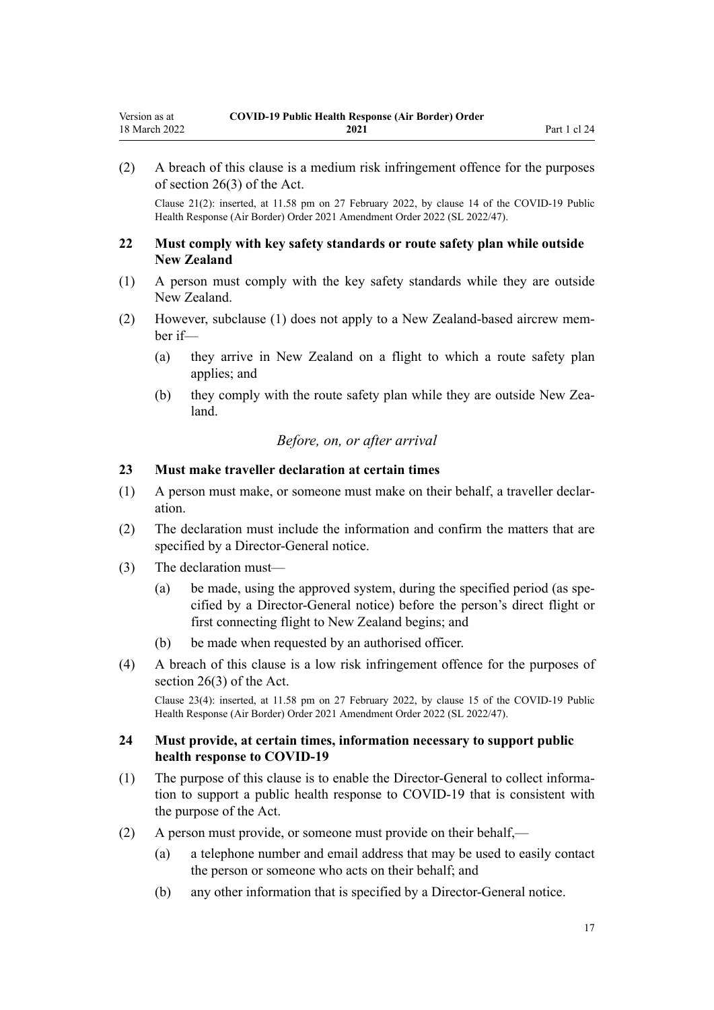<span id="page-16-0"></span>(2) A breach of this clause is a medium risk infringement offence for the purposes of [section 26\(3\)](http://legislation.govt.nz/pdflink.aspx?id=LMS344200) of the Act.

Clause 21(2): inserted, at 11.58 pm on 27 February 2022, by [clause 14](http://legislation.govt.nz/pdflink.aspx?id=LMS650837) of the COVID-19 Public Health Response (Air Border) Order 2021 Amendment Order 2022 (SL 2022/47).

#### **22 Must comply with key safety standards or route safety plan while outside New Zealand**

- (1) A person must comply with the key safety standards while they are outside New Zealand.
- (2) However, subclause (1) does not apply to a New Zealand-based aircrew mem‐ ber if—
	- (a) they arrive in New Zealand on a flight to which a route safety plan applies; and
	- (b) they comply with the route safety plan while they are outside New Zealand.

### *Before, on, or after arrival*

#### **23 Must make traveller declaration at certain times**

- (1) A person must make, or someone must make on their behalf, a traveller declar‐ ation.
- (2) The declaration must include the information and confirm the matters that are specified by a Director-General notice.
- (3) The declaration must—
	- (a) be made, using the approved system, during the specified period (as spe‐ cified by a Director-General notice) before the person's direct flight or first connecting flight to New Zealand begins; and
	- (b) be made when requested by an authorised officer.
- (4) A breach of this clause is a low risk infringement offence for the purposes of [section 26\(3\)](http://legislation.govt.nz/pdflink.aspx?id=LMS344200) of the Act.

Clause 23(4): inserted, at 11.58 pm on 27 February 2022, by [clause 15](http://legislation.govt.nz/pdflink.aspx?id=LMS650838) of the COVID-19 Public Health Response (Air Border) Order 2021 Amendment Order 2022 (SL 2022/47).

#### **24 Must provide, at certain times, information necessary to support public health response to COVID-19**

- (1) The purpose of this clause is to enable the Director-General to collect informa‐ tion to support a public health response to COVID-19 that is consistent with the purpose of the Act.
- (2) A person must provide, or someone must provide on their behalf,—
	- (a) a telephone number and email address that may be used to easily contact the person or someone who acts on their behalf; and
	- (b) any other information that is specified by a Director-General notice.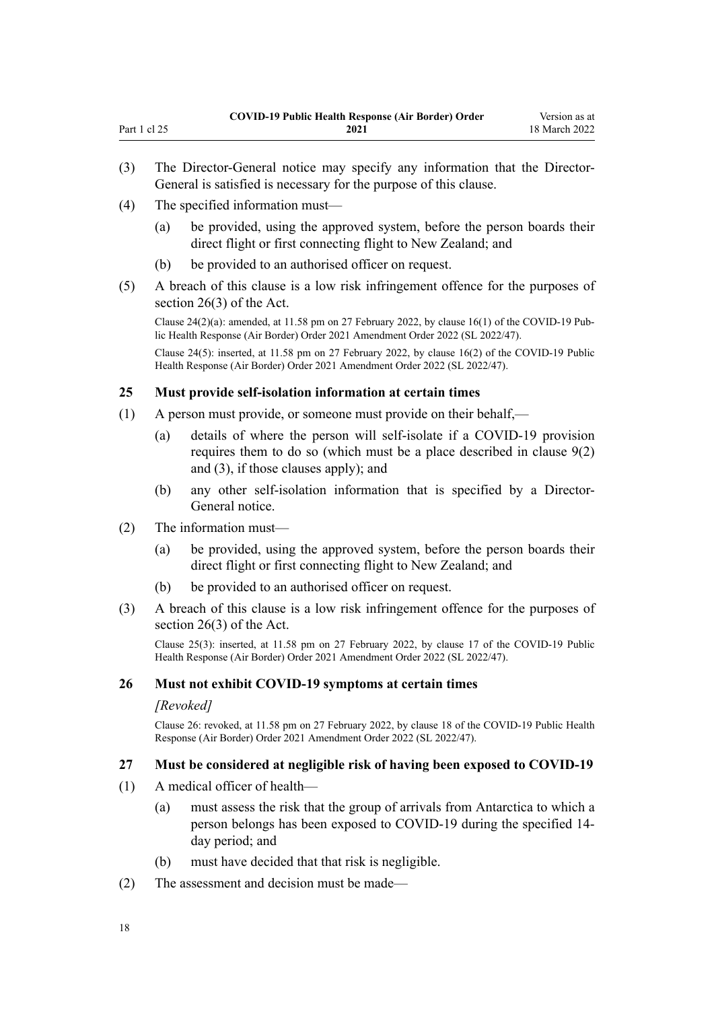- (3) The Director-General notice may specify any information that the Director-General is satisfied is necessary for the purpose of this clause.
- (4) The specified information must—

<span id="page-17-0"></span>Part 1 cl 25

- (a) be provided, using the approved system, before the person boards their direct flight or first connecting flight to New Zealand; and
- (b) be provided to an authorised officer on request.
- (5) A breach of this clause is a low risk infringement offence for the purposes of [section 26\(3\)](http://legislation.govt.nz/pdflink.aspx?id=LMS344200) of the Act.

Clause  $24(2)(a)$ : amended, at 11.58 pm on 27 February 2022, by [clause 16\(1\)](http://legislation.govt.nz/pdflink.aspx?id=LMS650839) of the COVID-19 Public Health Response (Air Border) Order 2021 Amendment Order 2022 (SL 2022/47).

Clause 24(5): inserted, at 11.58 pm on 27 February 2022, by [clause 16\(2\)](http://legislation.govt.nz/pdflink.aspx?id=LMS650839) of the COVID-19 Public Health Response (Air Border) Order 2021 Amendment Order 2022 (SL 2022/47).

#### **25 Must provide self-isolation information at certain times**

- (1) A person must provide, or someone must provide on their behalf,—
	- (a) details of where the person will self-isolate if a COVID-19 provision requires them to do so (which must be a place described in [clause 9\(2\)](#page-11-0) [and \(3\)](#page-11-0), if those clauses apply); and
	- (b) any other self-isolation information that is specified by a Director-General notice.
- (2) The information must—
	- (a) be provided, using the approved system, before the person boards their direct flight or first connecting flight to New Zealand; and
	- (b) be provided to an authorised officer on request.
- (3) A breach of this clause is a low risk infringement offence for the purposes of [section 26\(3\)](http://legislation.govt.nz/pdflink.aspx?id=LMS344200) of the Act.

Clause 25(3): inserted, at 11.58 pm on 27 February 2022, by [clause 17](http://legislation.govt.nz/pdflink.aspx?id=LMS650840) of the COVID-19 Public Health Response (Air Border) Order 2021 Amendment Order 2022 (SL 2022/47).

#### **26 Must not exhibit COVID-19 symptoms at certain times**

#### *[Revoked]*

Clause 26: revoked, at 11.58 pm on 27 February 2022, by [clause 18](http://legislation.govt.nz/pdflink.aspx?id=LMS650841) of the COVID-19 Public Health Response (Air Border) Order 2021 Amendment Order 2022 (SL 2022/47).

#### **27 Must be considered at negligible risk of having been exposed to COVID-19**

- (1) A medical officer of health—
	- (a) must assess the risk that the group of arrivals from Antarctica to which a person belongs has been exposed to COVID-19 during the specified 14 day period; and
	- (b) must have decided that that risk is negligible.
- (2) The assessment and decision must be made—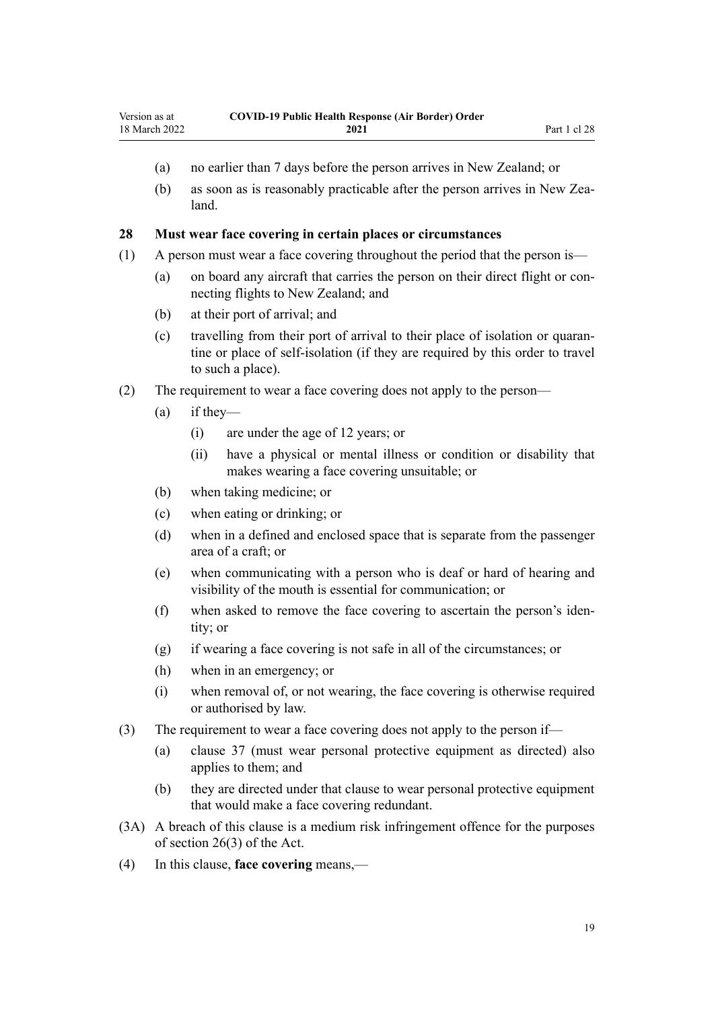- <span id="page-18-0"></span>(a) no earlier than 7 days before the person arrives in New Zealand; or
- (b) as soon as is reasonably practicable after the person arrives in New Zealand.

#### **28 Must wear face covering in certain places or circumstances**

- (1) A person must wear a face covering throughout the period that the person is—
	- (a) on board any aircraft that carries the person on their direct flight or connecting flights to New Zealand; and
	- (b) at their port of arrival; and
	- (c) travelling from their port of arrival to their place of isolation or quaran‐ tine or place of self-isolation (if they are required by this order to travel to such a place).

#### (2) The requirement to wear a face covering does not apply to the person—

- (a) if they—
	- (i) are under the age of 12 years; or
	- (ii) have a physical or mental illness or condition or disability that makes wearing a face covering unsuitable; or
- (b) when taking medicine; or
- (c) when eating or drinking; or
- (d) when in a defined and enclosed space that is separate from the passenger area of a craft; or
- (e) when communicating with a person who is deaf or hard of hearing and visibility of the mouth is essential for communication; or
- (f) when asked to remove the face covering to ascertain the person's iden‐ tity; or
- (g) if wearing a face covering is not safe in all of the circumstances; or
- (h) when in an emergency; or
- (i) when removal of, or not wearing, the face covering is otherwise required or authorised by law.
- (3) The requirement to wear a face covering does not apply to the person if—
	- (a) [clause 37](#page-21-0) (must wear personal protective equipment as directed) also applies to them; and
	- (b) they are directed under that clause to wear personal protective equipment that would make a face covering redundant.
- (3A) A breach of this clause is a medium risk infringement offence for the purposes of [section 26\(3\)](http://legislation.govt.nz/pdflink.aspx?id=LMS344200) of the Act.
- (4) In this clause, **face covering** means,—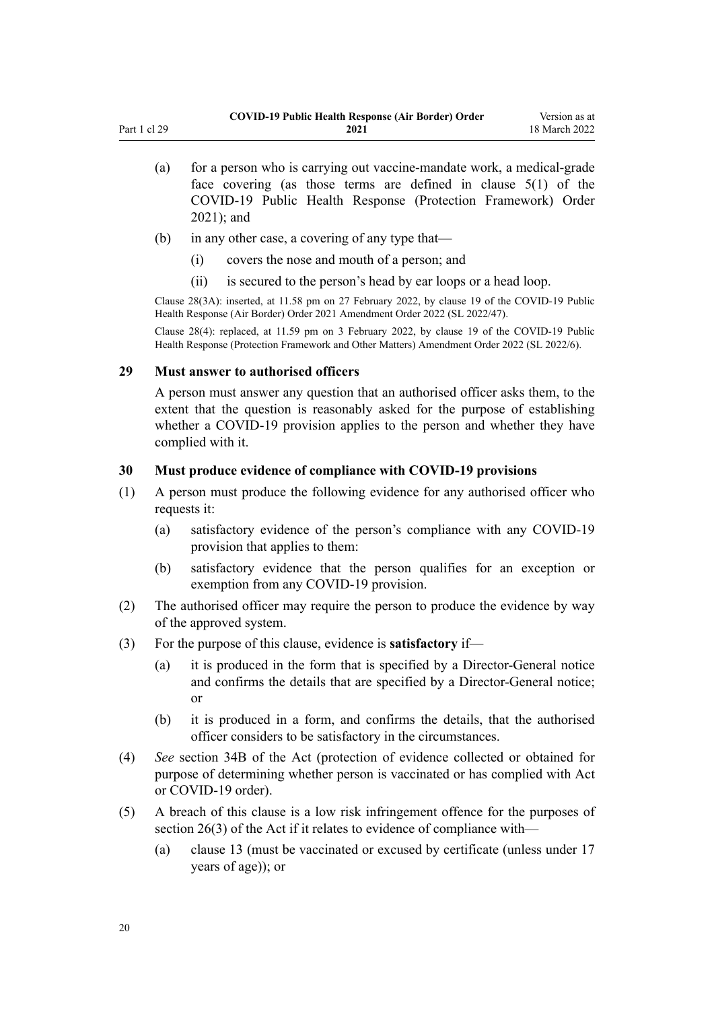- <span id="page-19-0"></span>(a) for a person who is carrying out vaccine-mandate work, a medical-grade face covering (as those terms are defined in [clause 5\(1\)](http://legislation.govt.nz/pdflink.aspx?id=LMS573241) of the COVID-19 Public Health Response (Protection Framework) Order 2021); and
- (b) in any other case, a covering of any type that—
	- (i) covers the nose and mouth of a person; and
	- (ii) is secured to the person's head by ear loops or a head loop.

Clause 28(3A): inserted, at 11.58 pm on 27 February 2022, by [clause 19](http://legislation.govt.nz/pdflink.aspx?id=LMS650842) of the COVID-19 Public Health Response (Air Border) Order 2021 Amendment Order 2022 (SL 2022/47).

Clause 28(4): replaced, at 11.59 pm on 3 February 2022, by [clause 19](http://legislation.govt.nz/pdflink.aspx?id=LMS638352) of the COVID-19 Public Health Response (Protection Framework and Other Matters) Amendment Order 2022 (SL 2022/6).

#### **29 Must answer to authorised officers**

A person must answer any question that an authorised officer asks them, to the extent that the question is reasonably asked for the purpose of establishing whether a COVID-19 provision applies to the person and whether they have complied with it.

#### **30 Must produce evidence of compliance with COVID-19 provisions**

- (1) A person must produce the following evidence for any authorised officer who requests it:
	- (a) satisfactory evidence of the person's compliance with any COVID-19 provision that applies to them:
	- (b) satisfactory evidence that the person qualifies for an exception or exemption from any COVID-19 provision.
- (2) The authorised officer may require the person to produce the evidence by way of the approved system.
- (3) For the purpose of this clause, evidence is **satisfactory** if—
	- (a) it is produced in the form that is specified by a Director-General notice and confirms the details that are specified by a Director-General notice; or
	- (b) it is produced in a form, and confirms the details, that the authorised officer considers to be satisfactory in the circumstances.
- (4) *See* [section 34B](http://legislation.govt.nz/pdflink.aspx?id=LMS606314) of the Act (protection of evidence collected or obtained for purpose of determining whether person is vaccinated or has complied with Act or COVID-19 order).
- (5) A breach of this clause is a low risk infringement offence for the purposes of [section 26\(3\)](http://legislation.govt.nz/pdflink.aspx?id=LMS344200) of the Act if it relates to evidence of compliance with—
	- (a) [clause 13](#page-12-0) (must be vaccinated or excused by certificate (unless under 17 years of age)); or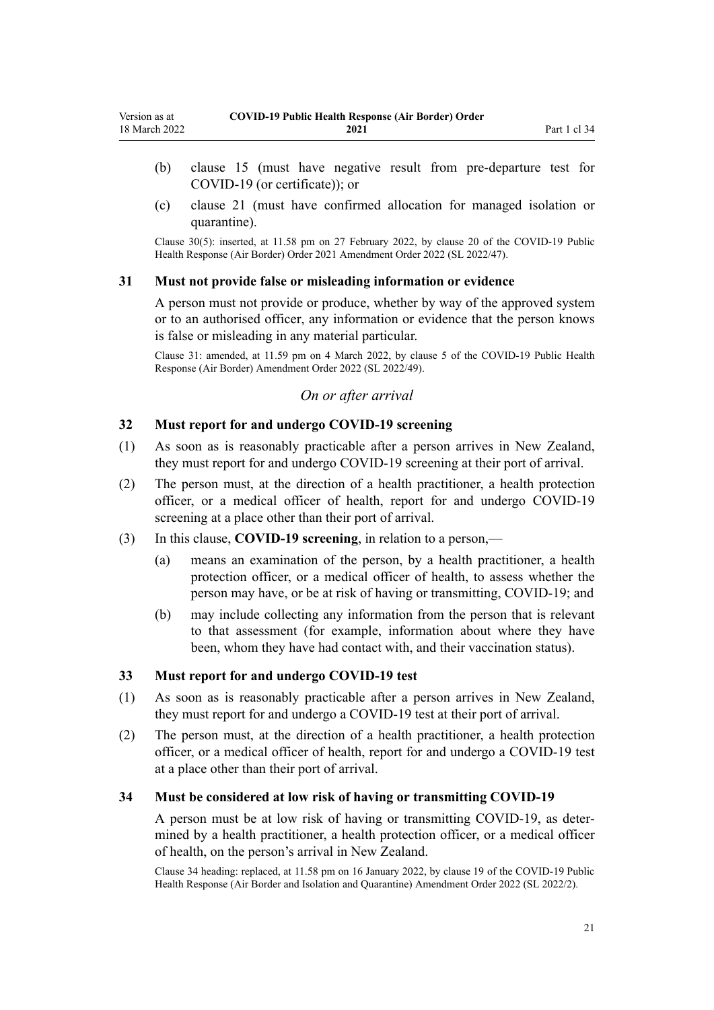- <span id="page-20-0"></span>(b) [clause 15](#page-14-0) (must have negative result from pre-departure test for COVID-19 (or certificate)); or
- (c) [clause 21](#page-15-0) (must have confirmed allocation for managed isolation or quarantine).

Clause 30(5): inserted, at 11.58 pm on 27 February 2022, by [clause 20](http://legislation.govt.nz/pdflink.aspx?id=LMS650843) of the COVID-19 Public Health Response (Air Border) Order 2021 Amendment Order 2022 (SL 2022/47).

#### **31 Must not provide false or misleading information or evidence**

A person must not provide or produce, whether by way of the approved system or to an authorised officer, any information or evidence that the person knows is false or misleading in any material particular.

Clause 31: amended, at 11.59 pm on 4 March 2022, by [clause 5](http://legislation.govt.nz/pdflink.aspx?id=LMS653778) of the COVID-19 Public Health Response (Air Border) Amendment Order 2022 (SL 2022/49).

#### *On or after arrival*

### **32 Must report for and undergo COVID-19 screening**

- (1) As soon as is reasonably practicable after a person arrives in New Zealand, they must report for and undergo COVID-19 screening at their port of arrival.
- (2) The person must, at the direction of a health practitioner, a health protection officer, or a medical officer of health, report for and undergo COVID-19 screening at a place other than their port of arrival.
- (3) In this clause, **COVID-19 screening**, in relation to a person,—
	- (a) means an examination of the person, by a health practitioner, a health protection officer, or a medical officer of health, to assess whether the person may have, or be at risk of having or transmitting, COVID-19; and
	- (b) may include collecting any information from the person that is relevant to that assessment (for example, information about where they have been, whom they have had contact with, and their vaccination status).

#### **33 Must report for and undergo COVID-19 test**

- (1) As soon as is reasonably practicable after a person arrives in New Zealand, they must report for and undergo a COVID-19 test at their port of arrival.
- (2) The person must, at the direction of a health practitioner, a health protection officer, or a medical officer of health, report for and undergo a COVID-19 test at a place other than their port of arrival.

#### **34 Must be considered at low risk of having or transmitting COVID-19**

A person must be at low risk of having or transmitting COVID-19, as deter‐ mined by a health practitioner, a health protection officer, or a medical officer of health, on the person's arrival in New Zealand.

Clause 34 heading: replaced, at 11.58 pm on 16 January 2022, by [clause 19](http://legislation.govt.nz/pdflink.aspx?id=LMS629301) of the COVID-19 Public Health Response (Air Border and Isolation and Quarantine) Amendment Order 2022 (SL 2022/2).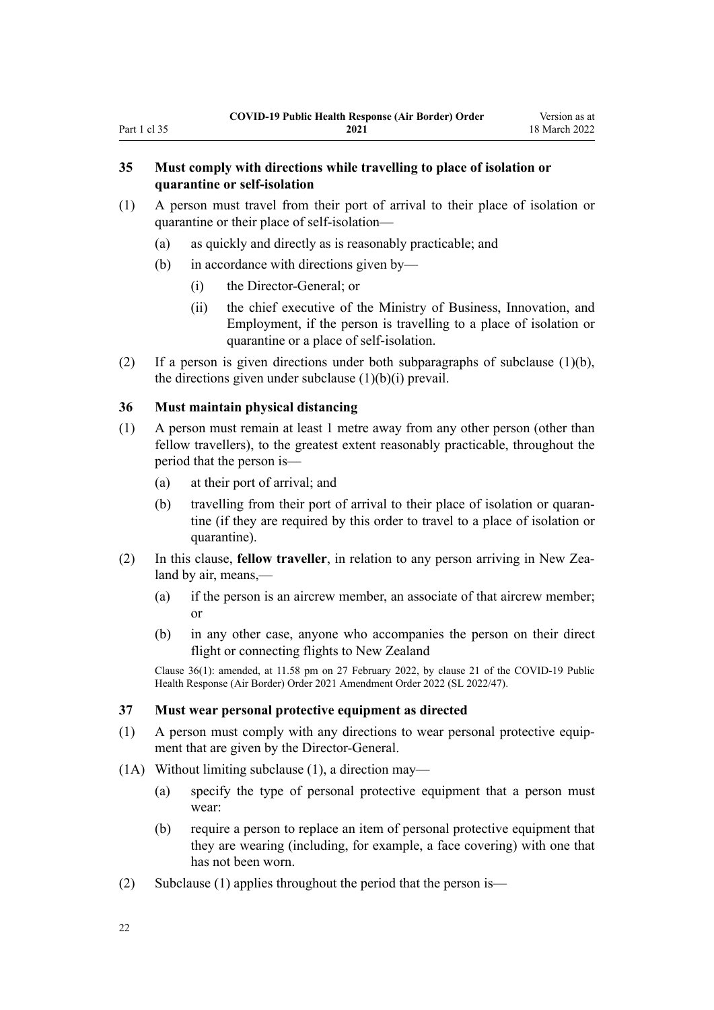### <span id="page-21-0"></span>**35 Must comply with directions while travelling to place of isolation or quarantine or self-isolation**

- (1) A person must travel from their port of arrival to their place of isolation or quarantine or their place of self-isolation—
	- (a) as quickly and directly as is reasonably practicable; and
	- (b) in accordance with directions given by—
		- (i) the Director-General; or
		- (ii) the chief executive of the Ministry of Business, Innovation, and Employment, if the person is travelling to a place of isolation or quarantine or a place of self-isolation.
- (2) If a person is given directions under both subparagraphs of subclause (1)(b), the directions given under subclause  $(1)(b)(i)$  prevail.

### **36 Must maintain physical distancing**

- (1) A person must remain at least 1 metre away from any other person (other than fellow travellers), to the greatest extent reasonably practicable, throughout the period that the person is—
	- (a) at their port of arrival; and
	- (b) travelling from their port of arrival to their place of isolation or quarantine (if they are required by this order to travel to a place of isolation or quarantine).
- (2) In this clause, **fellow traveller**, in relation to any person arriving in New Zea‐ land by air, means,—
	- (a) if the person is an aircrew member, an associate of that aircrew member; or
	- (b) in any other case, anyone who accompanies the person on their direct flight or connecting flights to New Zealand

Clause 36(1): amended, at 11.58 pm on 27 February 2022, by [clause 21](http://legislation.govt.nz/pdflink.aspx?id=LMS650844) of the COVID-19 Public Health Response (Air Border) Order 2021 Amendment Order 2022 (SL 2022/47).

#### **37 Must wear personal protective equipment as directed**

- (1) A person must comply with any directions to wear personal protective equip‐ ment that are given by the Director-General.
- (1A) Without limiting subclause (1), a direction may—
	- (a) specify the type of personal protective equipment that a person must wear:
	- (b) require a person to replace an item of personal protective equipment that they are wearing (including, for example, a face covering) with one that has not been worn.
- (2) Subclause (1) applies throughout the period that the person is—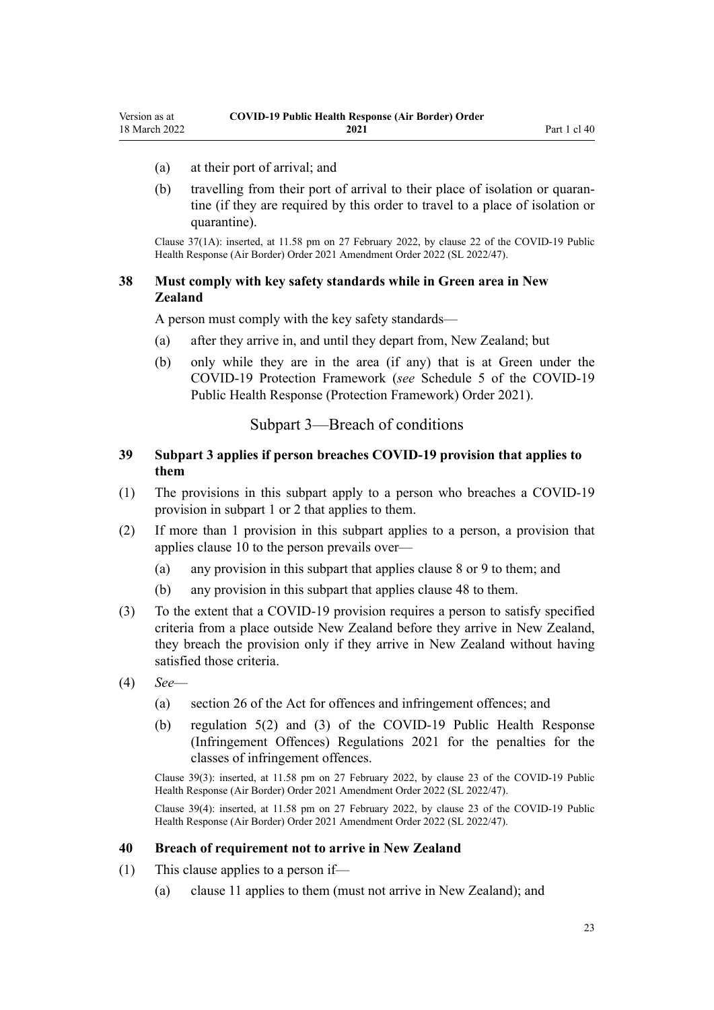- <span id="page-22-0"></span>(a) at their port of arrival; and
- (b) travelling from their port of arrival to their place of isolation or quarantine (if they are required by this order to travel to a place of isolation or quarantine).

Clause 37(1A): inserted, at 11.58 pm on 27 February 2022, by [clause 22](http://legislation.govt.nz/pdflink.aspx?id=LMS650845) of the COVID-19 Public Health Response (Air Border) Order 2021 Amendment Order 2022 (SL 2022/47).

### **38 Must comply with key safety standards while in Green area in New Zealand**

A person must comply with the key safety standards—

- (a) after they arrive in, and until they depart from, New Zealand; but
- (b) only while they are in the area (if any) that is at Green under the COVID-19 Protection Framework (*see* [Schedule 5](http://legislation.govt.nz/pdflink.aspx?id=LMS566881) of the COVID-19 Public Health Response (Protection Framework) Order 2021).

### Subpart 3—Breach of conditions

### **39 Subpart 3 applies if person breaches COVID-19 provision that applies to them**

- (1) The provisions in this subpart apply to a person who breaches a COVID-19 provision in [subpart 1](#page-10-0) or [2](#page-12-0) that applies to them.
- (2) If more than 1 provision in this subpart applies to a person, a provision that applies [clause 10](#page-12-0) to the person prevails over—
	- (a) any provision in this subpart that applies [clause 8](#page-10-0) or [9](#page-11-0) to them; and
	- (b) any provision in this subpart that applies [clause 48](#page-25-0) to them.
- (3) To the extent that a COVID-19 provision requires a person to satisfy specified criteria from a place outside New Zealand before they arrive in New Zealand, they breach the provision only if they arrive in New Zealand without having satisfied those criteria.
- (4) *See*
	- (a) [section 26](http://legislation.govt.nz/pdflink.aspx?id=LMS344200) of the Act for offences and infringement offences; and
	- (b) [regulation 5\(2\) and \(3\)](http://legislation.govt.nz/pdflink.aspx?id=LMS600713) of the COVID-19 Public Health Response (Infringement Offences) Regulations 2021 for the penalties for the classes of infringement offences.

Clause 39(3): inserted, at 11.58 pm on 27 February 2022, by [clause 23](http://legislation.govt.nz/pdflink.aspx?id=LMS650846) of the COVID-19 Public Health Response (Air Border) Order 2021 Amendment Order 2022 (SL 2022/47).

Clause 39(4): inserted, at 11.58 pm on 27 February 2022, by [clause 23](http://legislation.govt.nz/pdflink.aspx?id=LMS650846) of the COVID-19 Public Health Response (Air Border) Order 2021 Amendment Order 2022 (SL 2022/47).

#### **40 Breach of requirement not to arrive in New Zealand**

- (1) This clause applies to a person if—
	- (a) [clause 11](#page-12-0) applies to them (must not arrive in New Zealand); and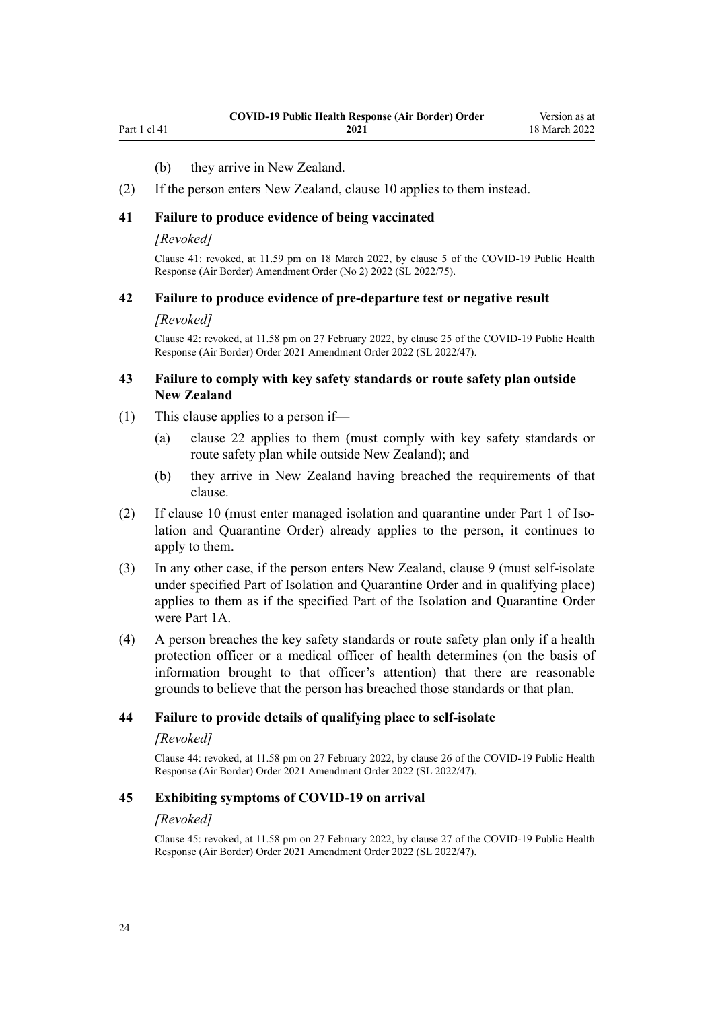<span id="page-23-0"></span>Part 1 cl 41

### (b) they arrive in New Zealand.

(2) If the person enters New Zealand, [clause 10](#page-12-0) applies to them instead.

#### **41 Failure to produce evidence of being vaccinated**

#### *[Revoked]*

Clause 41: revoked, at 11.59 pm on 18 March 2022, by [clause 5](http://legislation.govt.nz/pdflink.aspx?id=LMS664427) of the COVID-19 Public Health Response (Air Border) Amendment Order (No 2) 2022 (SL 2022/75).

#### **42 Failure to produce evidence of pre-departure test or negative result**

#### *[Revoked]*

Clause 42: revoked, at 11.58 pm on 27 February 2022, by [clause 25](http://legislation.govt.nz/pdflink.aspx?id=LMS650848) of the COVID-19 Public Health Response (Air Border) Order 2021 Amendment Order 2022 (SL 2022/47).

#### **43 Failure to comply with key safety standards or route safety plan outside New Zealand**

- (1) This clause applies to a person if—
	- (a) [clause 22](#page-16-0) applies to them (must comply with key safety standards or route safety plan while outside New Zealand); and
	- (b) they arrive in New Zealand having breached the requirements of that clause.
- (2) If [clause 10](#page-12-0) (must enter managed isolation and quarantine under [Part 1](http://legislation.govt.nz/pdflink.aspx?id=LMS401726) of Isolation and Quarantine Order) already applies to the person, it continues to apply to them.
- (3) In any other case, if the person enters New Zealand, [clause 9](#page-11-0) (must self-isolate under specified Part of Isolation and Quarantine Order and in qualifying place) applies to them as if the specified Part of the Isolation and Quarantine Order were [Part 1A.](http://legislation.govt.nz/pdflink.aspx?id=LMS415267)
- (4) A person breaches the key safety standards or route safety plan only if a health protection officer or a medical officer of health determines (on the basis of information brought to that officer's attention) that there are reasonable grounds to believe that the person has breached those standards or that plan.

#### **44 Failure to provide details of qualifying place to self-isolate**

#### *[Revoked]*

Clause 44: revoked, at 11.58 pm on 27 February 2022, by [clause 26](http://legislation.govt.nz/pdflink.aspx?id=LMS650849) of the COVID-19 Public Health Response (Air Border) Order 2021 Amendment Order 2022 (SL 2022/47).

#### **45 Exhibiting symptoms of COVID-19 on arrival**

#### *[Revoked]*

Clause 45: revoked, at 11.58 pm on 27 February 2022, by [clause 27](http://legislation.govt.nz/pdflink.aspx?id=LMS650850) of the COVID-19 Public Health Response (Air Border) Order 2021 Amendment Order 2022 (SL 2022/47).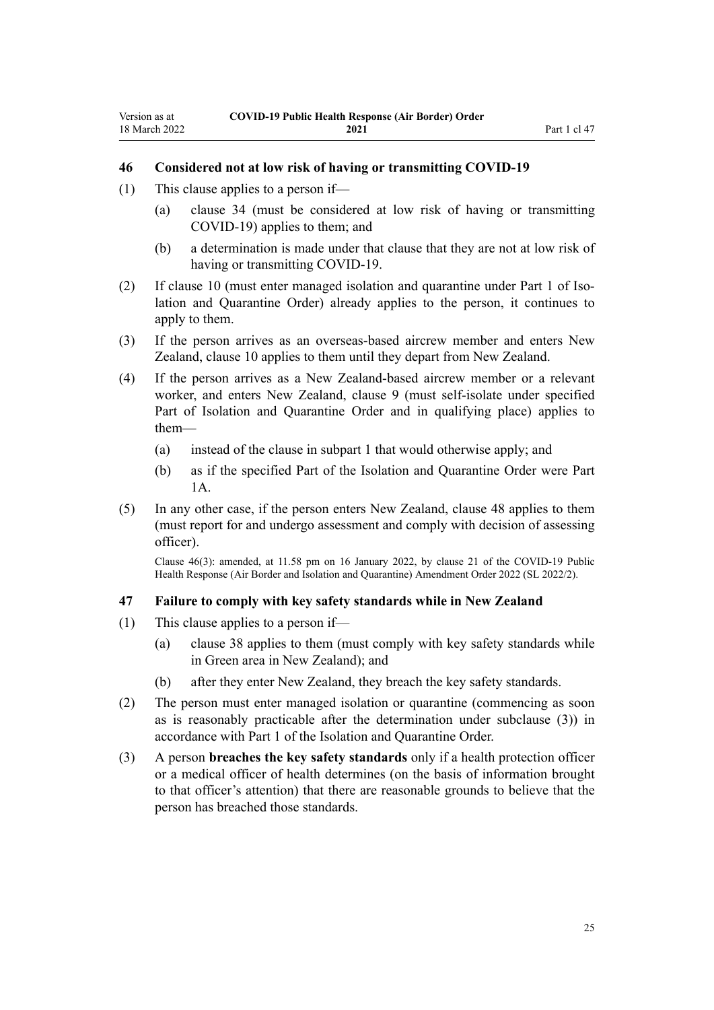#### <span id="page-24-0"></span>**46 Considered not at low risk of having or transmitting COVID-19**

- (1) This clause applies to a person if—
	- (a) [clause 34](#page-20-0) (must be considered at low risk of having or transmitting COVID-19) applies to them; and
	- (b) a determination is made under that clause that they are not at low risk of having or transmitting COVID-19.
- (2) If [clause 10](#page-12-0) (must enter managed isolation and quarantine under [Part 1](http://legislation.govt.nz/pdflink.aspx?id=LMS401726) of Isolation and Quarantine Order) already applies to the person, it continues to apply to them.
- (3) If the person arrives as an overseas-based aircrew member and enters New Zealand, [clause 10](#page-12-0) applies to them until they depart from New Zealand.
- (4) If the person arrives as a New Zealand-based aircrew member or a relevant worker, and enters New Zealand, [clause 9](#page-11-0) (must self-isolate under specified Part of Isolation and Quarantine Order and in qualifying place) applies to them—
	- (a) instead of the clause in [subpart 1](#page-10-0) that would otherwise apply; and
	- (b) as if the specified Part of the Isolation and Quarantine Order were [Part](http://legislation.govt.nz/pdflink.aspx?id=LMS415267) [1A](http://legislation.govt.nz/pdflink.aspx?id=LMS415267).
- (5) In any other case, if the person enters New Zealand, [clause 48](#page-25-0) applies to them (must report for and undergo assessment and comply with decision of assessing officer).

Clause 46(3): amended, at 11.58 pm on 16 January 2022, by [clause 21](http://legislation.govt.nz/pdflink.aspx?id=LMS629303) of the COVID-19 Public Health Response (Air Border and Isolation and Quarantine) Amendment Order 2022 (SL 2022/2).

#### **47 Failure to comply with key safety standards while in New Zealand**

- (1) This clause applies to a person if—
	- (a) [clause 38](#page-22-0) applies to them (must comply with key safety standards while in Green area in New Zealand); and
	- (b) after they enter New Zealand, they breach the key safety standards.
- (2) The person must enter managed isolation or quarantine (commencing as soon as is reasonably practicable after the determination under subclause (3)) in accordance with [Part 1](http://legislation.govt.nz/pdflink.aspx?id=LMS401726) of the Isolation and Quarantine Order.
- (3) A person **breaches the key safety standards** only if a health protection officer or a medical officer of health determines (on the basis of information brought to that officer's attention) that there are reasonable grounds to believe that the person has breached those standards.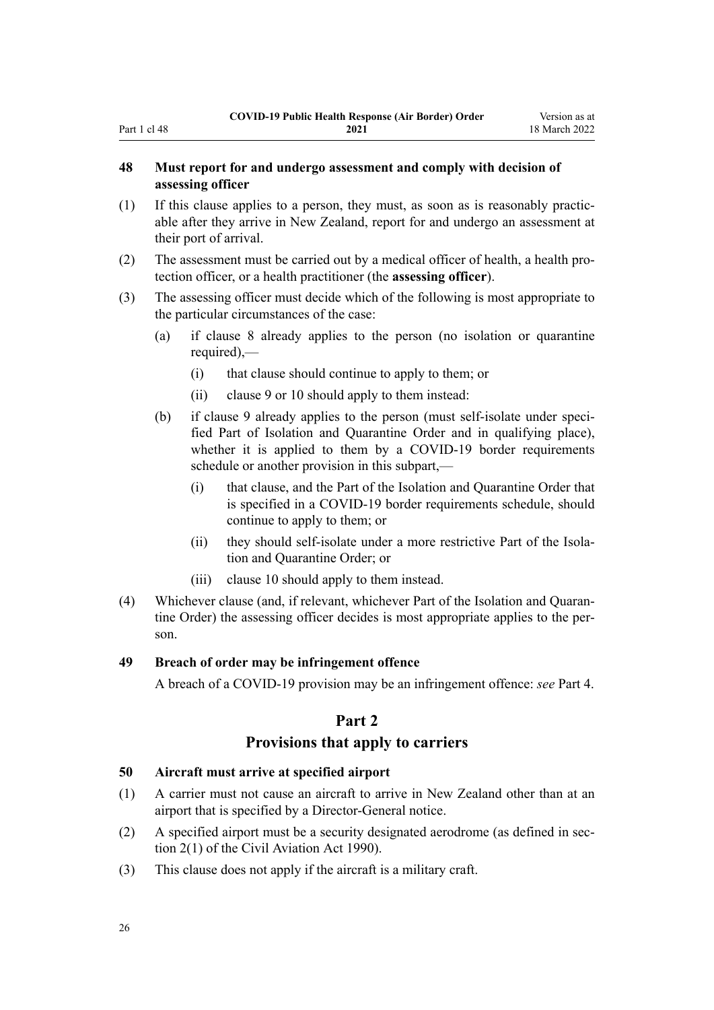# **48 Must report for and undergo assessment and comply with decision of assessing officer**

- (1) If this clause applies to a person, they must, as soon as is reasonably practic‐ able after they arrive in New Zealand, report for and undergo an assessment at their port of arrival.
- (2) The assessment must be carried out by a medical officer of health, a health pro‐ tection officer, or a health practitioner (the **assessing officer**).
- (3) The assessing officer must decide which of the following is most appropriate to the particular circumstances of the case:
	- (a) if [clause 8](#page-10-0) already applies to the person (no isolation or quarantine required),—
		- (i) that clause should continue to apply to them; or
		- (ii) [clause 9](#page-11-0) or [10](#page-12-0) should apply to them instead:
	- (b) if [clause 9](#page-11-0) already applies to the person (must self-isolate under speci‐ fied Part of Isolation and Quarantine Order and in qualifying place), whether it is applied to them by a COVID-19 border requirements schedule or another provision in this subpart,—
		- (i) that clause, and the Part of the Isolation and Quarantine Order that is specified in a COVID-19 border requirements schedule, should continue to apply to them; or
		- (ii) they should self-isolate under a more restrictive Part of the Isolation and Quarantine Order; or
		- (iii) [clause 10](#page-12-0) should apply to them instead.
- (4) Whichever clause (and, if relevant, whichever Part of the Isolation and Quaran‐ tine Order) the assessing officer decides is most appropriate applies to the person.

#### **49 Breach of order may be infringement offence**

A breach of a COVID-19 provision may be an infringement offence: *see* [Part 4.](#page-31-0)

# **Part 2**

# **Provisions that apply to carriers**

# **50 Aircraft must arrive at specified airport**

- (1) A carrier must not cause an aircraft to arrive in New Zealand other than at an airport that is specified by a Director-General notice.
- (2) A specified airport must be a security designated aerodrome (as defined in sec[tion 2\(1\)](http://legislation.govt.nz/pdflink.aspx?id=DLM214692) of the Civil Aviation Act 1990).
- (3) This clause does not apply if the aircraft is a military craft.

<span id="page-25-0"></span>Part 1 cl 48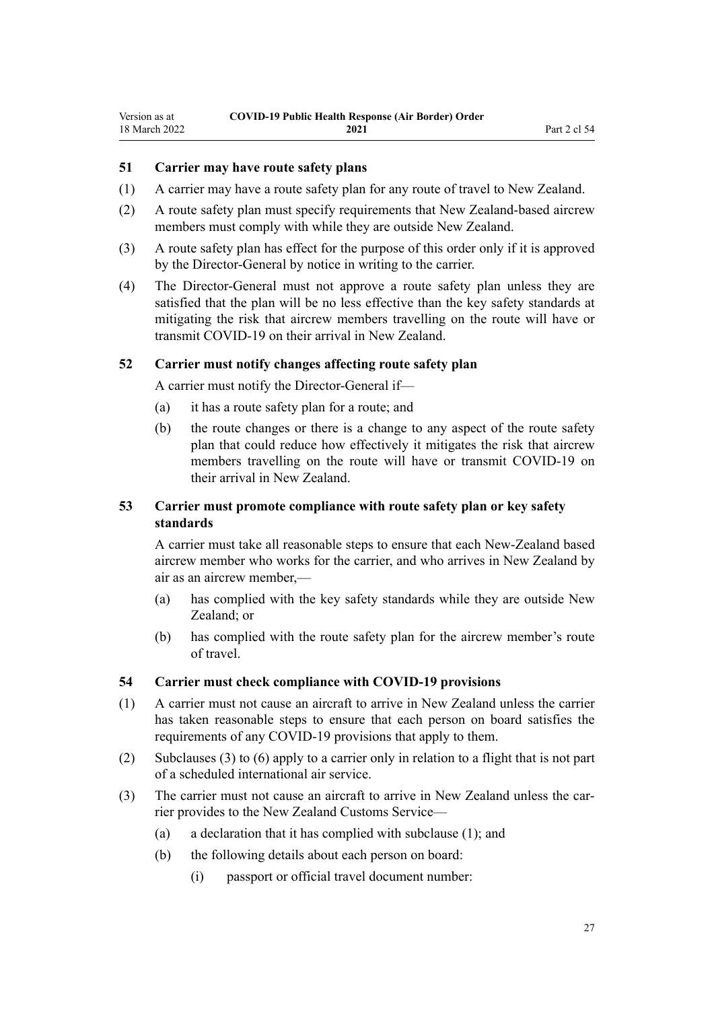# <span id="page-26-0"></span>**51 Carrier may have route safety plans**

- (1) A carrier may have a route safety plan for any route of travel to New Zealand.
- (2) A route safety plan must specify requirements that New Zealand-based aircrew members must comply with while they are outside New Zealand.
- (3) A route safety plan has effect for the purpose of this order only if it is approved by the Director-General by notice in writing to the carrier.
- (4) The Director-General must not approve a route safety plan unless they are satisfied that the plan will be no less effective than the key safety standards at mitigating the risk that aircrew members travelling on the route will have or transmit COVID-19 on their arrival in New Zealand.

#### **52 Carrier must notify changes affecting route safety plan**

A carrier must notify the Director-General if—

- (a) it has a route safety plan for a route; and
- (b) the route changes or there is a change to any aspect of the route safety plan that could reduce how effectively it mitigates the risk that aircrew members travelling on the route will have or transmit COVID-19 on their arrival in New Zealand.

# **53 Carrier must promote compliance with route safety plan or key safety standards**

A carrier must take all reasonable steps to ensure that each New-Zealand based aircrew member who works for the carrier, and who arrives in New Zealand by air as an aircrew member,—

- (a) has complied with the key safety standards while they are outside New Zealand; or
- (b) has complied with the route safety plan for the aircrew member's route of travel.

#### **54 Carrier must check compliance with COVID-19 provisions**

- (1) A carrier must not cause an aircraft to arrive in New Zealand unless the carrier has taken reasonable steps to ensure that each person on board satisfies the requirements of any COVID-19 provisions that apply to them.
- (2) Subclauses (3) to (6) apply to a carrier only in relation to a flight that is not part of a scheduled international air service.
- (3) The carrier must not cause an aircraft to arrive in New Zealand unless the carrier provides to the New Zealand Customs Service—
	- (a) a declaration that it has complied with subclause (1); and
	- (b) the following details about each person on board:
		- (i) passport or official travel document number: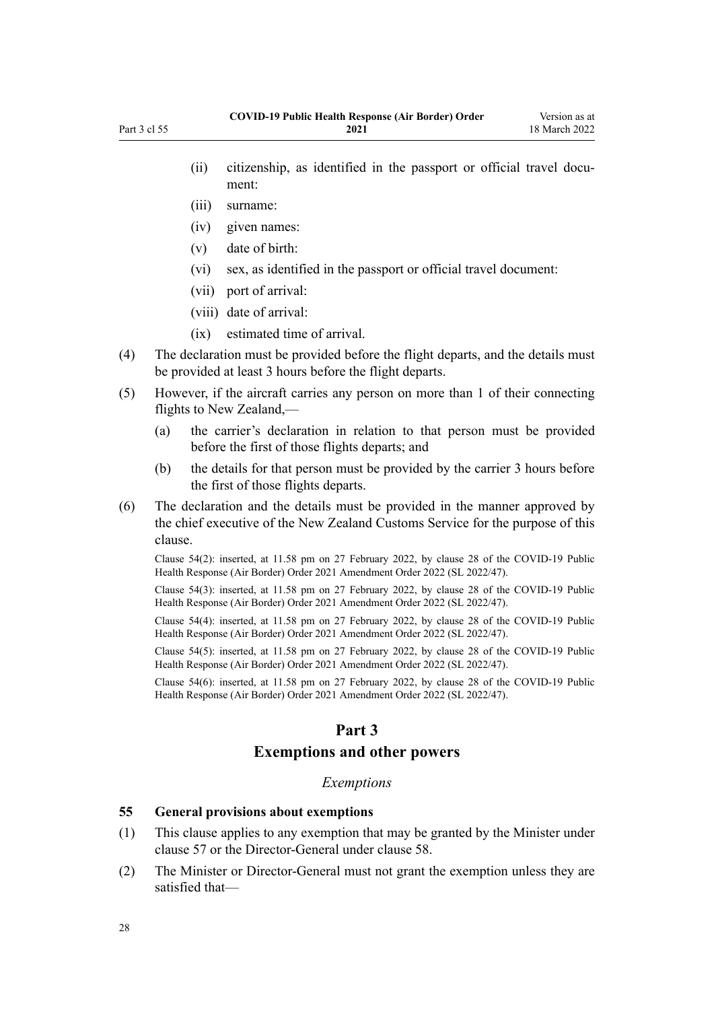- (ii) citizenship, as identified in the passport or official travel document:
- (iii) surname:

<span id="page-27-0"></span>Part 3 cl 55

- (iv) given names:
- (v) date of birth:
- (vi) sex, as identified in the passport or official travel document:
- (vii) port of arrival:
- (viii) date of arrival:
- (ix) estimated time of arrival.
- (4) The declaration must be provided before the flight departs, and the details must be provided at least 3 hours before the flight departs.
- (5) However, if the aircraft carries any person on more than 1 of their connecting flights to New Zealand,—
	- (a) the carrier's declaration in relation to that person must be provided before the first of those flights departs; and
	- (b) the details for that person must be provided by the carrier 3 hours before the first of those flights departs.
- (6) The declaration and the details must be provided in the manner approved by the chief executive of the New Zealand Customs Service for the purpose of this clause.

Clause 54(2): inserted, at 11.58 pm on 27 February 2022, by [clause 28](http://legislation.govt.nz/pdflink.aspx?id=LMS650851) of the COVID-19 Public Health Response (Air Border) Order 2021 Amendment Order 2022 (SL 2022/47).

Clause 54(3): inserted, at 11.58 pm on 27 February 2022, by [clause 28](http://legislation.govt.nz/pdflink.aspx?id=LMS650851) of the COVID-19 Public Health Response (Air Border) Order 2021 Amendment Order 2022 (SL 2022/47).

Clause 54(4): inserted, at 11.58 pm on 27 February 2022, by [clause 28](http://legislation.govt.nz/pdflink.aspx?id=LMS650851) of the COVID-19 Public Health Response (Air Border) Order 2021 Amendment Order 2022 (SL 2022/47).

Clause 54(5): inserted, at 11.58 pm on 27 February 2022, by [clause 28](http://legislation.govt.nz/pdflink.aspx?id=LMS650851) of the COVID-19 Public Health Response (Air Border) Order 2021 Amendment Order 2022 (SL 2022/47).

Clause 54(6): inserted, at 11.58 pm on 27 February 2022, by [clause 28](http://legislation.govt.nz/pdflink.aspx?id=LMS650851) of the COVID-19 Public Health Response (Air Border) Order 2021 Amendment Order 2022 (SL 2022/47).

# **Part 3**

# **Exemptions and other powers**

#### *Exemptions*

#### **55 General provisions about exemptions**

- (1) This clause applies to any exemption that may be granted by the Minister under [clause 57](#page-29-0) or the Director-General under [clause 58.](#page-29-0)
- (2) The Minister or Director-General must not grant the exemption unless they are satisfied that—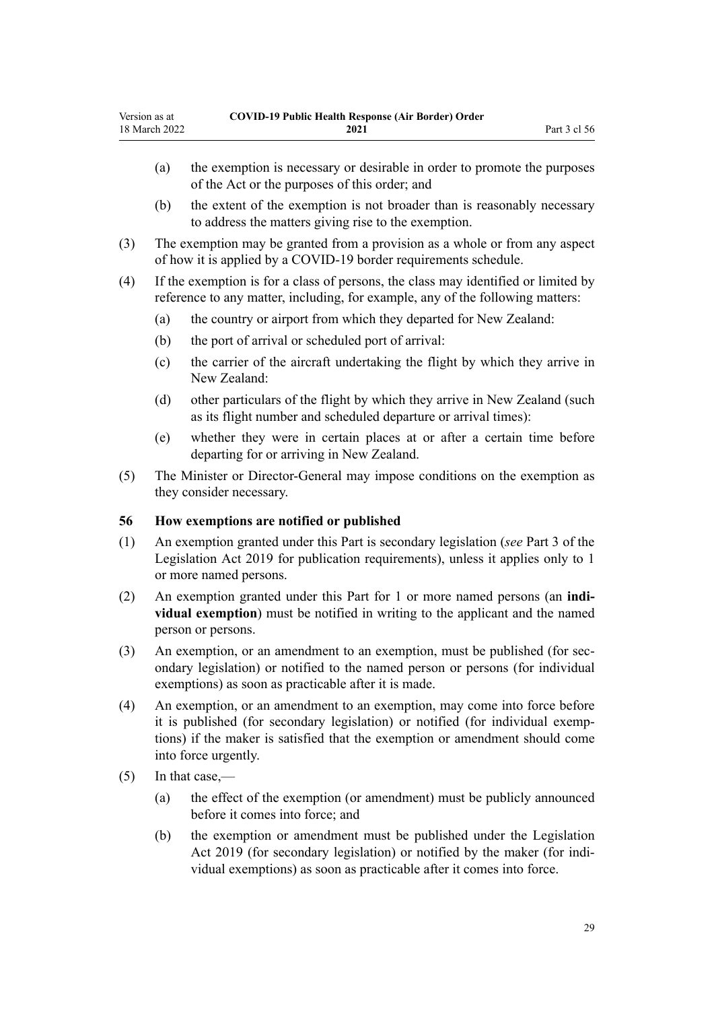- <span id="page-28-0"></span>(a) the exemption is necessary or desirable in order to promote the purposes of the Act or the purposes of this order; and
- (b) the extent of the exemption is not broader than is reasonably necessary to address the matters giving rise to the exemption.
- (3) The exemption may be granted from a provision as a whole or from any aspect of how it is applied by a COVID-19 border requirements schedule.
- (4) If the exemption is for a class of persons, the class may identified or limited by reference to any matter, including, for example, any of the following matters:
	- (a) the country or airport from which they departed for New Zealand:
	- (b) the port of arrival or scheduled port of arrival:
	- (c) the carrier of the aircraft undertaking the flight by which they arrive in New Zealand:
	- (d) other particulars of the flight by which they arrive in New Zealand (such as its flight number and scheduled departure or arrival times):
	- (e) whether they were in certain places at or after a certain time before departing for or arriving in New Zealand.
- (5) The Minister or Director-General may impose conditions on the exemption as they consider necessary.

#### **56 How exemptions are notified or published**

- (1) An exemption granted under this Part is secondary legislation (*see* [Part 3](http://legislation.govt.nz/pdflink.aspx?id=DLM7298343) of the Legislation Act 2019 for publication requirements), unless it applies only to 1 or more named persons.
- (2) An exemption granted under this Part for 1 or more named persons (an **indi‐ vidual exemption**) must be notified in writing to the applicant and the named person or persons.
- (3) An exemption, or an amendment to an exemption, must be published (for secondary legislation) or notified to the named person or persons (for individual exemptions) as soon as practicable after it is made.
- (4) An exemption, or an amendment to an exemption, may come into force before it is published (for secondary legislation) or notified (for individual exemp‐ tions) if the maker is satisfied that the exemption or amendment should come into force urgently.
- (5) In that case,—
	- (a) the effect of the exemption (or amendment) must be publicly announced before it comes into force; and
	- (b) the exemption or amendment must be published under the [Legislation](http://legislation.govt.nz/pdflink.aspx?id=DLM7298104) [Act 2019](http://legislation.govt.nz/pdflink.aspx?id=DLM7298104) (for secondary legislation) or notified by the maker (for individual exemptions) as soon as practicable after it comes into force.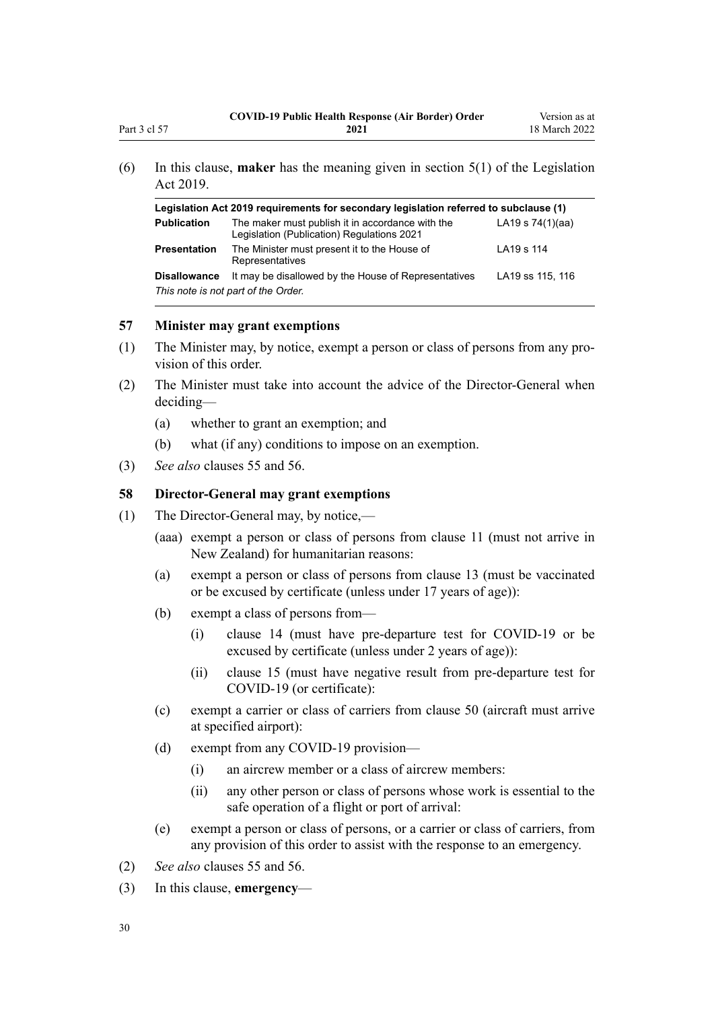<span id="page-29-0"></span>(6) In this clause, **maker** has the meaning given in [section 5\(1\)](http://legislation.govt.nz/pdflink.aspx?id=DLM7298133) of the Legislation Act 2019.

| Legislation Act 2019 requirements for secondary legislation referred to subclause (1) |                                                                                                |                    |
|---------------------------------------------------------------------------------------|------------------------------------------------------------------------------------------------|--------------------|
| <b>Publication</b>                                                                    | The maker must publish it in accordance with the<br>Legislation (Publication) Regulations 2021 | LA19 s $74(1)(aa)$ |
| <b>Presentation</b>                                                                   | The Minister must present it to the House of<br>Representatives                                | LA19 s 114         |
| <b>Disallowance</b>                                                                   | It may be disallowed by the House of Representatives<br>This note is not part of the Order.    | LA19 ss 115, 116   |

#### **57 Minister may grant exemptions**

- (1) The Minister may, by notice, exempt a person or class of persons from any pro‐ vision of this order.
- (2) The Minister must take into account the advice of the Director-General when deciding—
	- (a) whether to grant an exemption; and
	- (b) what (if any) conditions to impose on an exemption.
- (3) *See also* [clauses 55](#page-27-0) and [56.](#page-28-0)

# **58 Director-General may grant exemptions**

- (1) The Director-General may, by notice,—
	- (aaa) exempt a person or class of persons from [clause 11](#page-12-0) (must not arrive in New Zealand) for humanitarian reasons:
	- (a) exempt a person or class of persons from [clause 13](#page-12-0) (must be vaccinated or be excused by certificate (unless under 17 years of age)):
	- (b) exempt a class of persons from—
		- (i) [clause 14](#page-13-0) (must have pre-departure test for COVID-19 or be excused by certificate (unless under 2 years of age)):
		- (ii) [clause 15](#page-14-0) (must have negative result from pre-departure test for COVID-19 (or certificate):
	- (c) exempt a carrier or class of carriers from [clause 50](#page-25-0) (aircraft must arrive at specified airport):
	- (d) exempt from any COVID-19 provision—
		- (i) an aircrew member or a class of aircrew members:
		- (ii) any other person or class of persons whose work is essential to the safe operation of a flight or port of arrival:
	- (e) exempt a person or class of persons, or a carrier or class of carriers, from any provision of this order to assist with the response to an emergency.
- (2) *See also* [clauses 55](#page-27-0) and [56.](#page-28-0)
- (3) In this clause, **emergency**—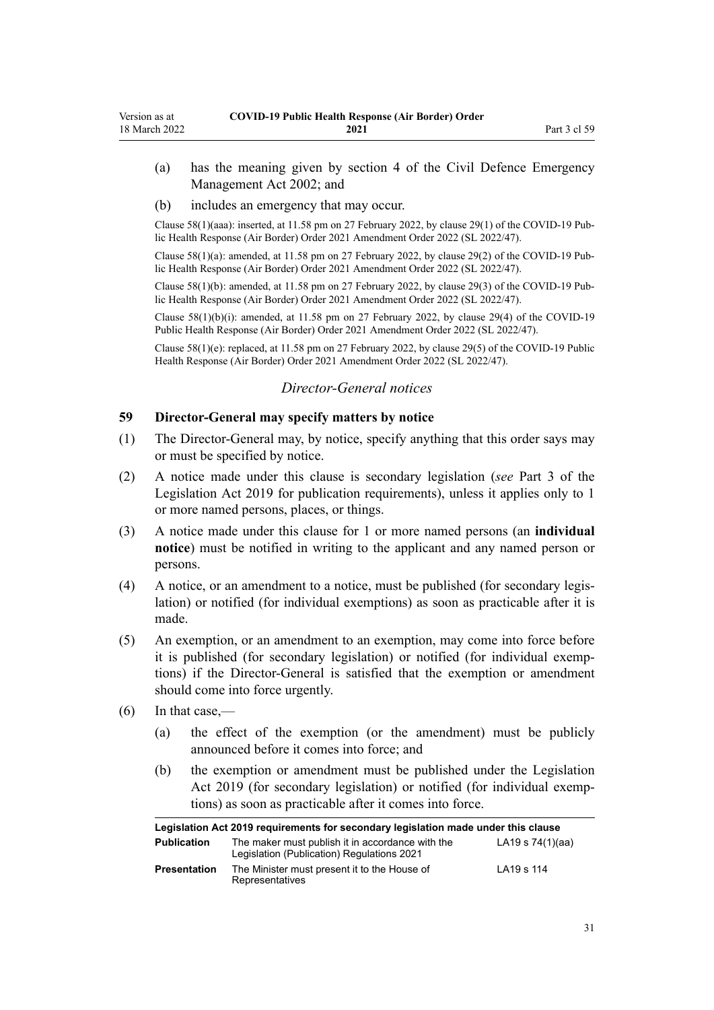- <span id="page-30-0"></span>(a) has the meaning given by [section 4](http://legislation.govt.nz/pdflink.aspx?id=DLM149796) of the Civil Defence Emergency Management Act 2002; and
- (b) includes an emergency that may occur.

Clause 58(1)(aaa): inserted, at 11.58 pm on 27 February 2022, by [clause 29\(1\)](http://legislation.govt.nz/pdflink.aspx?id=LMS650852) of the COVID-19 Pub‐ lic Health Response (Air Border) Order 2021 Amendment Order 2022 (SL 2022/47).

Clause 58(1)(a): amended, at 11.58 pm on 27 February 2022, by [clause 29\(2\)](http://legislation.govt.nz/pdflink.aspx?id=LMS650852) of the COVID-19 Pub‐ lic Health Response (Air Border) Order 2021 Amendment Order 2022 (SL 2022/47).

Clause  $58(1)(b)$ : amended, at 11.58 pm on 27 February 2022, by [clause 29\(3\)](http://legislation.govt.nz/pdflink.aspx?id=LMS650852) of the COVID-19 Public Health Response (Air Border) Order 2021 Amendment Order 2022 (SL 2022/47).

Clause 58(1)(b)(i): amended, at 11.58 pm on 27 February 2022, by [clause 29\(4\)](http://legislation.govt.nz/pdflink.aspx?id=LMS650852) of the COVID-19 Public Health Response (Air Border) Order 2021 Amendment Order 2022 (SL 2022/47).

Clause 58(1)(e): replaced, at 11.58 pm on 27 February 2022, by [clause 29\(5\)](http://legislation.govt.nz/pdflink.aspx?id=LMS650852) of the COVID-19 Public Health Response (Air Border) Order 2021 Amendment Order 2022 (SL 2022/47).

# *Director-General notices*

### **59 Director-General may specify matters by notice**

- (1) The Director-General may, by notice, specify anything that this order says may or must be specified by notice.
- (2) A notice made under this clause is secondary legislation (*see* [Part 3](http://legislation.govt.nz/pdflink.aspx?id=DLM7298343) of the Legislation Act 2019 for publication requirements), unless it applies only to 1 or more named persons, places, or things.
- (3) A notice made under this clause for 1 or more named persons (an **individual notice**) must be notified in writing to the applicant and any named person or persons.
- (4) A notice, or an amendment to a notice, must be published (for secondary legis‐ lation) or notified (for individual exemptions) as soon as practicable after it is made.
- (5) An exemption, or an amendment to an exemption, may come into force before it is published (for secondary legislation) or notified (for individual exemp‐ tions) if the Director-General is satisfied that the exemption or amendment should come into force urgently.
- $(6)$  In that case,—
	- (a) the effect of the exemption (or the amendment) must be publicly announced before it comes into force; and
	- (b) the exemption or amendment must be published under the [Legislation](http://legislation.govt.nz/pdflink.aspx?id=DLM7298104) [Act 2019](http://legislation.govt.nz/pdflink.aspx?id=DLM7298104) (for secondary legislation) or notified (for individual exemptions) as soon as practicable after it comes into force.

| Legislation Act 2019 requirements for secondary legislation made under this clause |                                                                                                |                    |
|------------------------------------------------------------------------------------|------------------------------------------------------------------------------------------------|--------------------|
| <b>Publication</b>                                                                 | The maker must publish it in accordance with the<br>Legislation (Publication) Regulations 2021 | LA19 s $74(1)(aa)$ |
| <b>Presentation</b>                                                                | The Minister must present it to the House of<br>Representatives                                | LA19 s 114         |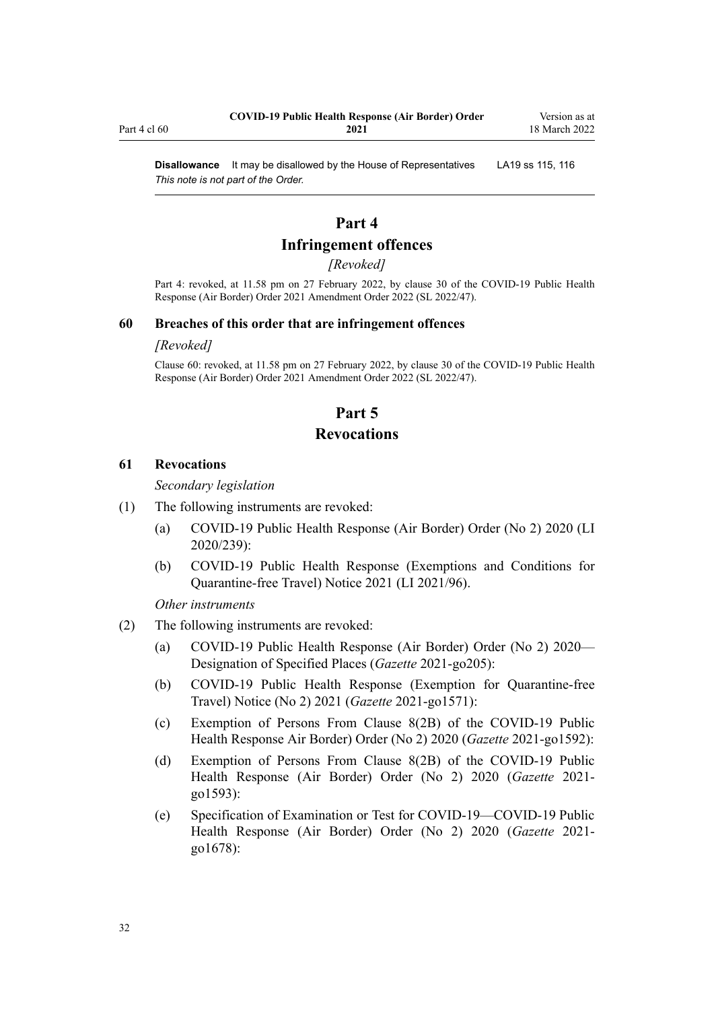**Disallowance** It may be disallowed by the House of Representatives LA19 [ss 115](http://legislation.govt.nz/pdflink.aspx?id=DLM7298431), [116](http://legislation.govt.nz/pdflink.aspx?id=DLM7298432) *This note is not part of the Order.*

# **Part 4**

# **Infringement offences**

#### *[Revoked]*

Part 4: revoked, at 11.58 pm on 27 February 2022, by [clause 30](http://legislation.govt.nz/pdflink.aspx?id=LMS650853) of the COVID-19 Public Health Response (Air Border) Order 2021 Amendment Order 2022 (SL 2022/47).

#### **60 Breaches of this order that are infringement offences**

#### *[Revoked]*

Clause 60: revoked, at 11.58 pm on 27 February 2022, by [clause 30](http://legislation.govt.nz/pdflink.aspx?id=LMS650853) of the COVID-19 Public Health Response (Air Border) Order 2021 Amendment Order 2022 (SL 2022/47).

# **Part 5**

# **Revocations**

#### **61 Revocations**

*Secondary legislation*

- (1) The following instruments are revoked:
	- (a) [COVID-19 Public Health Response \(Air Border\) Order \(No 2\) 2020](http://legislation.govt.nz/pdflink.aspx?id=LMS403345) (LI 2020/239):
	- (b) [COVID-19 Public Health Response \(Exemptions and Conditions for](http://legislation.govt.nz/pdflink.aspx?id=LMS492859) [Quarantine-free Travel\) Notice 2021](http://legislation.govt.nz/pdflink.aspx?id=LMS492859) (LI 2021/96).

*Other instruments*

- (2) The following instruments are revoked:
	- (a) [COVID-19 Public Health Response \(Air Border\) Order \(No 2\) 2020—](https://gazette.govt.nz/notice/id/2021-go205) [Designation of Specified Places](https://gazette.govt.nz/notice/id/2021-go205) (*Gazette* 2021-go205):
	- (b) [COVID-19 Public Health Response \(Exemption for Quarantine-free](https://gazette.govt.nz/notice/id/2021-go1571?year=2021=1571) [Travel\) Notice \(No 2\) 2021](https://gazette.govt.nz/notice/id/2021-go1571?year=2021=1571) (*Gazette* 2021-go1571):
	- (c) [Exemption of Persons From Clause 8\(2B\) of the COVID-19 Public](https://gazette.govt.nz/notice/id/2021-go1592?year=2021=1592) [Health Response Air Border\) Order \(No 2\) 2020](https://gazette.govt.nz/notice/id/2021-go1592?year=2021=1592) (*Gazette* 2021-go1592):
	- (d) [Exemption of Persons From Clause 8\(2B\) of the COVID-19 Public](https://gazette.govt.nz/notice/id/2021-go1593?year=2021=1593) [Health Response \(Air Border\) Order \(No 2\) 2020](https://gazette.govt.nz/notice/id/2021-go1593?year=2021=1593) (*Gazette* 2021 go1593):
	- (e) [Specification of Examination or Test for COVID-19—COVID-19 Public](https://gazette.govt.nz/notice/id/2021-go1678?year=2021=1678) [Health Response \(Air Border\) Order \(No 2\) 2020](https://gazette.govt.nz/notice/id/2021-go1678?year=2021=1678) (*Gazette* 2021 go1678):

<span id="page-31-0"></span>Part 4 cl 60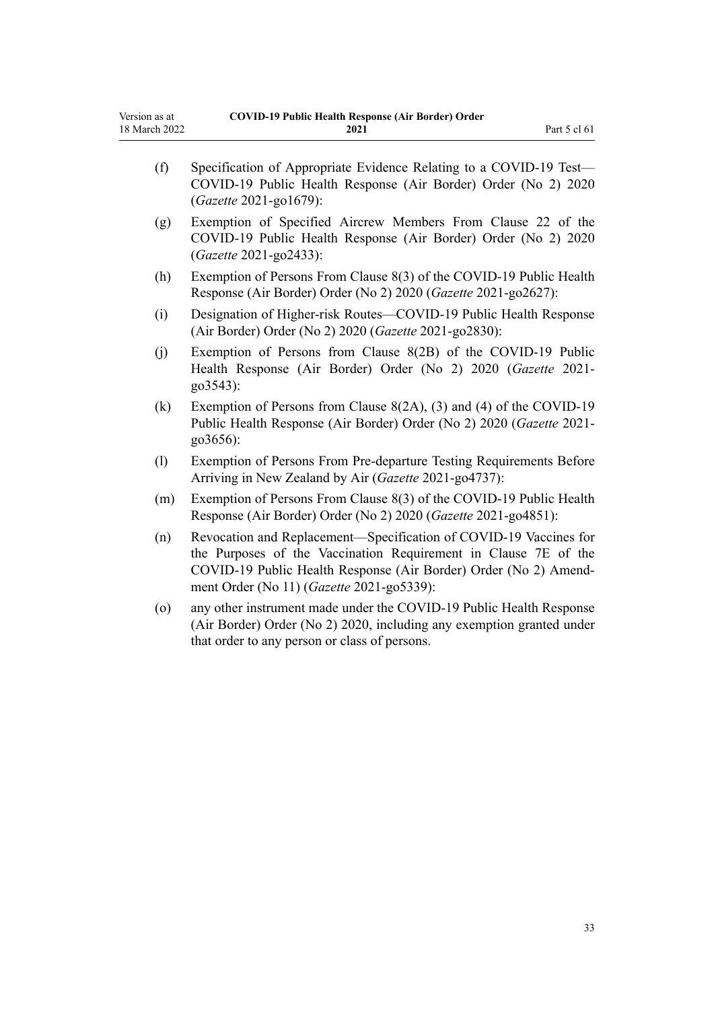| (f)     | Specification of Appropriate Evidence Relating to a COVID-19 Test-<br>COVID-19 Public Health Response (Air Border) Order (No 2) 2020<br>(Gazette 2021-go1679):                                                                                        |
|---------|-------------------------------------------------------------------------------------------------------------------------------------------------------------------------------------------------------------------------------------------------------|
| (g)     | Exemption of Specified Aircrew Members From Clause 22 of the<br>COVID-19 Public Health Response (Air Border) Order (No 2) 2020<br>(Gazette 2021-go2433):                                                                                              |
| (h)     | Exemption of Persons From Clause 8(3) of the COVID-19 Public Health<br>Response (Air Border) Order (No 2) 2020 (Gazette 2021-go2627):                                                                                                                 |
| (i)     | Designation of Higher-risk Routes—COVID-19 Public Health Response<br>(Air Border) Order (No 2) 2020 (Gazette 2021-go2830):                                                                                                                            |
| (j)     | Exemption of Persons from Clause 8(2B) of the COVID-19 Public<br>Health Response (Air Border) Order (No 2) 2020 (Gazette 2021-<br>go3543):                                                                                                            |
| (k)     | Exemption of Persons from Clause $8(2A)$ , (3) and (4) of the COVID-19<br>Public Health Response (Air Border) Order (No 2) 2020 (Gazette 2021-<br>go3656):                                                                                            |
| (1)     | Exemption of Persons From Pre-departure Testing Requirements Before<br>Arriving in New Zealand by Air (Gazette 2021-go4737):                                                                                                                          |
| (m)     | Exemption of Persons From Clause 8(3) of the COVID-19 Public Health<br>Response (Air Border) Order (No 2) 2020 (Gazette 2021-go4851):                                                                                                                 |
| (n)     | Revocation and Replacement-Specification of COVID-19 Vaccines for<br>the Purposes of the Vaccination Requirement in Clause 7E of the<br>COVID-19 Public Health Response (Air Border) Order (No 2) Amend-<br>ment Order (No 11) (Gazette 2021-go5339): |
| $\circ$ | any other instrument made under the COVID-19 Public Health Response<br>(Air Border) Order (No 2) 2020, including any exemption granted under<br>that order to any person or class of persons.                                                         |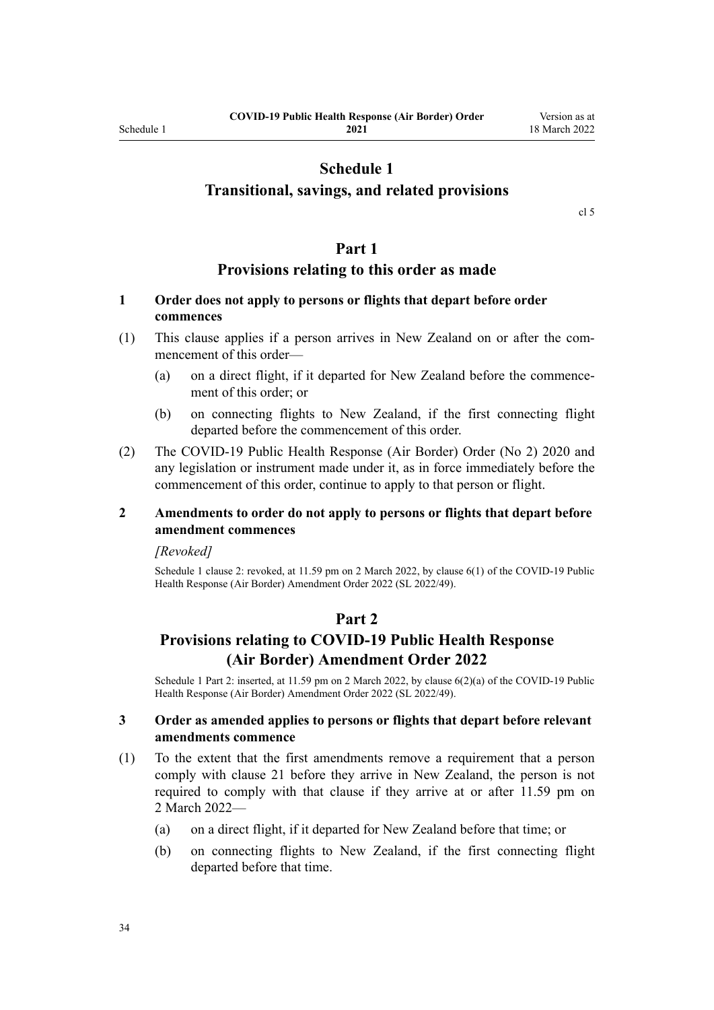# **Schedule 1**

# <span id="page-33-0"></span>**Transitional, savings, and related provisions**

[cl 5](#page-9-0)

#### **Part 1**

### **Provisions relating to this order as made**

### **1 Order does not apply to persons or flights that depart before order commences**

- (1) This clause applies if a person arrives in New Zealand on or after the com‐ mencement of this order—
	- (a) on a direct flight, if it departed for New Zealand before the commence‐ ment of this order; or
	- (b) on connecting flights to New Zealand, if the first connecting flight departed before the commencement of this order.
- (2) The [COVID-19 Public Health Response \(Air Border\) Order \(No 2\) 2020](http://legislation.govt.nz/pdflink.aspx?id=LMS403345) and any legislation or instrument made under it, as in force immediately before the commencement of this order, continue to apply to that person or flight.

#### **2 Amendments to order do not apply to persons or flights that depart before amendment commences**

#### *[Revoked]*

Schedule 1 clause 2: revoked, at 11.59 pm on 2 March 2022, by [clause 6\(1\)](http://legislation.govt.nz/pdflink.aspx?id=LMS653779) of the COVID-19 Public Health Response (Air Border) Amendment Order 2022 (SL 2022/49).

# **Part 2**

# **Provisions relating to COVID-19 Public Health Response (Air Border) Amendment Order 2022**

Schedule 1 Part 2: inserted, at 11.59 pm on 2 March 2022, by [clause 6\(2\)\(a\)](http://legislation.govt.nz/pdflink.aspx?id=LMS653779) of the COVID-19 Public Health Response (Air Border) Amendment Order 2022 (SL 2022/49).

#### **3 Order as amended applies to persons or flights that depart before relevant amendments commence**

- (1) To the extent that the first amendments remove a requirement that a person comply with [clause 21](#page-15-0) before they arrive in New Zealand, the person is not required to comply with that clause if they arrive at or after 11.59 pm on 2 March 2022—
	- (a) on a direct flight, if it departed for New Zealand before that time; or
	- (b) on connecting flights to New Zealand, if the first connecting flight departed before that time.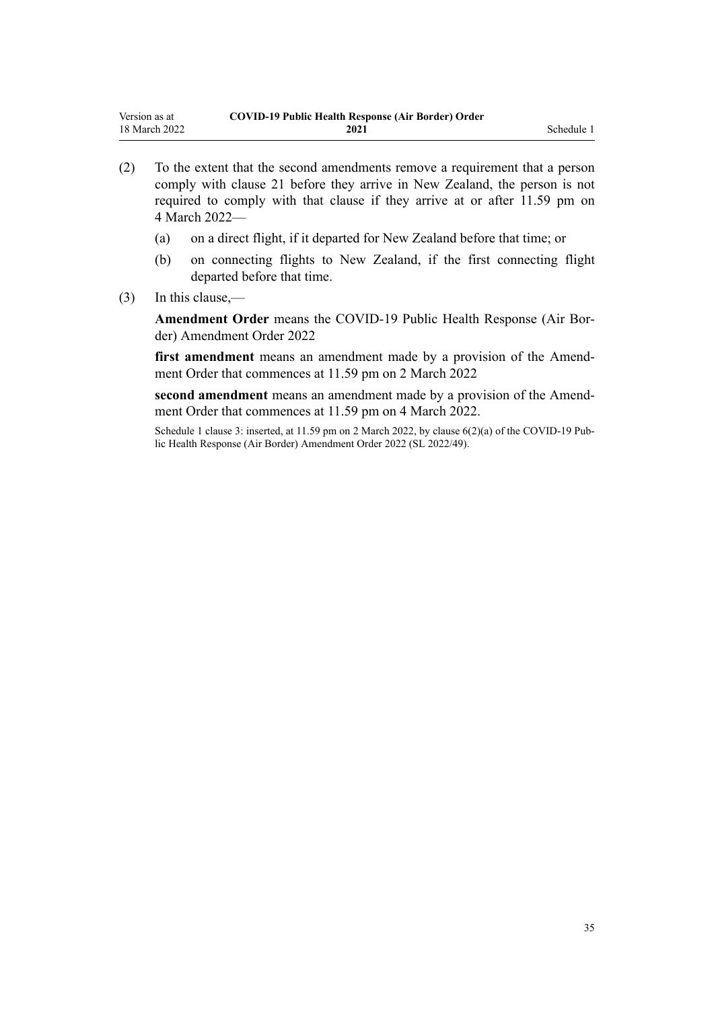- (2) To the extent that the second amendments remove a requirement that a person comply with [clause 21](#page-15-0) before they arrive in New Zealand, the person is not required to comply with that clause if they arrive at or after 11.59 pm on 4 March 2022—
	- (a) on a direct flight, if it departed for New Zealand before that time; or
	- (b) on connecting flights to New Zealand, if the first connecting flight departed before that time.
- (3) In this clause,—

**Amendment Order** means the [COVID-19 Public Health Response \(Air Bor‐](http://legislation.govt.nz/pdflink.aspx?id=LMS653771) [der\) Amendment Order 2022](http://legislation.govt.nz/pdflink.aspx?id=LMS653771)

first amendment means an amendment made by a provision of the Amendment Order that commences at 11.59 pm on 2 March 2022

second amendment means an amendment made by a provision of the Amendment Order that commences at 11.59 pm on 4 March 2022.

Schedule 1 clause 3: inserted, at 11.59 pm on 2 March 2022, by [clause 6\(2\)\(a\)](http://legislation.govt.nz/pdflink.aspx?id=LMS653779) of the COVID-19 Public Health Response (Air Border) Amendment Order 2022 (SL 2022/49).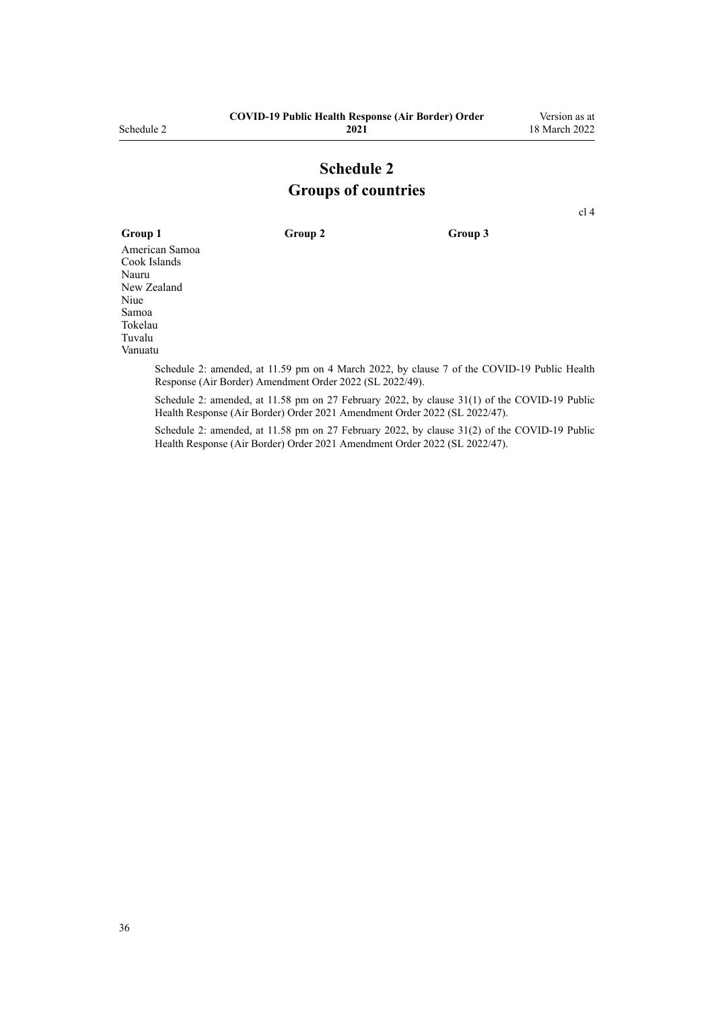# **Schedule 2 Groups of countries**

[cl 4](#page-4-0)

<span id="page-35-0"></span>**Group 1 Group 2 Group 3** American Samoa Cook Islands Nauru New Zealand Niue Samoa Tokelau Tuvalu

Vanuatu

Schedule 2: amended, at 11.59 pm on 4 March 2022, by [clause 7](http://legislation.govt.nz/pdflink.aspx?id=LMS653780) of the COVID-19 Public Health Response (Air Border) Amendment Order 2022 (SL 2022/49).

Schedule 2: amended, at 11.58 pm on 27 February 2022, by [clause 31\(1\)](http://legislation.govt.nz/pdflink.aspx?id=LMS650856) of the COVID-19 Public Health Response (Air Border) Order 2021 Amendment Order 2022 (SL 2022/47).

Schedule 2: amended, at 11.58 pm on 27 February 2022, by [clause 31\(2\)](http://legislation.govt.nz/pdflink.aspx?id=LMS650856) of the COVID-19 Public Health Response (Air Border) Order 2021 Amendment Order 2022 (SL 2022/47).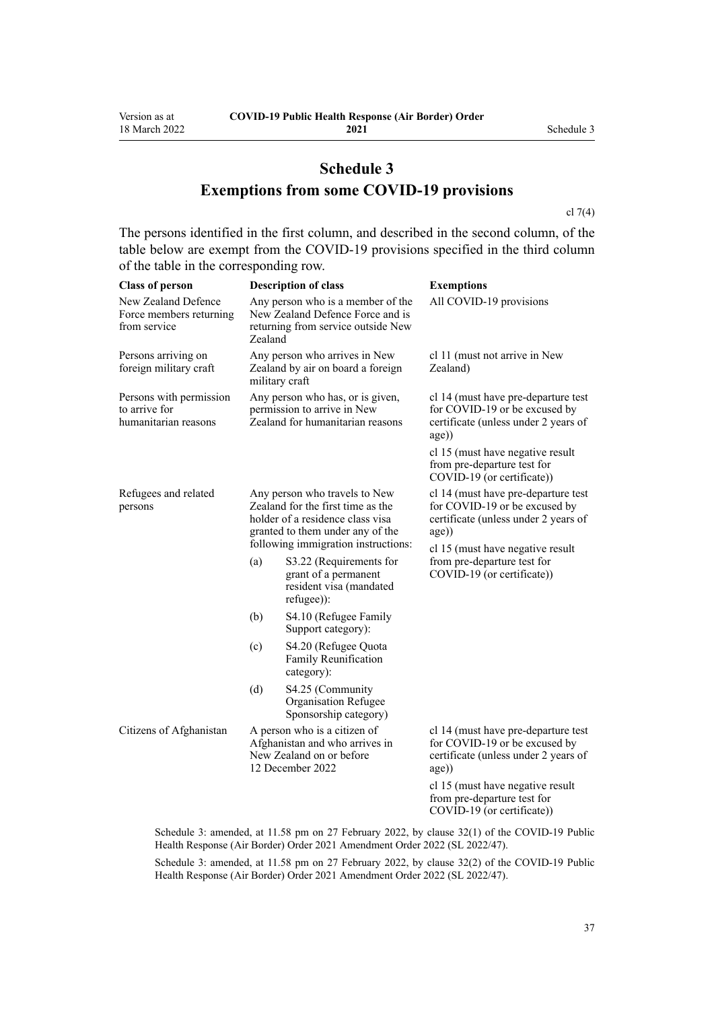# **Schedule 3 Exemptions from some COVID-19 provisions**

[cl 7\(4\)](#page-9-0)

The persons identified in the first column, and described in the second column, of the table below are exempt from the COVID-19 provisions specified in the third column of the table in the corresponding row.

| <b>Class of person</b>                                           |                                                                                                                                                                                   | <b>Description of class</b>                                                                                    | <b>Exemptions</b>                                                                                                     |
|------------------------------------------------------------------|-----------------------------------------------------------------------------------------------------------------------------------------------------------------------------------|----------------------------------------------------------------------------------------------------------------|-----------------------------------------------------------------------------------------------------------------------|
| New Zealand Defence<br>Force members returning<br>from service   | Zealand                                                                                                                                                                           | Any person who is a member of the<br>New Zealand Defence Force and is<br>returning from service outside New    | All COVID-19 provisions                                                                                               |
| Persons arriving on<br>foreign military craft                    |                                                                                                                                                                                   | Any person who arrives in New<br>Zealand by air on board a foreign<br>military craft                           | cl 11 (must not arrive in New<br>Zealand)                                                                             |
| Persons with permission<br>to arrive for<br>humanitarian reasons | Any person who has, or is given,<br>permission to arrive in New<br>Zealand for humanitarian reasons                                                                               |                                                                                                                | cl 14 (must have pre-departure test<br>for COVID-19 or be excused by<br>certificate (unless under 2 years of<br>age)) |
|                                                                  |                                                                                                                                                                                   |                                                                                                                | cl 15 (must have negative result<br>from pre-departure test for<br>COVID-19 (or certificate))                         |
| Refugees and related<br>persons                                  | Any person who travels to New<br>Zealand for the first time as the<br>holder of a residence class visa<br>granted to them under any of the<br>following immigration instructions: |                                                                                                                | cl 14 (must have pre-departure test<br>for COVID-19 or be excused by<br>certificate (unless under 2 years of<br>age)) |
|                                                                  | (a)                                                                                                                                                                               | S3.22 (Requirements for<br>grant of a permanent<br>resident visa (mandated<br>refugee)):                       | cl 15 (must have negative result<br>from pre-departure test for<br>COVID-19 (or certificate))                         |
|                                                                  | (b)                                                                                                                                                                               | S4.10 (Refugee Family<br>Support category):                                                                    |                                                                                                                       |
|                                                                  | (c)                                                                                                                                                                               | S4.20 (Refugee Quota<br>Family Reunification<br>category):                                                     |                                                                                                                       |
|                                                                  | (d)                                                                                                                                                                               | S4.25 (Community<br>Organisation Refugee<br>Sponsorship category)                                              |                                                                                                                       |
| Citizens of Afghanistan                                          |                                                                                                                                                                                   | A person who is a citizen of<br>Afghanistan and who arrives in<br>New Zealand on or before<br>12 December 2022 | cl 14 (must have pre-departure test<br>for COVID-19 or be excused by<br>certificate (unless under 2 years of<br>age)  |
|                                                                  |                                                                                                                                                                                   |                                                                                                                | cl 15 (must have negative result<br>from pre-departure test for<br>COVID-19 (or certificate))                         |

Schedule 3: amended, at 11.58 pm on 27 February 2022, by [clause 32\(1\)](http://legislation.govt.nz/pdflink.aspx?id=LMS650857) of the COVID-19 Public Health Response (Air Border) Order 2021 Amendment Order 2022 (SL 2022/47).

Schedule 3: amended, at 11.58 pm on 27 February 2022, by [clause 32\(2\)](http://legislation.govt.nz/pdflink.aspx?id=LMS650857) of the COVID-19 Public Health Response (Air Border) Order 2021 Amendment Order 2022 (SL 2022/47).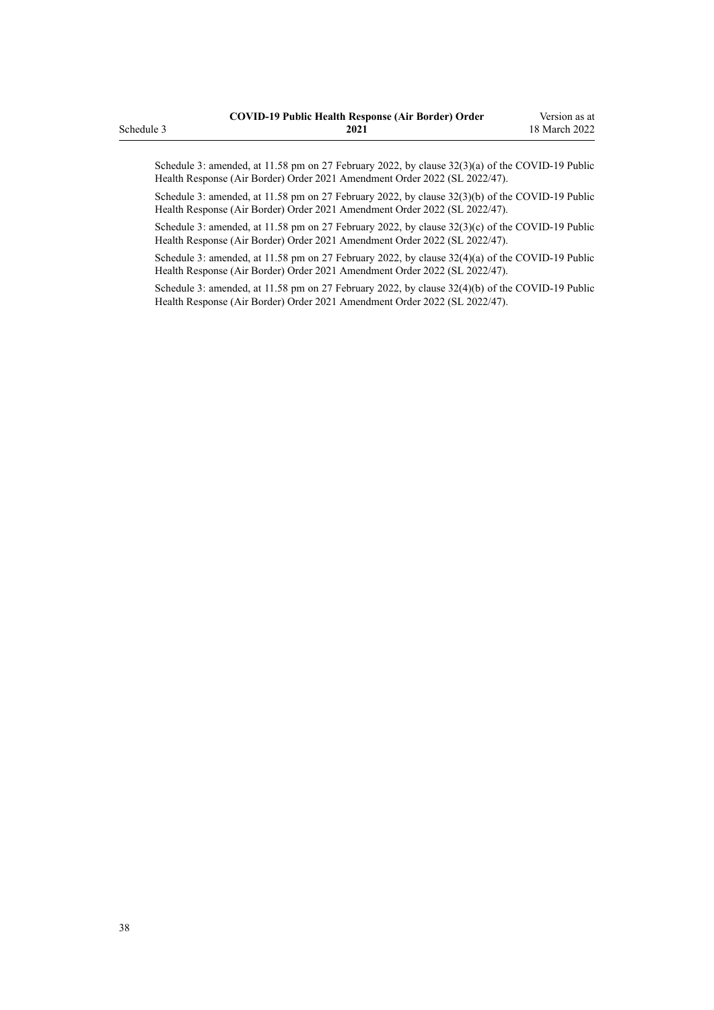Schedule 3: amended, at 11.58 pm on 27 February 2022, by [clause 32\(3\)\(a\)](http://legislation.govt.nz/pdflink.aspx?id=LMS650857) of the COVID-19 Public Health Response (Air Border) Order 2021 Amendment Order 2022 (SL 2022/47).

Schedule 3: amended, at 11.58 pm on 27 February 2022, by [clause 32\(3\)\(b\)](http://legislation.govt.nz/pdflink.aspx?id=LMS650857) of the COVID-19 Public Health Response (Air Border) Order 2021 Amendment Order 2022 (SL 2022/47).

Schedule 3: amended, at 11.58 pm on 27 February 2022, by [clause 32\(3\)\(c\)](http://legislation.govt.nz/pdflink.aspx?id=LMS650857) of the COVID-19 Public Health Response (Air Border) Order 2021 Amendment Order 2022 (SL 2022/47).

Schedule 3: amended, at 11.58 pm on 27 February 2022, by [clause 32\(4\)\(a\)](http://legislation.govt.nz/pdflink.aspx?id=LMS650857) of the COVID-19 Public Health Response (Air Border) Order 2021 Amendment Order 2022 (SL 2022/47).

Schedule 3: amended, at 11.58 pm on 27 February 2022, by [clause 32\(4\)\(b\)](http://legislation.govt.nz/pdflink.aspx?id=LMS650857) of the COVID-19 Public Health Response (Air Border) Order 2021 Amendment Order 2022 (SL 2022/47).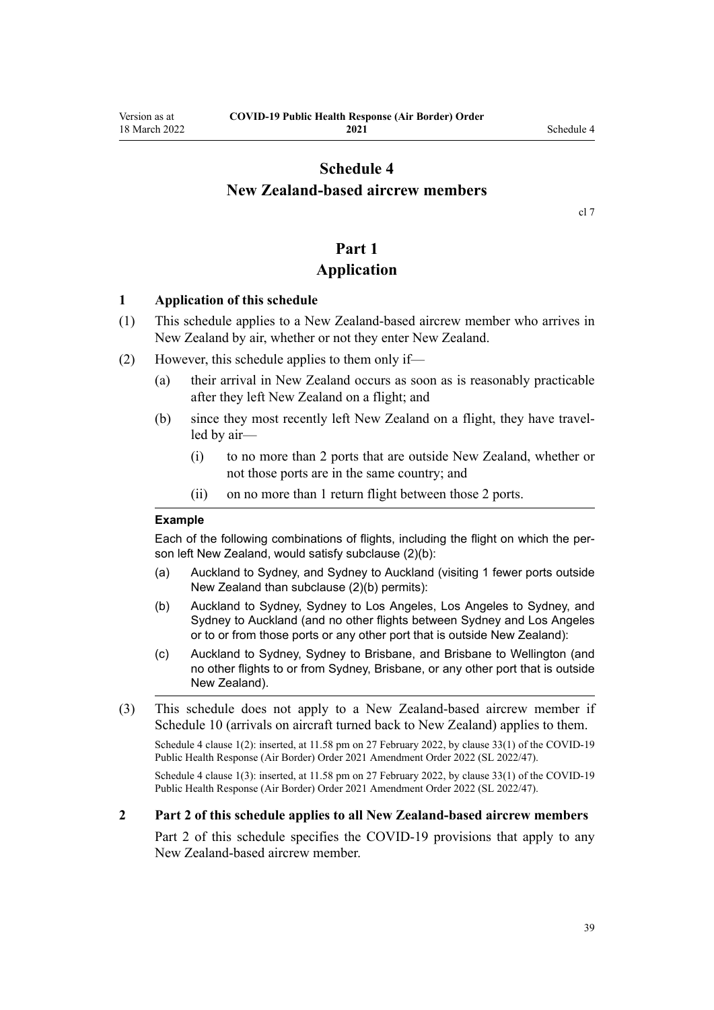## <span id="page-38-0"></span>**Schedule 4 New Zealand-based aircrew members**

[cl 7](#page-9-0)

# **Part 1**

## **Application**

#### **1 Application of this schedule**

- (1) This schedule applies to a New Zealand-based aircrew member who arrives in New Zealand by air, whether or not they enter New Zealand.
- (2) However, this schedule applies to them only if—
	- (a) their arrival in New Zealand occurs as soon as is reasonably practicable after they left New Zealand on a flight; and
	- (b) since they most recently left New Zealand on a flight, they have travelled by air—
		- (i) to no more than 2 ports that are outside New Zealand, whether or not those ports are in the same country; and
		- (ii) on no more than 1 return flight between those 2 ports.

#### **Example**

Each of the following combinations of flights, including the flight on which the person left New Zealand, would satisfy subclause (2)(b):

- (a) Auckland to Sydney, and Sydney to Auckland (visiting 1 fewer ports outside New Zealand than subclause (2)(b) permits):
- (b) Auckland to Sydney, Sydney to Los Angeles, Los Angeles to Sydney, and Sydney to Auckland (and no other flights between Sydney and Los Angeles or to or from those ports or any other port that is outside New Zealand):
- (c) Auckland to Sydney, Sydney to Brisbane, and Brisbane to Wellington (and no other flights to or from Sydney, Brisbane, or any other port that is outside New Zealand).
- (3) This schedule does not apply to a New Zealand-based aircrew member if [Schedule 10](#page-57-0) (arrivals on aircraft turned back to New Zealand) applies to them.

Schedule 4 clause 1(2): inserted, at 11.58 pm on 27 February 2022, by [clause 33\(1\)](http://legislation.govt.nz/pdflink.aspx?id=LMS650859) of the COVID-19 Public Health Response (Air Border) Order 2021 Amendment Order 2022 (SL 2022/47).

Schedule 4 clause 1(3): inserted, at 11.58 pm on 27 February 2022, by [clause 33\(1\)](http://legislation.govt.nz/pdflink.aspx?id=LMS650859) of the COVID-19 Public Health Response (Air Border) Order 2021 Amendment Order 2022 (SL 2022/47).

#### **2 Part 2 of this schedule applies to all New Zealand-based aircrew members**

[Part 2](#page-39-0) of this schedule specifies the COVID-19 provisions that apply to any New Zealand-based aircrew member.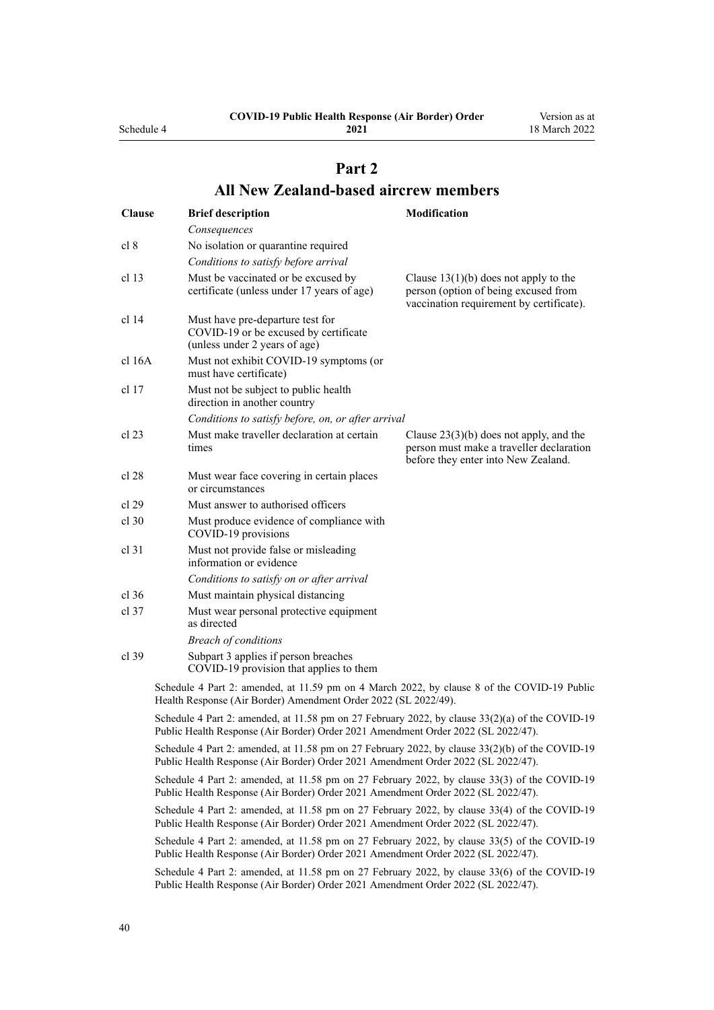<span id="page-39-0"></span>Schedule 4

**2021**

Version as at 18 March 2022

# **Part 2 All New Zealand-based aircrew members**

| <b>Clause</b> | <b>Brief description</b>                                                                                                                                                             | <b>Modification</b>                                                                                                          |
|---------------|--------------------------------------------------------------------------------------------------------------------------------------------------------------------------------------|------------------------------------------------------------------------------------------------------------------------------|
|               | Consequences                                                                                                                                                                         |                                                                                                                              |
| cl 8          | No isolation or quarantine required                                                                                                                                                  |                                                                                                                              |
|               | Conditions to satisfy before arrival                                                                                                                                                 |                                                                                                                              |
| cl 13         | Must be vaccinated or be excused by<br>certificate (unless under 17 years of age)                                                                                                    | Clause $13(1)(b)$ does not apply to the<br>person (option of being excused from<br>vaccination requirement by certificate).  |
| cl 14         | Must have pre-departure test for<br>COVID-19 or be excused by certificate<br>(unless under 2 years of age)                                                                           |                                                                                                                              |
| cl 16A        | Must not exhibit COVID-19 symptoms (or<br>must have certificate)                                                                                                                     |                                                                                                                              |
| cl 17         | Must not be subject to public health<br>direction in another country                                                                                                                 |                                                                                                                              |
|               | Conditions to satisfy before, on, or after arrival                                                                                                                                   |                                                                                                                              |
| cl 23         | Must make traveller declaration at certain<br>times                                                                                                                                  | Clause $23(3)(b)$ does not apply, and the<br>person must make a traveller declaration<br>before they enter into New Zealand. |
| cl 28         | Must wear face covering in certain places<br>or circumstances                                                                                                                        |                                                                                                                              |
| cl 29         | Must answer to authorised officers                                                                                                                                                   |                                                                                                                              |
| $cl$ 30       | Must produce evidence of compliance with<br>COVID-19 provisions                                                                                                                      |                                                                                                                              |
| $cl$ 31       | Must not provide false or misleading<br>information or evidence                                                                                                                      |                                                                                                                              |
|               | Conditions to satisfy on or after arrival                                                                                                                                            |                                                                                                                              |
| $cl$ 36       | Must maintain physical distancing                                                                                                                                                    |                                                                                                                              |
| $cl$ 37       | Must wear personal protective equipment<br>as directed                                                                                                                               |                                                                                                                              |
|               | <b>Breach of conditions</b>                                                                                                                                                          |                                                                                                                              |
| $cl$ 39       | Subpart 3 applies if person breaches<br>COVID-19 provision that applies to them                                                                                                      |                                                                                                                              |
|               | Schedule 4 Part 2: amended, at 11.59 pm on 4 March 2022, by clause 8 of the COVID-19 Public<br>Health Response (Air Border) Amendment Order 2022 (SL 2022/49).                       |                                                                                                                              |
|               | Schedule 4 Part 2: amended, at 11.58 pm on 27 February 2022, by clause 33(2)(a) of the COVID-19<br>Public Health Response (Air Border) Order 2021 Amendment Order 2022 (SL 2022/47). |                                                                                                                              |
|               | Schedule 4 Part 2: amended, at 11.58 pm on 27 February 2022, by clause 33(2)(b) of the COVID-19<br>Public Health Response (Air Border) Order 2021 Amendment Order 2022 (SL 2022/47). |                                                                                                                              |
|               | Schedule 4 Part 2: amended, at 11.58 pm on 27 February 2022, by clause 33(3) of the COVID-19<br>Public Health Response (Air Border) Order 2021 Amendment Order 2022 (SL 2022/47).    |                                                                                                                              |
|               | Schedule 4 Part 2: amended, at 11.58 pm on 27 February 2022, by clause 33(4) of the COVID-19<br>Public Health Response (Air Border) Order 2021 Amendment Order 2022 (SL 2022/47).    |                                                                                                                              |
|               | Schedule 4 Part 2: amended, at 11.58 pm on 27 February 2022, by clause 33(5) of the COVID-19<br>Public Health Response (Air Border) Order 2021 Amendment Order 2022 (SL 2022/47).    |                                                                                                                              |
|               | Schedule 4 Part 2: amended, at 11.58 pm on 27 February 2022, by clause 33(6) of the COVID-19<br>Public Health Response (Air Border) Order 2021 Amendment Order 2022 (SL 2022/47).    |                                                                                                                              |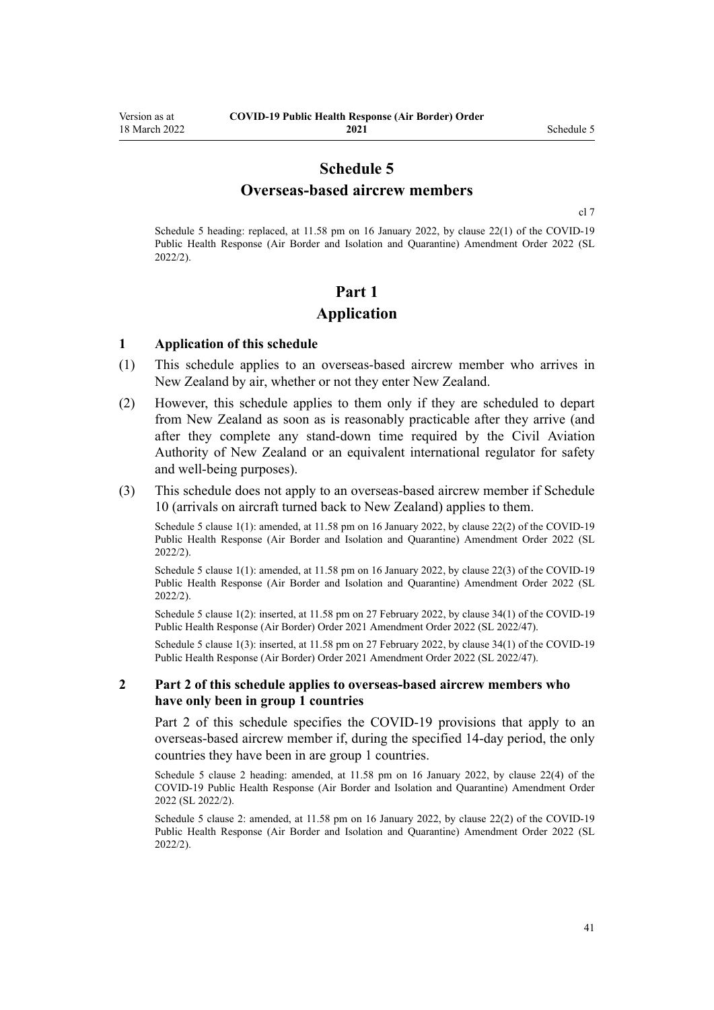## **Schedule 5 Overseas-based aircrew members**

[cl 7](#page-9-0)

<span id="page-40-0"></span>Schedule 5 heading: replaced, at 11.58 pm on 16 January 2022, by [clause 22\(1\)](http://legislation.govt.nz/pdflink.aspx?id=LMS629305) of the COVID-19 Public Health Response (Air Border and Isolation and Quarantine) Amendment Order 2022 (SL 2022/2).

## **Part 1 Application**

#### **1 Application of this schedule**

- (1) This schedule applies to an overseas-based aircrew member who arrives in New Zealand by air, whether or not they enter New Zealand.
- (2) However, this schedule applies to them only if they are scheduled to depart from New Zealand as soon as is reasonably practicable after they arrive (and after they complete any stand-down time required by the Civil Aviation Authority of New Zealand or an equivalent international regulator for safety and well-being purposes).
- (3) This schedule does not apply to an overseas-based aircrew member if [Schedule](#page-57-0) [10](#page-57-0) (arrivals on aircraft turned back to New Zealand) applies to them.

Schedule 5 clause 1(1): amended, at 11.58 pm on 16 January 2022, by [clause 22\(2\)](http://legislation.govt.nz/pdflink.aspx?id=LMS629305) of the COVID-19 Public Health Response (Air Border and Isolation and Quarantine) Amendment Order 2022 (SL 2022/2).

Schedule 5 clause 1(1): amended, at 11.58 pm on 16 January 2022, by [clause 22\(3\)](http://legislation.govt.nz/pdflink.aspx?id=LMS629305) of the COVID-19 Public Health Response (Air Border and Isolation and Quarantine) Amendment Order 2022 (SL 2022/2).

Schedule 5 clause 1(2): inserted, at 11.58 pm on 27 February 2022, by [clause 34\(1\)](http://legislation.govt.nz/pdflink.aspx?id=LMS650864) of the COVID-19 Public Health Response (Air Border) Order 2021 Amendment Order 2022 (SL 2022/47).

Schedule 5 clause 1(3): inserted, at 11.58 pm on 27 February 2022, by [clause 34\(1\)](http://legislation.govt.nz/pdflink.aspx?id=LMS650864) of the COVID-19 Public Health Response (Air Border) Order 2021 Amendment Order 2022 (SL 2022/47).

#### **2 Part 2 of this schedule applies to overseas-based aircrew members who have only been in group 1 countries**

[Part 2](#page-41-0) of this schedule specifies the COVID-19 provisions that apply to an overseas-based aircrew member if, during the specified 14-day period, the only countries they have been in are group 1 countries.

Schedule 5 clause 2 heading: amended, at 11.58 pm on 16 January 2022, by [clause 22\(4\)](http://legislation.govt.nz/pdflink.aspx?id=LMS629305) of the COVID-19 Public Health Response (Air Border and Isolation and Quarantine) Amendment Order 2022 (SL 2022/2).

Schedule 5 clause 2: amended, at 11.58 pm on 16 January 2022, by [clause 22\(2\)](http://legislation.govt.nz/pdflink.aspx?id=LMS629305) of the COVID-19 Public Health Response (Air Border and Isolation and Quarantine) Amendment Order 2022 (SL 2022/2).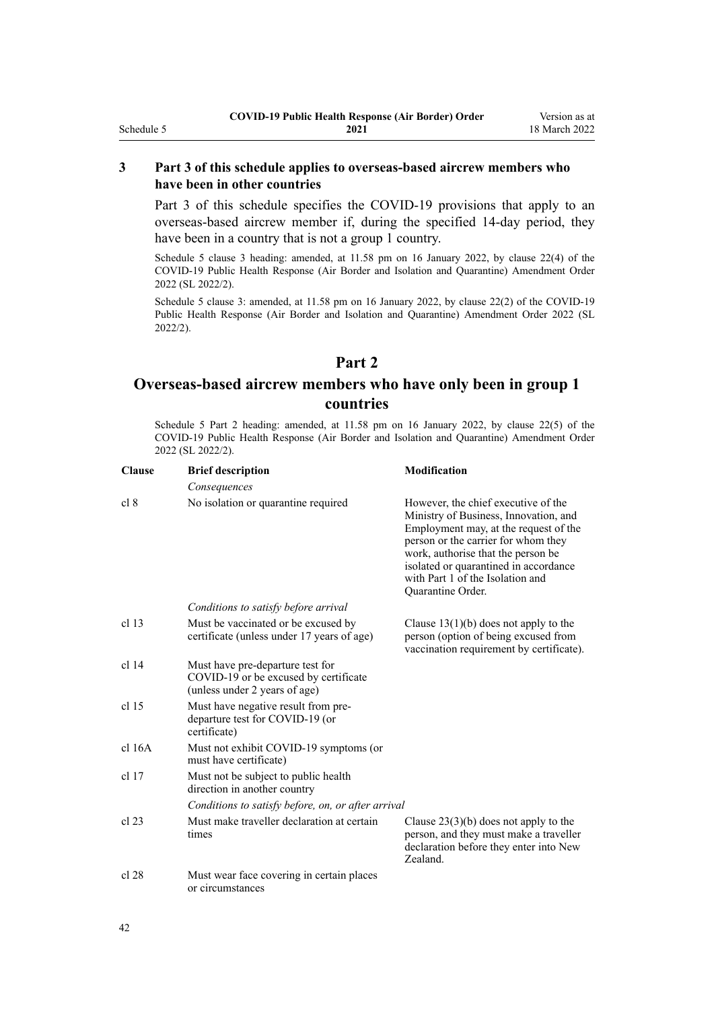## **3 Part 3 of this schedule applies to overseas-based aircrew members who have been in other countries**

[Part 3](#page-42-0) of this schedule specifies the COVID-19 provisions that apply to an overseas-based aircrew member if, during the specified 14-day period, they have been in a country that is not a group 1 country.

Schedule 5 clause 3 heading: amended, at 11.58 pm on 16 January 2022, by [clause 22\(4\)](http://legislation.govt.nz/pdflink.aspx?id=LMS629305) of the COVID-19 Public Health Response (Air Border and Isolation and Quarantine) Amendment Order 2022 (SL 2022/2).

Schedule 5 clause 3: amended, at 11.58 pm on 16 January 2022, by [clause 22\(2\)](http://legislation.govt.nz/pdflink.aspx?id=LMS629305) of the COVID-19 Public Health Response (Air Border and Isolation and Quarantine) Amendment Order 2022 (SL 2022/2).

## **Part 2**

## **Overseas-based aircrew members who have only been in group 1 countries**

Schedule 5 Part 2 heading: amended, at 11.58 pm on 16 January 2022, by [clause 22\(5\)](http://legislation.govt.nz/pdflink.aspx?id=LMS629305) of the COVID-19 Public Health Response (Air Border and Isolation and Quarantine) Amendment Order 2022 (SL 2022/2).

| <b>Clause</b>    | <b>Brief description</b>                                                                                   | <b>Modification</b>                                                                                                                                                                                                                                                                                  |
|------------------|------------------------------------------------------------------------------------------------------------|------------------------------------------------------------------------------------------------------------------------------------------------------------------------------------------------------------------------------------------------------------------------------------------------------|
|                  | Consequences                                                                                               |                                                                                                                                                                                                                                                                                                      |
| cl 8             | No isolation or quarantine required                                                                        | However, the chief executive of the<br>Ministry of Business, Innovation, and<br>Employment may, at the request of the<br>person or the carrier for whom they<br>work, authorise that the person be<br>isolated or quarantined in accordance<br>with Part 1 of the Isolation and<br>Quarantine Order. |
|                  | Conditions to satisfy before arrival                                                                       |                                                                                                                                                                                                                                                                                                      |
| cl <sub>13</sub> | Must be vaccinated or be excused by<br>certificate (unless under 17 years of age)                          | Clause $13(1)(b)$ does not apply to the<br>person (option of being excused from<br>vaccination requirement by certificate).                                                                                                                                                                          |
| $cl$ 14          | Must have pre-departure test for<br>COVID-19 or be excused by certificate<br>(unless under 2 years of age) |                                                                                                                                                                                                                                                                                                      |
| cl <sub>15</sub> | Must have negative result from pre-<br>departure test for COVID-19 (or<br>certificate)                     |                                                                                                                                                                                                                                                                                                      |
| cl 16A           | Must not exhibit COVID-19 symptoms (or<br>must have certificate)                                           |                                                                                                                                                                                                                                                                                                      |
| $cl$ 17          | Must not be subject to public health<br>direction in another country                                       |                                                                                                                                                                                                                                                                                                      |
|                  | Conditions to satisfy before, on, or after arrival                                                         |                                                                                                                                                                                                                                                                                                      |
| $cl$ 23          | Must make traveller declaration at certain<br>times                                                        | Clause $23(3)(b)$ does not apply to the<br>person, and they must make a traveller<br>declaration before they enter into New<br>Zealand.                                                                                                                                                              |
| cl 28            | Must wear face covering in certain places<br>or circumstances                                              |                                                                                                                                                                                                                                                                                                      |

<span id="page-41-0"></span>Schedule 5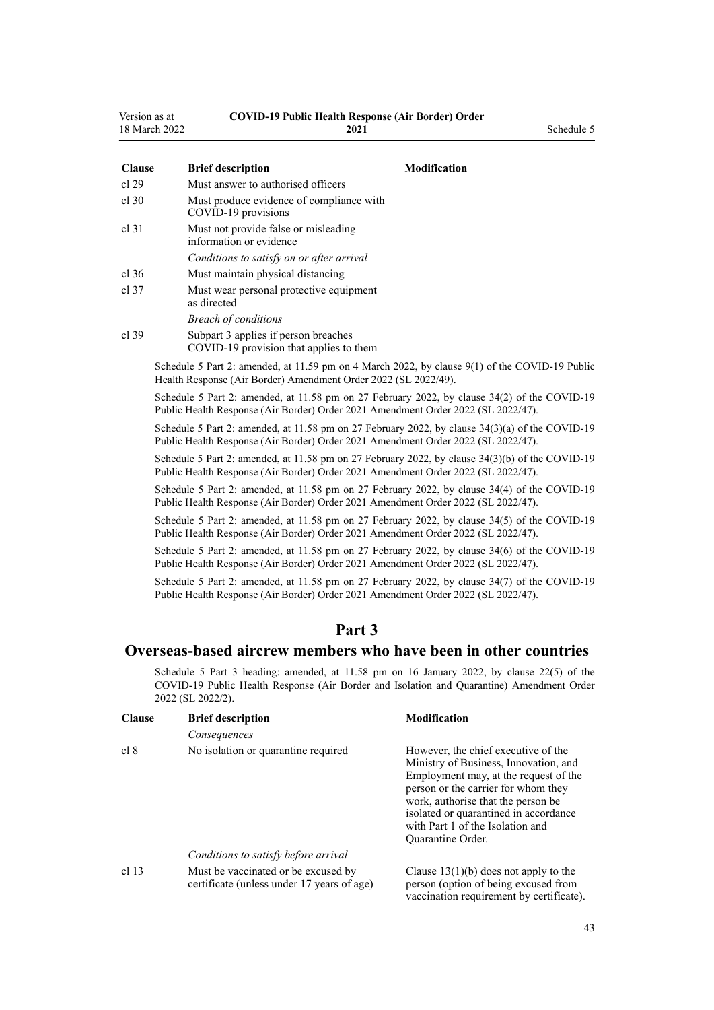<span id="page-42-0"></span>

| Version as at        | <b>COVID-19 Public Health Response (Air Border) Order</b> |
|----------------------|-----------------------------------------------------------|
| $\sim$ $\sim$ $\sim$ | $\mathbf{A} \mathbf{A} \mathbf{A}$                        |

| 18 March 2022 | 2021                                                                                                                                                              | Schedule 5          |
|---------------|-------------------------------------------------------------------------------------------------------------------------------------------------------------------|---------------------|
| <b>Clause</b> | <b>Brief description</b>                                                                                                                                          | <b>Modification</b> |
| cl 29         | Must answer to authorised officers                                                                                                                                |                     |
| cl.30         | Must produce evidence of compliance with<br>COVID-19 provisions                                                                                                   |                     |
| cl 31         | Must not provide false or misleading<br>information or evidence                                                                                                   |                     |
|               | Conditions to satisfy on or after arrival                                                                                                                         |                     |
| cl.36         | Must maintain physical distancing                                                                                                                                 |                     |
| cl.37         | Must wear personal protective equipment<br>as directed                                                                                                            |                     |
|               | <b>Breach of conditions</b>                                                                                                                                       |                     |
| cl.39         | Subpart 3 applies if person breaches<br>COVID-19 provision that applies to them                                                                                   |                     |
|               | Schedule 5 Part 2: amended, at 11.59 pm on 4 March 2022, by clause 9(1) of the COVID-19 Public<br>Health Response (Air Border) Amendment Order 2022 (SL 2022/49). |                     |

Schedule 5 Part 2: amended, at 11.58 pm on 27 February 2022, by [clause 34\(2\)](http://legislation.govt.nz/pdflink.aspx?id=LMS650864) of the COVID-19 Public Health Response (Air Border) Order 2021 Amendment Order 2022 (SL 2022/47).

Schedule 5 Part 2: amended, at 11.58 pm on 27 February 2022, by [clause 34\(3\)\(a\)](http://legislation.govt.nz/pdflink.aspx?id=LMS650864) of the COVID-19 Public Health Response (Air Border) Order 2021 Amendment Order 2022 (SL 2022/47).

Schedule 5 Part 2: amended, at 11.58 pm on 27 February 2022, by [clause 34\(3\)\(b\)](http://legislation.govt.nz/pdflink.aspx?id=LMS650864) of the COVID-19 Public Health Response (Air Border) Order 2021 Amendment Order 2022 (SL 2022/47).

Schedule 5 Part 2: amended, at 11.58 pm on 27 February 2022, by [clause 34\(4\)](http://legislation.govt.nz/pdflink.aspx?id=LMS650864) of the COVID-19 Public Health Response (Air Border) Order 2021 Amendment Order 2022 (SL 2022/47).

Schedule 5 Part 2: amended, at 11.58 pm on 27 February 2022, by [clause 34\(5\)](http://legislation.govt.nz/pdflink.aspx?id=LMS650864) of the COVID-19 Public Health Response (Air Border) Order 2021 Amendment Order 2022 (SL 2022/47).

Schedule 5 Part 2: amended, at 11.58 pm on 27 February 2022, by [clause 34\(6\)](http://legislation.govt.nz/pdflink.aspx?id=LMS650864) of the COVID-19 Public Health Response (Air Border) Order 2021 Amendment Order 2022 (SL 2022/47).

Schedule 5 Part 2: amended, at 11.58 pm on 27 February 2022, by [clause 34\(7\)](http://legislation.govt.nz/pdflink.aspx?id=LMS650864) of the COVID-19 Public Health Response (Air Border) Order 2021 Amendment Order 2022 (SL 2022/47).

## **Part 3**

## **Overseas-based aircrew members who have been in other countries**

Schedule 5 Part 3 heading: amended, at 11.58 pm on 16 January 2022, by [clause 22\(5\)](http://legislation.govt.nz/pdflink.aspx?id=LMS629305) of the COVID-19 Public Health Response (Air Border and Isolation and Quarantine) Amendment Order 2022 (SL 2022/2).

| <b>Clause</b> | <b>Brief description</b>                                                          | <b>Modification</b>                                                                                                                                                                                                                                                                                  |
|---------------|-----------------------------------------------------------------------------------|------------------------------------------------------------------------------------------------------------------------------------------------------------------------------------------------------------------------------------------------------------------------------------------------------|
|               | Consequences                                                                      |                                                                                                                                                                                                                                                                                                      |
| cl 8          | No isolation or quarantine required                                               | However, the chief executive of the<br>Ministry of Business, Innovation, and<br>Employment may, at the request of the<br>person or the carrier for whom they<br>work, authorise that the person be<br>isolated or quarantined in accordance<br>with Part 1 of the Isolation and<br>Quarantine Order. |
|               | Conditions to satisfy before arrival                                              |                                                                                                                                                                                                                                                                                                      |
| cl 13         | Must be vaccinated or be excused by<br>certificate (unless under 17 years of age) | Clause $13(1)(b)$ does not apply to the<br>person (option of being excused from<br>vaccination requirement by certificate).                                                                                                                                                                          |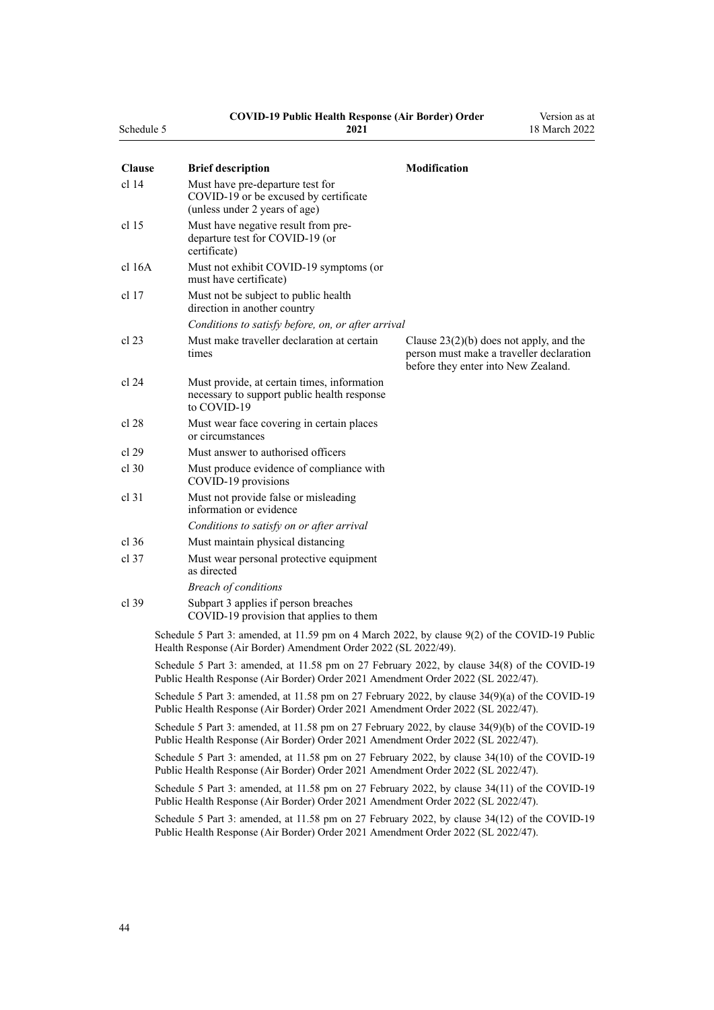#### **COVID-19 Public Health Response (Air Border) Order**

Version as at

| Schedule 5       | 2021                                                                                                                                                                                 | 18 March 2022                                                                                                                |
|------------------|--------------------------------------------------------------------------------------------------------------------------------------------------------------------------------------|------------------------------------------------------------------------------------------------------------------------------|
| <b>Clause</b>    | <b>Brief description</b>                                                                                                                                                             | <b>Modification</b>                                                                                                          |
| cl <sub>14</sub> | Must have pre-departure test for<br>COVID-19 or be excused by certificate<br>(unless under 2 years of age)                                                                           |                                                                                                                              |
| cl 15            | Must have negative result from pre-<br>departure test for COVID-19 (or<br>certificate)                                                                                               |                                                                                                                              |
| $cl$ 16A         | Must not exhibit COVID-19 symptoms (or<br>must have certificate)                                                                                                                     |                                                                                                                              |
| cl 17            | Must not be subject to public health<br>direction in another country                                                                                                                 |                                                                                                                              |
|                  | Conditions to satisfy before, on, or after arrival                                                                                                                                   |                                                                                                                              |
| cl 23            | Must make traveller declaration at certain<br>times                                                                                                                                  | Clause $23(2)(b)$ does not apply, and the<br>person must make a traveller declaration<br>before they enter into New Zealand. |
| cl 24            | Must provide, at certain times, information<br>necessary to support public health response<br>to COVID-19                                                                            |                                                                                                                              |
| cl 28            | Must wear face covering in certain places<br>or circumstances                                                                                                                        |                                                                                                                              |
| cl 29            | Must answer to authorised officers                                                                                                                                                   |                                                                                                                              |
| cl.30            | Must produce evidence of compliance with<br>COVID-19 provisions                                                                                                                      |                                                                                                                              |
| cl 31            | Must not provide false or misleading<br>information or evidence                                                                                                                      |                                                                                                                              |
|                  | Conditions to satisfy on or after arrival                                                                                                                                            |                                                                                                                              |
| $cl$ 36          | Must maintain physical distancing                                                                                                                                                    |                                                                                                                              |
| cl.37            | Must wear personal protective equipment<br>as directed                                                                                                                               |                                                                                                                              |
|                  | <b>Breach of conditions</b>                                                                                                                                                          |                                                                                                                              |
| $cl$ 39          | Subpart 3 applies if person breaches<br>COVID-19 provision that applies to them                                                                                                      |                                                                                                                              |
|                  | Schedule 5 Part 3: amended, at 11.59 pm on 4 March 2022, by clause 9(2) of the COVID-19 Public<br>Health Response (Air Border) Amendment Order 2022 (SL 2022/49).                    |                                                                                                                              |
|                  | Schedule 5 Part 3: amended, at 11.58 pm on 27 February 2022, by clause 34(8) of the COVID-19<br>Public Health Response (Air Border) Order 2021 Amendment Order 2022 (SL 2022/47).    |                                                                                                                              |
|                  | Schedule 5 Part 3: amended, at 11.58 pm on 27 February 2022, by clause 34(9)(a) of the COVID-19<br>Public Health Response (Air Border) Order 2021 Amendment Order 2022 (SL 2022/47). |                                                                                                                              |

Schedule 5 Part 3: amended, at 11.58 pm on 27 February 2022, by [clause 34\(9\)\(b\)](http://legislation.govt.nz/pdflink.aspx?id=LMS650864) of the COVID-19 Public Health Response (Air Border) Order 2021 Amendment Order 2022 (SL 2022/47).

Schedule 5 Part 3: amended, at 11.58 pm on 27 February 2022, by [clause 34\(10\)](http://legislation.govt.nz/pdflink.aspx?id=LMS650864) of the COVID-19 Public Health Response (Air Border) Order 2021 Amendment Order 2022 (SL 2022/47).

Schedule 5 Part 3: amended, at 11.58 pm on 27 February 2022, by [clause 34\(11\)](http://legislation.govt.nz/pdflink.aspx?id=LMS650864) of the COVID-19 Public Health Response (Air Border) Order 2021 Amendment Order 2022 (SL 2022/47).

Schedule 5 Part 3: amended, at 11.58 pm on 27 February 2022, by [clause 34\(12\)](http://legislation.govt.nz/pdflink.aspx?id=LMS650864) of the COVID-19 Public Health Response (Air Border) Order 2021 Amendment Order 2022 (SL 2022/47).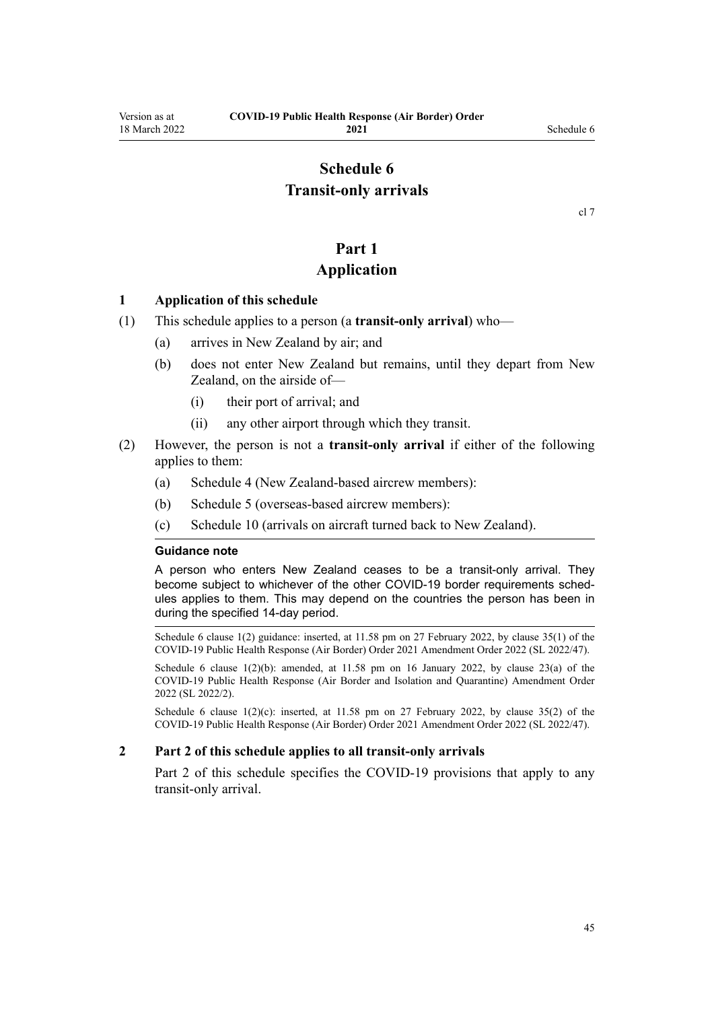## **Schedule 6 Transit-only arrivals**

## **Part 1**

## **Application**

#### <span id="page-44-0"></span>**1 Application of this schedule**

- (1) This schedule applies to a person (a **transit-only arrival**) who—
	- (a) arrives in New Zealand by air; and
	- (b) does not enter New Zealand but remains, until they depart from New Zealand, on the airside of—
		- (i) their port of arrival; and
		- (ii) any other airport through which they transit.
- (2) However, the person is not a **transit-only arrival** if either of the following applies to them:
	- (a) [Schedule 4](#page-38-0) (New Zealand-based aircrew members):
	- (b) [Schedule 5](#page-40-0) (overseas-based aircrew members):
	- (c) [Schedule 10](#page-57-0) (arrivals on aircraft turned back to New Zealand).

#### **Guidance note**

A person who enters New Zealand ceases to be a transit-only arrival. They become subject to whichever of the other COVID-19 border requirements schedules applies to them. This may depend on the countries the person has been in during the specified 14-day period.

Schedule 6 clause 1(2) guidance: inserted, at 11.58 pm on 27 February 2022, by [clause 35\(1\)](http://legislation.govt.nz/pdflink.aspx?id=LMS650867) of the COVID-19 Public Health Response (Air Border) Order 2021 Amendment Order 2022 (SL 2022/47).

Schedule 6 clause  $1(2)(b)$ : amended, at  $11.58$  pm on 16 January 2022, by [clause 23\(a\)](http://legislation.govt.nz/pdflink.aspx?id=LMS629306) of the COVID-19 Public Health Response (Air Border and Isolation and Quarantine) Amendment Order 2022 (SL 2022/2).

Schedule 6 clause  $1(2)(c)$ : inserted, at 11.58 pm on 27 February 2022, by [clause 35\(2\)](http://legislation.govt.nz/pdflink.aspx?id=LMS650867) of the COVID-19 Public Health Response (Air Border) Order 2021 Amendment Order 2022 (SL 2022/47).

#### **2 Part 2 of this schedule applies to all transit-only arrivals**

[Part 2](#page-45-0) of this schedule specifies the COVID-19 provisions that apply to any transit-only arrival.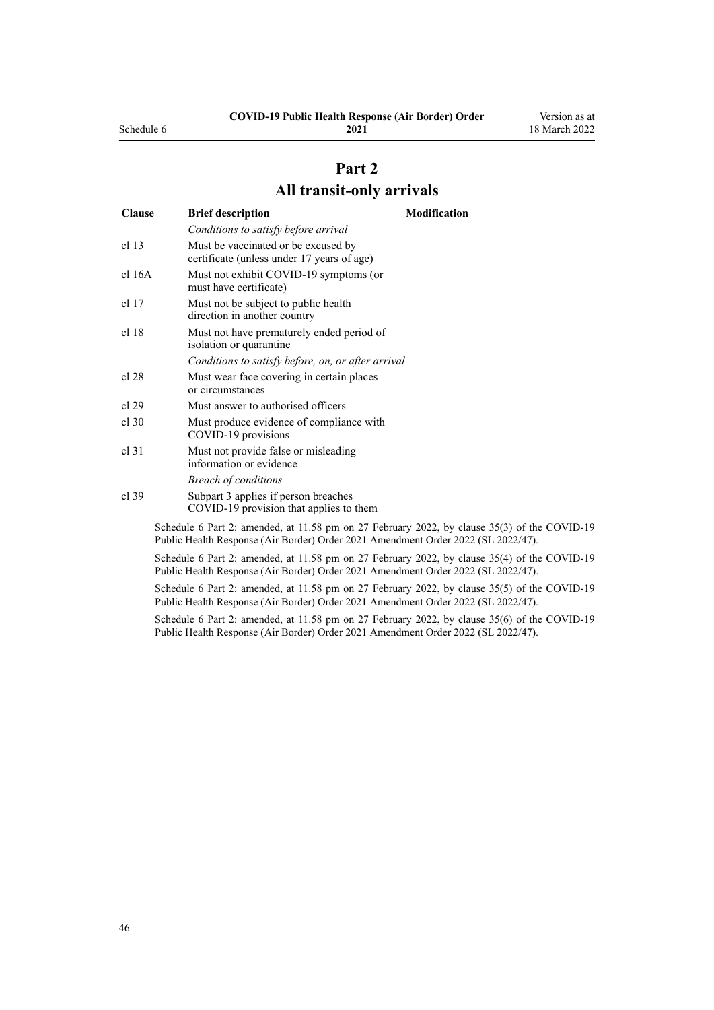## **COVID-19 Public Health Response (Air Border) Order 2021**

## **Part 2 All transit-only arrivals**

<span id="page-45-0"></span>

| <b>Clause</b>    | <b>Brief description</b>                                                                                                                                                | <b>Modification</b> |
|------------------|-------------------------------------------------------------------------------------------------------------------------------------------------------------------------|---------------------|
|                  | Conditions to satisfy before arrival                                                                                                                                    |                     |
| cl <sub>13</sub> | Must be vaccinated or be excused by<br>certificate (unless under 17 years of age)                                                                                       |                     |
| cl 16A           | Must not exhibit COVID-19 symptoms (or<br>must have certificate)                                                                                                        |                     |
| $cl$ 17          | Must not be subject to public health<br>direction in another country                                                                                                    |                     |
| cl 18            | Must not have prematurely ended period of<br>isolation or quarantine                                                                                                    |                     |
|                  | Conditions to satisfy before, on, or after arrival                                                                                                                      |                     |
| cl 28            | Must wear face covering in certain places<br>or circumstances                                                                                                           |                     |
| cl 29            | Must answer to authorised officers                                                                                                                                      |                     |
| $cl$ 30          | Must produce evidence of compliance with<br>COVID-19 provisions                                                                                                         |                     |
| cl.31            | Must not provide false or misleading<br>information or evidence                                                                                                         |                     |
|                  | <b>Breach of conditions</b>                                                                                                                                             |                     |
| cl.39            | Subpart 3 applies if person breaches<br>COVID-19 provision that applies to them                                                                                         |                     |
|                  | Schedule 6 Part 2: amended, at 11.58 pm on 27 February 2022, by clause 35(3) of th<br>Public Health Response (Air Border) Order 2021 Amendment Order 2022 (SL 2022/47). |                     |

Schedule 6 Part 2: amended, at 11.58 pm on 27 February 2022, by [clause 35\(4\)](http://legislation.govt.nz/pdflink.aspx?id=LMS650867) of the COVID-19 Public Health Response (Air Border) Order 2021 Amendment Order 2022 (SL 2022/47).

Schedule 6 Part 2: amended, at 11.58 pm on 27 February 2022, by [clause 35\(5\)](http://legislation.govt.nz/pdflink.aspx?id=LMS650867) of the COVID-19 Public Health Response (Air Border) Order 2021 Amendment Order 2022 (SL 2022/47).

Schedule 6 Part 2: amended, at 11.58 pm on 27 February 2022, by [clause 35\(6\)](http://legislation.govt.nz/pdflink.aspx?id=LMS650867) of the COVID-19 Public Health Response (Air Border) Order 2021 Amendment Order 2022 (SL 2022/47).

of the COVID-19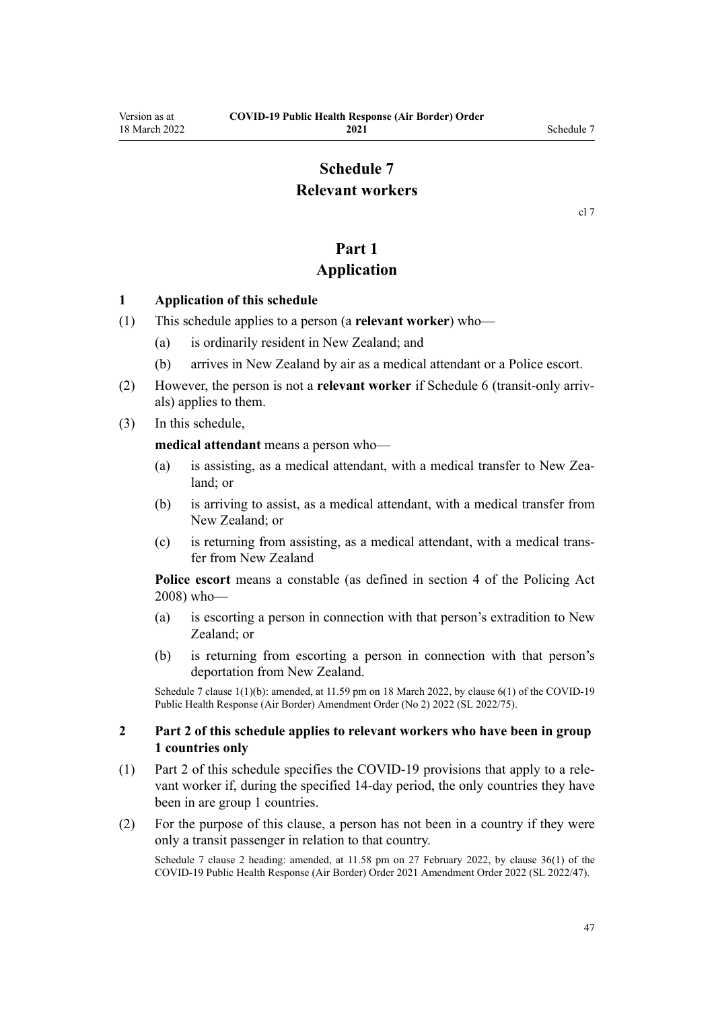## **Schedule 7 Relevant workers**

[cl 7](#page-9-0)

## **Part 1**

## **Application**

#### <span id="page-46-0"></span>**1 Application of this schedule**

- (1) This schedule applies to a person (a **relevant worker**) who—
	- (a) is ordinarily resident in New Zealand; and
	- (b) arrives in New Zealand by air as a medical attendant or a Police escort.
- (2) However, the person is not a **relevant worker** if [Schedule 6](#page-44-0) (transit-only arriv‐ als) applies to them.
- (3) In this schedule,

**medical attendant** means a person who—

- (a) is assisting, as a medical attendant, with a medical transfer to New Zealand; or
- (b) is arriving to assist, as a medical attendant, with a medical transfer from New Zealand; or
- (c) is returning from assisting, as a medical attendant, with a medical trans‐ fer from New Zealand

**Police escort** means a constable (as defined in [section 4](http://legislation.govt.nz/pdflink.aspx?id=DLM1102132) of the Policing Act 2008) who—

- (a) is escorting a person in connection with that person's extradition to New Zealand; or
- (b) is returning from escorting a person in connection with that person's deportation from New Zealand.

Schedule 7 clause 1(1)(b): amended, at 11.59 pm on 18 March 2022, by [clause 6\(1\)](http://legislation.govt.nz/pdflink.aspx?id=LMS664430) of the COVID-19 Public Health Response (Air Border) Amendment Order (No 2) 2022 (SL 2022/75).

#### **2 Part 2 of this schedule applies to relevant workers who have been in group 1 countries only**

- (1) [Part 2](#page-47-0) of this schedule specifies the COVID-19 provisions that apply to a rele‐ vant worker if, during the specified 14-day period, the only countries they have been in are group 1 countries.
- (2) For the purpose of this clause, a person has not been in a country if they were only a transit passenger in relation to that country.

Schedule 7 clause 2 heading: amended, at 11.58 pm on 27 February 2022, by [clause 36\(1\)](http://legislation.govt.nz/pdflink.aspx?id=LMS650876) of the COVID-19 Public Health Response (Air Border) Order 2021 Amendment Order 2022 (SL 2022/47).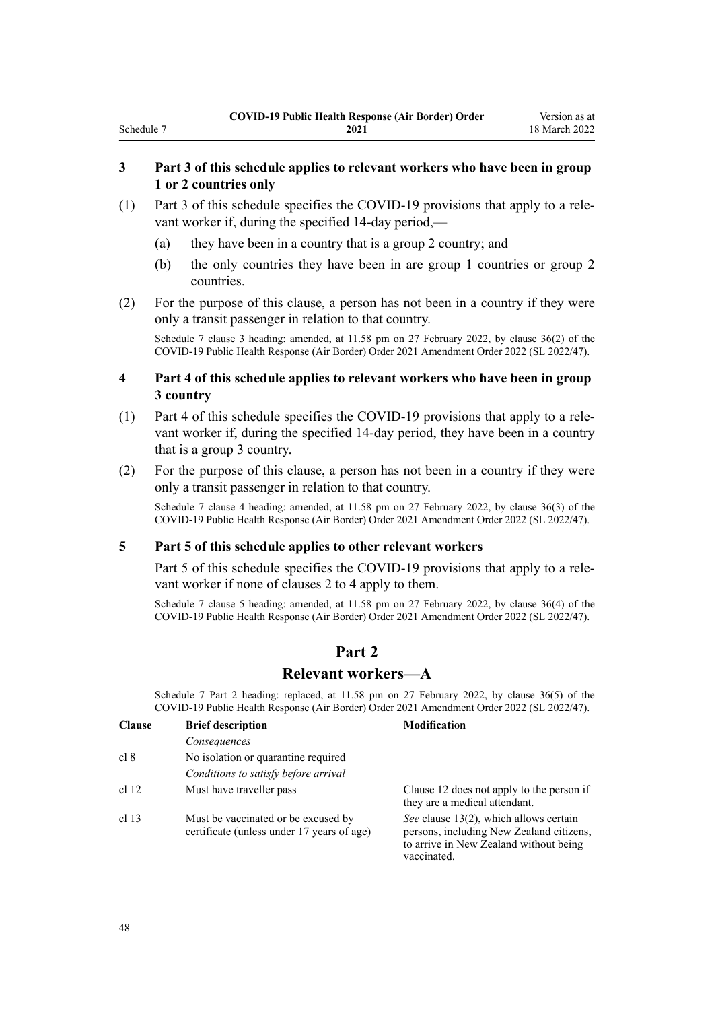#### **3 Part 3 of this schedule applies to relevant workers who have been in group 1 or 2 countries only**

- (1) [Part 3](#page-49-0) of this schedule specifies the COVID-19 provisions that apply to a rele‐ vant worker if, during the specified 14-day period,—
	- (a) they have been in a country that is a group 2 country; and
	- (b) the only countries they have been in are group 1 countries or group 2 countries.
- (2) For the purpose of this clause, a person has not been in a country if they were only a transit passenger in relation to that country.

Schedule 7 clause 3 heading: amended, at 11.58 pm on 27 February 2022, by [clause 36\(2\)](http://legislation.govt.nz/pdflink.aspx?id=LMS650876) of the COVID-19 Public Health Response (Air Border) Order 2021 Amendment Order 2022 (SL 2022/47).

#### **4 Part 4 of this schedule applies to relevant workers who have been in group 3 country**

- (1) [Part 4](#page-50-0) of this schedule specifies the COVID-19 provisions that apply to a rele‐ vant worker if, during the specified 14-day period, they have been in a country that is a group 3 country.
- (2) For the purpose of this clause, a person has not been in a country if they were only a transit passenger in relation to that country.

Schedule 7 clause 4 heading: amended, at 11.58 pm on 27 February 2022, by [clause 36\(3\)](http://legislation.govt.nz/pdflink.aspx?id=LMS650876) of the COVID-19 Public Health Response (Air Border) Order 2021 Amendment Order 2022 (SL 2022/47).

#### **5 Part 5 of this schedule applies to other relevant workers**

[Part 5](#page-51-0) of this schedule specifies the COVID-19 provisions that apply to a relevant worker if none of [clauses 2 to 4](#page-46-0) apply to them.

Schedule 7 clause 5 heading: amended, at 11.58 pm on 27 February 2022, by [clause 36\(4\)](http://legislation.govt.nz/pdflink.aspx?id=LMS650876) of the COVID-19 Public Health Response (Air Border) Order 2021 Amendment Order 2022 (SL 2022/47).

## **Part 2**

#### **Relevant workers—A**

Schedule 7 Part 2 heading: replaced, at 11.58 pm on 27 February 2022, by [clause 36\(5\)](http://legislation.govt.nz/pdflink.aspx?id=LMS650876) of the COVID-19 Public Health Response (Air Border) Order 2021 Amendment Order 2022 (SL 2022/47).

| <b>Clause</b> | <b>Brief description</b>                                                          | <b>Modification</b>                                                                                                                         |
|---------------|-----------------------------------------------------------------------------------|---------------------------------------------------------------------------------------------------------------------------------------------|
|               | Consequences                                                                      |                                                                                                                                             |
| cl 8          | No isolation or quarantine required                                               |                                                                                                                                             |
|               | Conditions to satisfy before arrival                                              |                                                                                                                                             |
| cl 12         | Must have traveller pass                                                          | Clause 12 does not apply to the person if<br>they are a medical attendant.                                                                  |
| cl 13         | Must be vaccinated or be excused by<br>certificate (unless under 17 years of age) | See clause 13(2), which allows certain<br>persons, including New Zealand citizens,<br>to arrive in New Zealand without being<br>vaccinated. |

<span id="page-47-0"></span>Schedule 7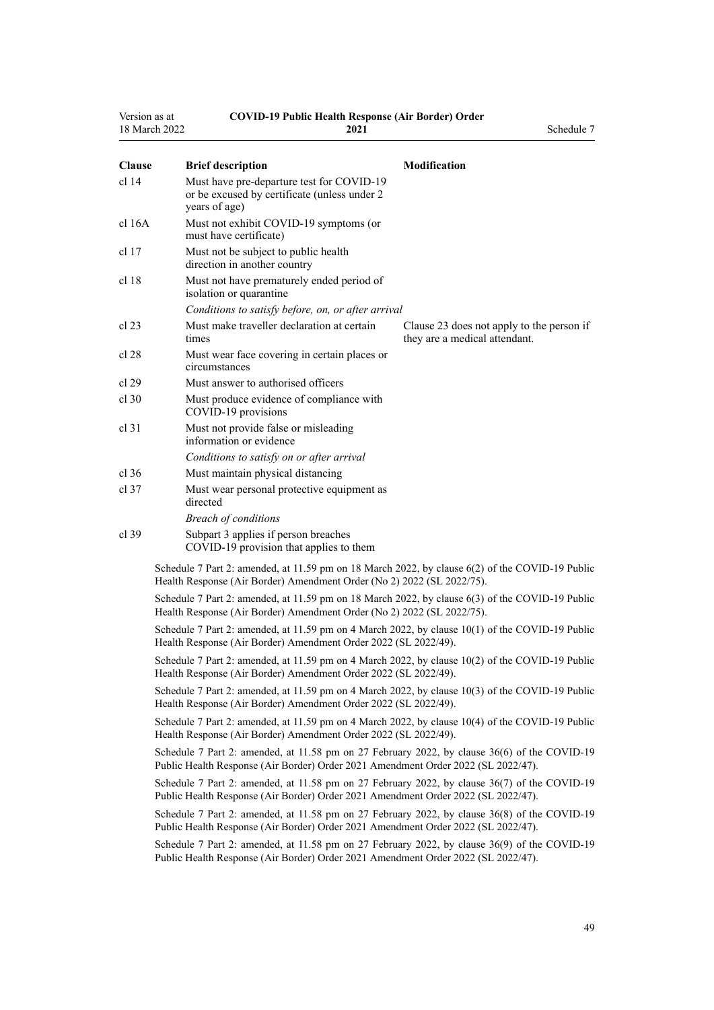| Version as at    | 18 March 2022 | <b>COVID-19 Public Health Response (Air Border) Order</b><br>2021                                                                                                                 | Schedule 7                                                                 |
|------------------|---------------|-----------------------------------------------------------------------------------------------------------------------------------------------------------------------------------|----------------------------------------------------------------------------|
|                  |               |                                                                                                                                                                                   |                                                                            |
| <b>Clause</b>    |               | <b>Brief description</b>                                                                                                                                                          | <b>Modification</b>                                                        |
| cl <sub>14</sub> |               | Must have pre-departure test for COVID-19<br>or be excused by certificate (unless under 2<br>years of age)                                                                        |                                                                            |
| cl 16A           |               | Must not exhibit COVID-19 symptoms (or<br>must have certificate)                                                                                                                  |                                                                            |
| cl 17            |               | Must not be subject to public health<br>direction in another country                                                                                                              |                                                                            |
| cl 18            |               | Must not have prematurely ended period of<br>isolation or quarantine                                                                                                              |                                                                            |
|                  |               | Conditions to satisfy before, on, or after arrival                                                                                                                                |                                                                            |
| cl 23            |               | Must make traveller declaration at certain<br>times                                                                                                                               | Clause 23 does not apply to the person if<br>they are a medical attendant. |
| cl 28            |               | Must wear face covering in certain places or<br>circumstances                                                                                                                     |                                                                            |
| cl 29            |               | Must answer to authorised officers                                                                                                                                                |                                                                            |
| cl.30            |               | Must produce evidence of compliance with<br>COVID-19 provisions                                                                                                                   |                                                                            |
| $cl$ 31          |               | Must not provide false or misleading<br>information or evidence                                                                                                                   |                                                                            |
|                  |               | Conditions to satisfy on or after arrival                                                                                                                                         |                                                                            |
| $cl$ 36          |               | Must maintain physical distancing                                                                                                                                                 |                                                                            |
| $cl$ 37          |               | Must wear personal protective equipment as<br>directed                                                                                                                            |                                                                            |
|                  |               | <b>Breach of conditions</b>                                                                                                                                                       |                                                                            |
| cl 39            |               | Subpart 3 applies if person breaches<br>COVID-19 provision that applies to them                                                                                                   |                                                                            |
|                  |               | Schedule 7 Part 2: amended, at 11.59 pm on 18 March 2022, by clause 6(2) of the COVID-19 Public<br>Health Response (Air Border) Amendment Order (No 2) 2022 (SL 2022/75).         |                                                                            |
|                  |               | Schedule 7 Part 2: amended, at 11.59 pm on 18 March 2022, by clause 6(3) of the COVID-19 Public<br>Health Response (Air Border) Amendment Order (No 2) 2022 (SL 2022/75).         |                                                                            |
|                  |               | Schedule 7 Part 2: amended, at 11.59 pm on 4 March 2022, by clause 10(1) of the COVID-19 Public<br>Health Response (Air Border) Amendment Order 2022 (SL 2022/49).                |                                                                            |
|                  |               | Schedule 7 Part 2: amended, at 11.59 pm on 4 March 2022, by clause 10(2) of the COVID-19 Public<br>Health Response (Air Border) Amendment Order 2022 (SL 2022/49).                |                                                                            |
|                  |               | Schedule 7 Part 2: amended, at 11.59 pm on 4 March 2022, by clause 10(3) of the COVID-19 Public<br>Health Response (Air Border) Amendment Order 2022 (SL 2022/49).                |                                                                            |
|                  |               | Schedule 7 Part 2: amended, at 11.59 pm on 4 March 2022, by clause 10(4) of the COVID-19 Public<br>Health Response (Air Border) Amendment Order 2022 (SL 2022/49).                |                                                                            |
|                  |               | Schedule 7 Part 2: amended, at 11.58 pm on 27 February 2022, by clause 36(6) of the COVID-19<br>Public Health Response (Air Border) Order 2021 Amendment Order 2022 (SL 2022/47). |                                                                            |
|                  |               | Schedule 7 Part 2: amended, at 11.58 pm on 27 February 2022, by clause 36(7) of the COVID-19<br>Public Health Response (Air Border) Order 2021 Amendment Order 2022 (SL 2022/47). |                                                                            |
|                  |               | Schedule 7 Part 2: amended, at 11.58 pm on 27 February 2022, by clause 36(8) of the COVID-19<br>Public Health Response (Air Border) Order 2021 Amendment Order 2022 (SL 2022/47). |                                                                            |
|                  |               | Schedule 7 Part 2: amended, at 11.58 pm on 27 February 2022, by clause 36(9) of the COVID-19<br>Public Health Response (Air Border) Order 2021 Amendment Order 2022 (SL 2022/47). |                                                                            |
|                  |               |                                                                                                                                                                                   |                                                                            |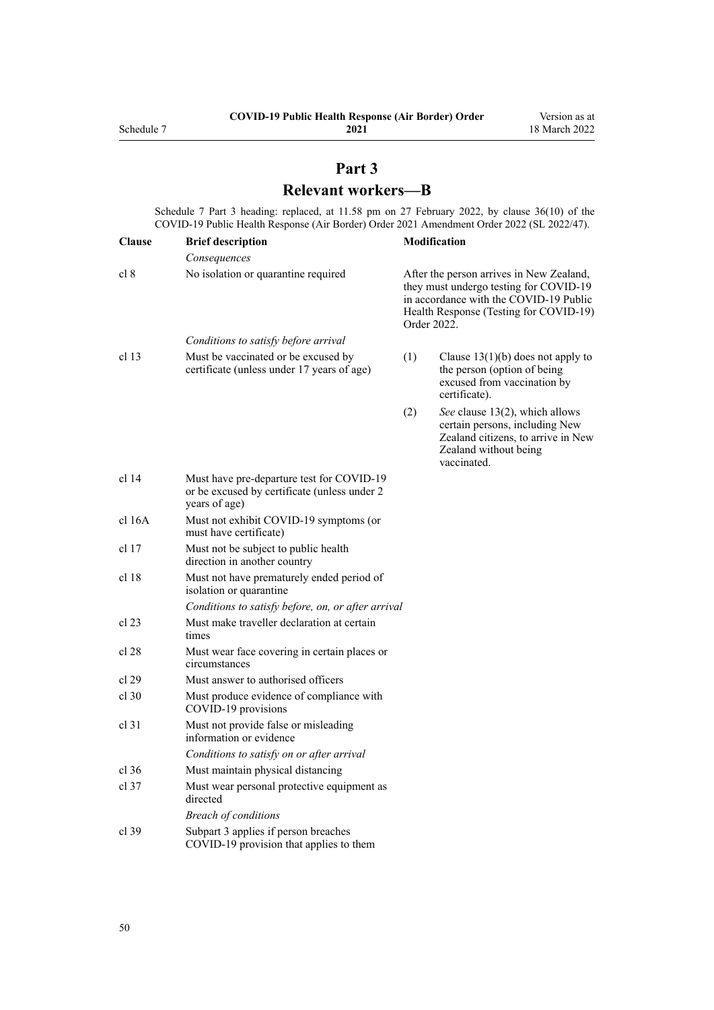# **Part 3 Relevant workers—B**

<span id="page-49-0"></span>Schedule 7 Part 3 heading: replaced, at 11.58 pm on 27 February 2022, by [clause 36\(10\)](http://legislation.govt.nz/pdflink.aspx?id=LMS650876) of the COVID-19 Public Health Response (Air Border) Order 2021 Amendment Order 2022 (SL 2022/47).

| <b>Clause</b>    | <b>Brief description</b>                                                                                   |     | <b>Modification</b>                                                                                                                                                                   |
|------------------|------------------------------------------------------------------------------------------------------------|-----|---------------------------------------------------------------------------------------------------------------------------------------------------------------------------------------|
|                  | Consequences                                                                                               |     |                                                                                                                                                                                       |
| cl 8             | No isolation or quarantine required                                                                        |     | After the person arrives in New Zealand,<br>they must undergo testing for COVID-19<br>in accordance with the COVID-19 Public<br>Health Response (Testing for COVID-19)<br>Order 2022. |
|                  | Conditions to satisfy before arrival                                                                       |     |                                                                                                                                                                                       |
| cl <sub>13</sub> | Must be vaccinated or be excused by<br>certificate (unless under 17 years of age)                          | (1) | Clause $13(1)(b)$ does not apply to<br>the person (option of being<br>excused from vaccination by<br>certificate).                                                                    |
|                  |                                                                                                            | (2) | See clause 13(2), which allows<br>certain persons, including New<br>Zealand citizens, to arrive in New<br>Zealand without being<br>vaccinated.                                        |
| cl 14            | Must have pre-departure test for COVID-19<br>or be excused by certificate (unless under 2<br>years of age) |     |                                                                                                                                                                                       |
| $cl$ 16A         | Must not exhibit COVID-19 symptoms (or<br>must have certificate)                                           |     |                                                                                                                                                                                       |
| cl 17            | Must not be subject to public health<br>direction in another country                                       |     |                                                                                                                                                                                       |
| cl 18            | Must not have prematurely ended period of<br>isolation or quarantine                                       |     |                                                                                                                                                                                       |
|                  | Conditions to satisfy before, on, or after arrival                                                         |     |                                                                                                                                                                                       |
| cl 23            | Must make traveller declaration at certain<br>times                                                        |     |                                                                                                                                                                                       |
| cl 28            | Must wear face covering in certain places or<br>circumstances                                              |     |                                                                                                                                                                                       |
| cl 29            | Must answer to authorised officers                                                                         |     |                                                                                                                                                                                       |
| $cl$ 30          | Must produce evidence of compliance with<br>COVID-19 provisions                                            |     |                                                                                                                                                                                       |
| cl 31            | Must not provide false or misleading<br>information or evidence                                            |     |                                                                                                                                                                                       |
|                  | Conditions to satisfy on or after arrival                                                                  |     |                                                                                                                                                                                       |
| $cl$ 36          | Must maintain physical distancing                                                                          |     |                                                                                                                                                                                       |
| $cl$ 37          | Must wear personal protective equipment as<br>directed                                                     |     |                                                                                                                                                                                       |
|                  | <b>Breach of conditions</b>                                                                                |     |                                                                                                                                                                                       |
| cl 39            | Subpart 3 applies if person breaches<br>COVID-19 provision that applies to them                            |     |                                                                                                                                                                                       |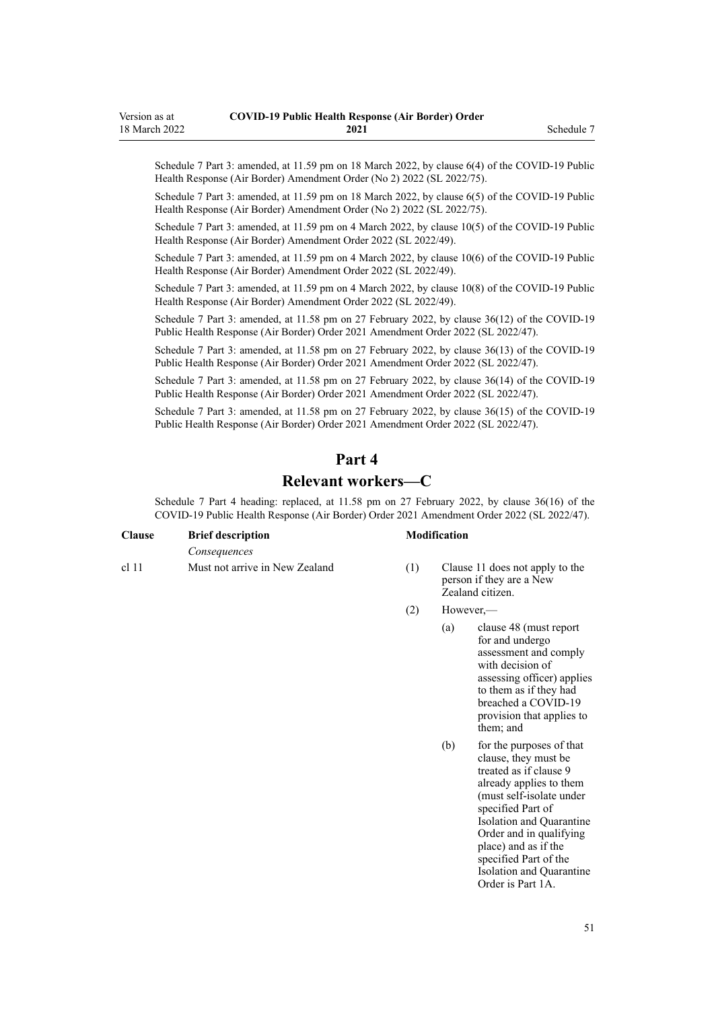<span id="page-50-0"></span>Schedule 7 Part 3: amended, at 11.59 pm on 18 March 2022, by [clause 6\(4\)](http://legislation.govt.nz/pdflink.aspx?id=LMS664430) of the COVID-19 Public Health Response (Air Border) Amendment Order (No 2) 2022 (SL 2022/75).

Schedule 7 Part 3: amended, at 11.59 pm on 18 March 2022, by [clause 6\(5\)](http://legislation.govt.nz/pdflink.aspx?id=LMS664430) of the COVID-19 Public Health Response (Air Border) Amendment Order (No 2) 2022 (SL 2022/75).

Schedule 7 Part 3: amended, at 11.59 pm on 4 March 2022, by [clause 10\(5\)](http://legislation.govt.nz/pdflink.aspx?id=LMS653792) of the COVID-19 Public Health Response (Air Border) Amendment Order 2022 (SL 2022/49).

Schedule 7 Part 3: amended, at 11.59 pm on 4 March 2022, by [clause 10\(6\)](http://legislation.govt.nz/pdflink.aspx?id=LMS653792) of the COVID-19 Public Health Response (Air Border) Amendment Order 2022 (SL 2022/49).

Schedule 7 Part 3: amended, at 11.59 pm on 4 March 2022, by [clause 10\(8\)](http://legislation.govt.nz/pdflink.aspx?id=LMS653792) of the COVID-19 Public Health Response (Air Border) Amendment Order 2022 (SL 2022/49).

Schedule 7 Part 3: amended, at 11.58 pm on 27 February 2022, by [clause 36\(12\)](http://legislation.govt.nz/pdflink.aspx?id=LMS650876) of the COVID-19 Public Health Response (Air Border) Order 2021 Amendment Order 2022 (SL 2022/47).

Schedule 7 Part 3: amended, at 11.58 pm on 27 February 2022, by [clause 36\(13\)](http://legislation.govt.nz/pdflink.aspx?id=LMS650876) of the COVID-19 Public Health Response (Air Border) Order 2021 Amendment Order 2022 (SL 2022/47).

Schedule 7 Part 3: amended, at 11.58 pm on 27 February 2022, by [clause 36\(14\)](http://legislation.govt.nz/pdflink.aspx?id=LMS650876) of the COVID-19 Public Health Response (Air Border) Order 2021 Amendment Order 2022 (SL 2022/47).

Schedule 7 Part 3: amended, at 11.58 pm on 27 February 2022, by [clause 36\(15\)](http://legislation.govt.nz/pdflink.aspx?id=LMS650876) of the COVID-19 Public Health Response (Air Border) Order 2021 Amendment Order 2022 (SL 2022/47).

# **Part 4**

## **Relevant workers—C**

Schedule 7 Part 4 heading: replaced, at 11.58 pm on 27 February 2022, by [clause 36\(16\)](http://legislation.govt.nz/pdflink.aspx?id=LMS650876) of the COVID-19 Public Health Response (Air Border) Order 2021 Amendment Order 2022 (SL 2022/47).

| <b>Clause</b> | <b>Brief description</b>       |  |
|---------------|--------------------------------|--|
|               | Consequences                   |  |
| c111          | Must not arrive in New Zealand |  |

#### **Clause Brief description Modification**

- [cl 11](#page-12-0) Must not arrive in New Zealand (1) [Clause 11](#page-12-0) does not apply to the person if they are a New Zealand citizen.
	- (2) However,—
		- (a) [clause 48](#page-25-0) (must report for and undergo assessment and comply with decision of assessing officer) applies to them as if they had breached a COVID-19 provision that applies to them; and
		- (b) for the purposes of that clause, they must be treated as if [clause 9](#page-11-0) already applies to them (must self-isolate under specified Part of Isolation and Quarantine Order and in qualifying place) and as if the specified Part of the Isolation and Quarantine Order is [Part 1A](http://legislation.govt.nz/pdflink.aspx?id=LMS415267).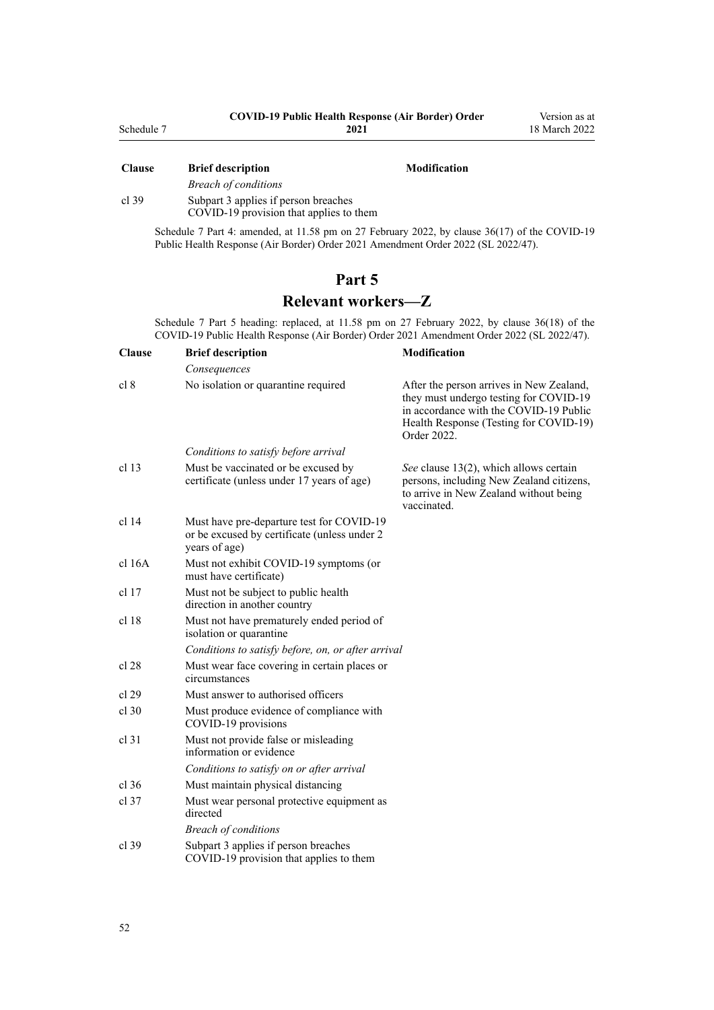<span id="page-51-0"></span>

| Schedule 7    | <b>COVID-19 Public Health Response (Air Border) Order</b><br>2021 |                     | Version as at<br>18 March 2022 |
|---------------|-------------------------------------------------------------------|---------------------|--------------------------------|
| <b>Clause</b> | <b>Brief description</b>                                          | <b>Modification</b> |                                |

|       | <b>Breach of conditions</b>             |
|-------|-----------------------------------------|
| cl.39 | Subpart 3 applies if person breaches    |
|       | COVID-19 provision that applies to them |

Schedule 7 Part 4: amended, at 11.58 pm on 27 February 2022, by [clause 36\(17\)](http://legislation.govt.nz/pdflink.aspx?id=LMS650876) of the COVID-19 Public Health Response (Air Border) Order 2021 Amendment Order 2022 (SL 2022/47).

## **Part 5**

## **Relevant workers—Z**

Schedule 7 Part 5 heading: replaced, at 11.58 pm on 27 February 2022, by [clause 36\(18\)](http://legislation.govt.nz/pdflink.aspx?id=LMS650876) of the COVID-19 Public Health Response (Air Border) Order 2021 Amendment Order 2022 (SL 2022/47).

| <b>Clause</b>    | <b>Brief description</b>                                                                                   | <b>Modification</b>                                                                                                                                                                   |
|------------------|------------------------------------------------------------------------------------------------------------|---------------------------------------------------------------------------------------------------------------------------------------------------------------------------------------|
|                  | Consequences                                                                                               |                                                                                                                                                                                       |
| cl 8             | No isolation or quarantine required                                                                        | After the person arrives in New Zealand,<br>they must undergo testing for COVID-19<br>in accordance with the COVID-19 Public<br>Health Response (Testing for COVID-19)<br>Order 2022. |
|                  | Conditions to satisfy before arrival                                                                       |                                                                                                                                                                                       |
| cl <sub>13</sub> | Must be vaccinated or be excused by<br>certificate (unless under 17 years of age)                          | See clause 13(2), which allows certain<br>persons, including New Zealand citizens,<br>to arrive in New Zealand without being<br>vaccinated.                                           |
| cl <sub>14</sub> | Must have pre-departure test for COVID-19<br>or be excused by certificate (unless under 2<br>years of age) |                                                                                                                                                                                       |
| cl 16A           | Must not exhibit COVID-19 symptoms (or<br>must have certificate)                                           |                                                                                                                                                                                       |
| $cl$ 17          | Must not be subject to public health<br>direction in another country                                       |                                                                                                                                                                                       |
| cl <sub>18</sub> | Must not have prematurely ended period of<br>isolation or quarantine                                       |                                                                                                                                                                                       |
|                  | Conditions to satisfy before, on, or after arrival                                                         |                                                                                                                                                                                       |
| cl 28            | Must wear face covering in certain places or<br>circumstances                                              |                                                                                                                                                                                       |
| cl 29            | Must answer to authorised officers                                                                         |                                                                                                                                                                                       |
| $cl$ 30          | Must produce evidence of compliance with<br>COVID-19 provisions                                            |                                                                                                                                                                                       |
| $cl$ 31          | Must not provide false or misleading<br>information or evidence                                            |                                                                                                                                                                                       |
|                  | Conditions to satisfy on or after arrival                                                                  |                                                                                                                                                                                       |
| cl.36            | Must maintain physical distancing                                                                          |                                                                                                                                                                                       |
| $cl$ 37          | Must wear personal protective equipment as<br>directed                                                     |                                                                                                                                                                                       |
|                  | <b>Breach of conditions</b>                                                                                |                                                                                                                                                                                       |
| $cl$ 39          | Subpart 3 applies if person breaches<br>COVID-19 provision that applies to them                            |                                                                                                                                                                                       |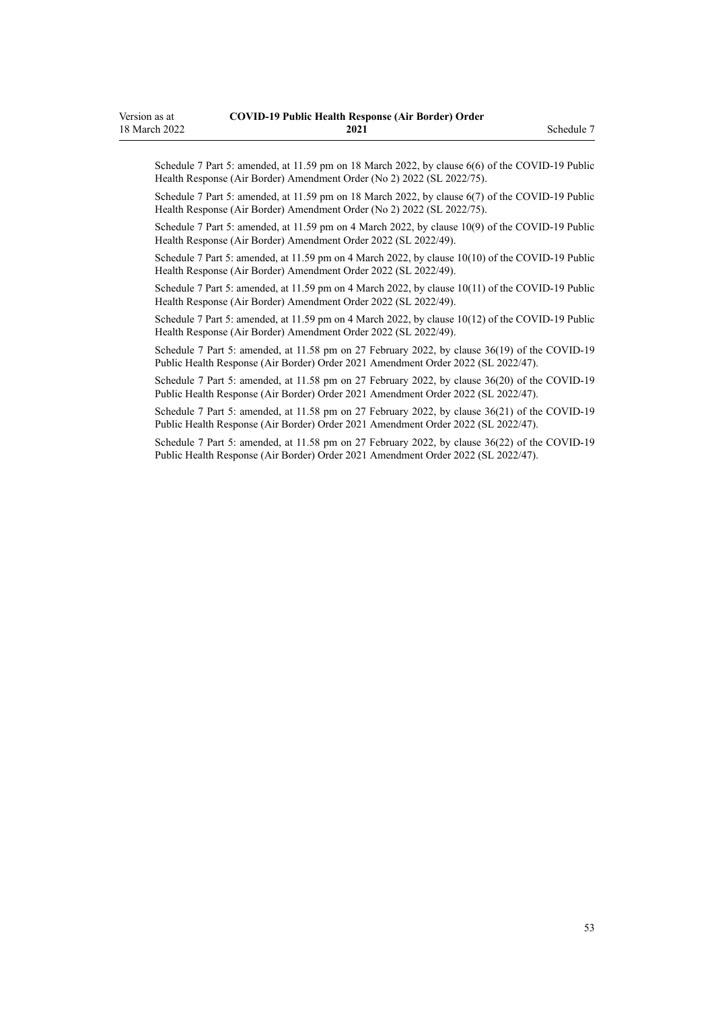Schedule 7 Part 5: amended, at 11.59 pm on 18 March 2022, by [clause 6\(6\)](http://legislation.govt.nz/pdflink.aspx?id=LMS664430) of the COVID-19 Public Health Response (Air Border) Amendment Order (No 2) 2022 (SL 2022/75).

Schedule 7 Part 5: amended, at 11.59 pm on 18 March 2022, by [clause 6\(7\)](http://legislation.govt.nz/pdflink.aspx?id=LMS664430) of the COVID-19 Public Health Response (Air Border) Amendment Order (No 2) 2022 (SL 2022/75).

Schedule 7 Part 5: amended, at 11.59 pm on 4 March 2022, by [clause 10\(9\)](http://legislation.govt.nz/pdflink.aspx?id=LMS653792) of the COVID-19 Public Health Response (Air Border) Amendment Order 2022 (SL 2022/49).

Schedule 7 Part 5: amended, at 11.59 pm on 4 March 2022, by [clause 10\(10\)](http://legislation.govt.nz/pdflink.aspx?id=LMS653792) of the COVID-19 Public Health Response (Air Border) Amendment Order 2022 (SL 2022/49).

Schedule 7 Part 5: amended, at 11.59 pm on 4 March 2022, by [clause 10\(11\)](http://legislation.govt.nz/pdflink.aspx?id=LMS653792) of the COVID-19 Public Health Response (Air Border) Amendment Order 2022 (SL 2022/49).

Schedule 7 Part 5: amended, at 11.59 pm on 4 March 2022, by [clause 10\(12\)](http://legislation.govt.nz/pdflink.aspx?id=LMS653792) of the COVID-19 Public Health Response (Air Border) Amendment Order 2022 (SL 2022/49).

Schedule 7 Part 5: amended, at 11.58 pm on 27 February 2022, by [clause 36\(19\)](http://legislation.govt.nz/pdflink.aspx?id=LMS650876) of the COVID-19 Public Health Response (Air Border) Order 2021 Amendment Order 2022 (SL 2022/47).

Schedule 7 Part 5: amended, at 11.58 pm on 27 February 2022, by [clause 36\(20\)](http://legislation.govt.nz/pdflink.aspx?id=LMS650876) of the COVID-19 Public Health Response (Air Border) Order 2021 Amendment Order 2022 (SL 2022/47).

Schedule 7 Part 5: amended, at 11.58 pm on 27 February 2022, by [clause 36\(21\)](http://legislation.govt.nz/pdflink.aspx?id=LMS650876) of the COVID-19 Public Health Response (Air Border) Order 2021 Amendment Order 2022 (SL 2022/47).

Schedule 7 Part 5: amended, at 11.58 pm on 27 February 2022, by [clause 36\(22\)](http://legislation.govt.nz/pdflink.aspx?id=LMS650876) of the COVID-19 Public Health Response (Air Border) Order 2021 Amendment Order 2022 (SL 2022/47).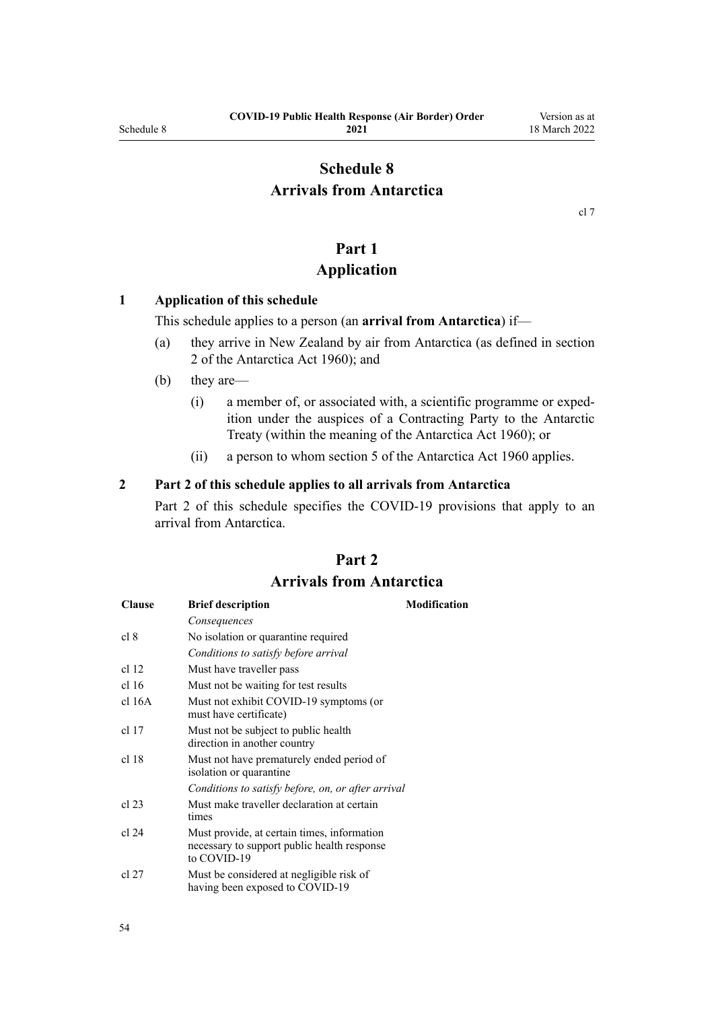# <span id="page-53-0"></span>**Schedule 8 Arrivals from Antarctica**

[cl 7](#page-9-0)

# **Part 1**

## **Application**

#### **1 Application of this schedule**

This schedule applies to a person (an **arrival from Antarctica**) if—

- (a) they arrive in New Zealand by air from Antarctica (as defined in [section](http://legislation.govt.nz/pdflink.aspx?id=DLM325200) [2](http://legislation.govt.nz/pdflink.aspx?id=DLM325200) of the Antarctica Act 1960); and
- (b) they are—
	- (i) a member of, or associated with, a scientific programme or exped‐ ition under the auspices of a Contracting Party to the Antarctic Treaty (within the meaning of the [Antarctica Act 1960\)](http://legislation.govt.nz/pdflink.aspx?id=DLM325093); or
	- (ii) a person to whom [section 5](http://legislation.govt.nz/pdflink.aspx?id=DLM325218) of the Antarctica Act 1960 applies.

#### **2 Part 2 of this schedule applies to all arrivals from Antarctica**

Part 2 of this schedule specifies the COVID-19 provisions that apply to an arrival from Antarctica.

# **Part 2 Arrivals from Antarctica**

| <b>Clause</b>    | <b>Brief description</b>                                                                                  | <b>Modification</b> |
|------------------|-----------------------------------------------------------------------------------------------------------|---------------------|
|                  | Consequences                                                                                              |                     |
| cl 8             | No isolation or quarantine required                                                                       |                     |
|                  | Conditions to satisfy before arrival                                                                      |                     |
| cl 12            | Must have traveller pass                                                                                  |                     |
| cl <sub>16</sub> | Must not be waiting for test results                                                                      |                     |
| cl 16A           | Must not exhibit COVID-19 symptoms (or<br>must have certificate)                                          |                     |
| cl 17            | Must not be subject to public health.<br>direction in another country                                     |                     |
| cl 18            | Must not have prematurely ended period of<br>isolation or quarantine                                      |                     |
|                  | Conditions to satisfy before, on, or after arrival                                                        |                     |
| cl 23            | Must make traveller declaration at certain<br>times                                                       |                     |
| cl 24            | Must provide, at certain times, information<br>necessary to support public health response<br>to COVID-19 |                     |
| cl 27            | Must be considered at negligible risk of<br>having been exposed to COVID-19                               |                     |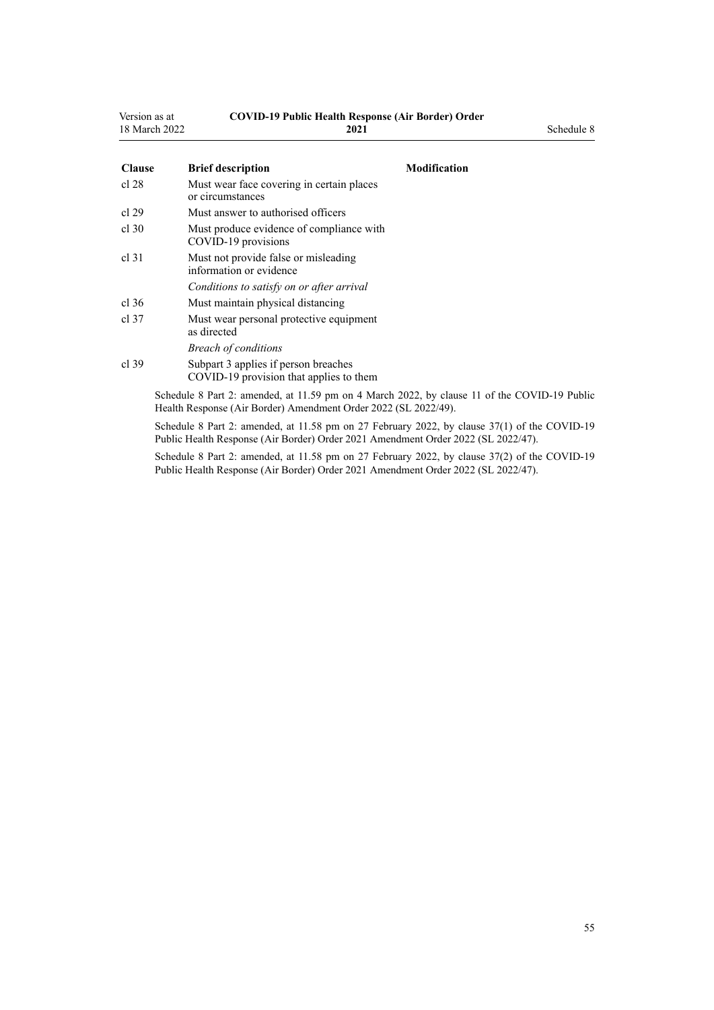| Version as at | <b>COVID-19 Public Health Response (Air Border) Order</b> |            |  |
|---------------|-----------------------------------------------------------|------------|--|
| 18 March 2022 | 2021                                                      | Schedule 8 |  |

| <b>Clause</b>    | <b>Brief description</b>                                                                     | <b>Modification</b> |
|------------------|----------------------------------------------------------------------------------------------|---------------------|
| cl 28            | Must wear face covering in certain places<br>or circumstances                                |                     |
| cl 29            | Must answer to authorised officers                                                           |                     |
| cl.30            | Must produce evidence of compliance with<br>COVID-19 provisions                              |                     |
| cl <sub>31</sub> | Must not provide false or misleading<br>information or evidence                              |                     |
|                  | Conditions to satisfy on or after arrival                                                    |                     |
| cl.36            | Must maintain physical distancing                                                            |                     |
| $cl$ 37          | Must wear personal protective equipment<br>as directed                                       |                     |
|                  | <b>Breach of conditions</b>                                                                  |                     |
| cl.39            | Subpart 3 applies if person breaches<br>COVID-19 provision that applies to them              |                     |
|                  | Schedule 8 Part 2: amended, at 11.59 pm on 4 March 2022, by clause 11 of the COVID-19 Public |                     |

Health Response (Air Border) Amendment Order 2022 (SL 2022/49). Schedule 8 Part 2: amended, at 11.58 pm on 27 February 2022, by [clause 37\(1\)](http://legislation.govt.nz/pdflink.aspx?id=LMS650878) of the COVID-19 Public Health Response (Air Border) Order 2021 Amendment Order 2022 (SL 2022/47).

Schedule 8 Part 2: amended, at 11.58 pm on 27 February 2022, by [clause 37\(2\)](http://legislation.govt.nz/pdflink.aspx?id=LMS650878) of the COVID-19 Public Health Response (Air Border) Order 2021 Amendment Order 2022 (SL 2022/47).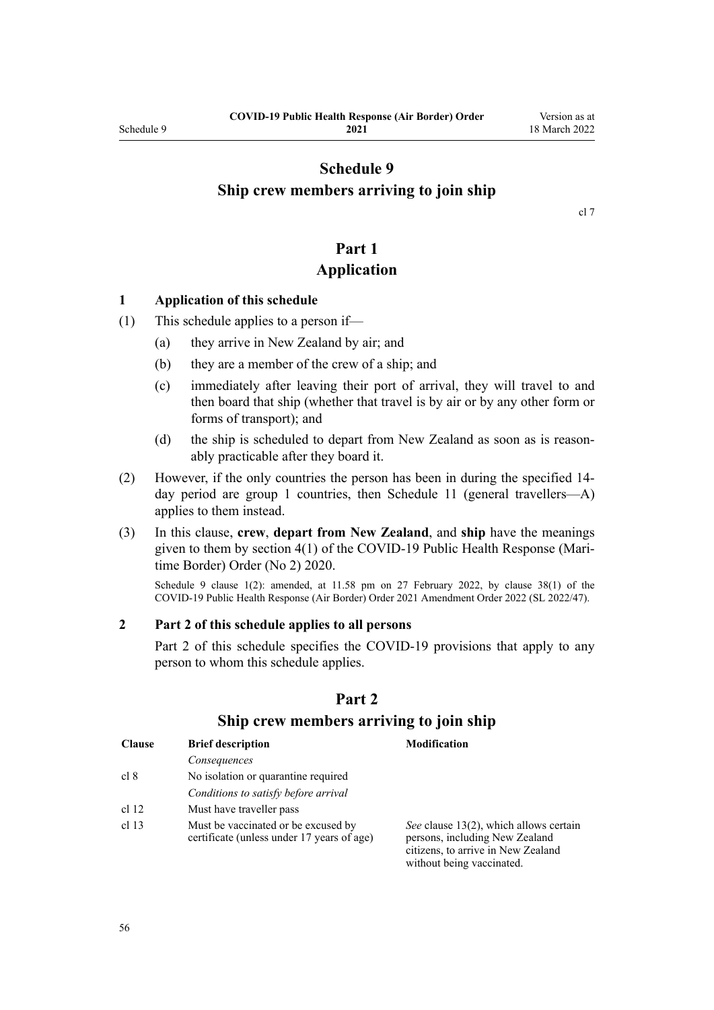## <span id="page-55-0"></span>**Schedule 9 Ship crew members arriving to join ship**

[cl 7](#page-9-0)

## **Part 1 Application**

#### **1 Application of this schedule**

- (1) This schedule applies to a person if—
	- (a) they arrive in New Zealand by air; and
	- (b) they are a member of the crew of a ship; and
	- (c) immediately after leaving their port of arrival, they will travel to and then board that ship (whether that travel is by air or by any other form or forms of transport); and
	- (d) the ship is scheduled to depart from New Zealand as soon as is reasonably practicable after they board it.
- (2) However, if the only countries the person has been in during the specified 14 day period are group 1 countries, then [Schedule 11](#page-59-0) (general travellers—A) applies to them instead.
- (3) In this clause, **crew**, **depart from New Zealand**, and **ship** have the meanings given to them by [section 4\(1\)](http://legislation.govt.nz/pdflink.aspx?id=LMS403543) of the COVID-19 Public Health Response (Mari‐ time Border) Order (No 2) 2020.

Schedule 9 clause 1(2): amended, at 11.58 pm on 27 February 2022, by [clause 38\(1\)](http://legislation.govt.nz/pdflink.aspx?id=LMS650881) of the COVID-19 Public Health Response (Air Border) Order 2021 Amendment Order 2022 (SL 2022/47).

#### **2 Part 2 of this schedule applies to all persons**

Part 2 of this schedule specifies the COVID-19 provisions that apply to any person to whom this schedule applies.

| <b>Clause</b>    | <b>Brief description</b>                                                          | <b>Modification</b>                                                                                                                         |
|------------------|-----------------------------------------------------------------------------------|---------------------------------------------------------------------------------------------------------------------------------------------|
|                  | Consequences                                                                      |                                                                                                                                             |
| cl 8             | No isolation or quarantine required                                               |                                                                                                                                             |
|                  | Conditions to satisfy before arrival                                              |                                                                                                                                             |
| cl 12            | Must have traveller pass                                                          |                                                                                                                                             |
| cl <sub>13</sub> | Must be vaccinated or be excused by<br>certificate (unless under 17 years of age) | See clause 13(2), which allows certain<br>persons, including New Zealand<br>citizens, to arrive in New Zealand<br>without being vaccinated. |

#### **Part 2**

#### **Ship crew members arriving to join ship**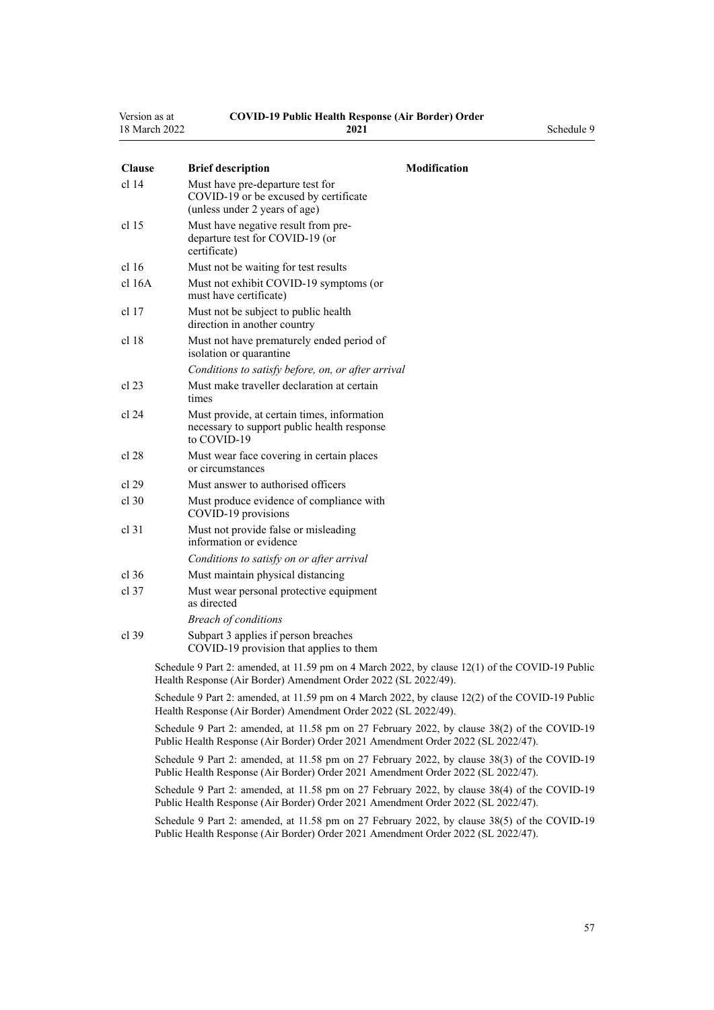| Version as at | <b>COVID-19 Public Health Response (Air Border) Order</b> |            |
|---------------|-----------------------------------------------------------|------------|
| 18 March 2022 | 2021                                                      | Schedule 9 |

| <b>Clause</b>    | <b>Brief description</b>                                                                                   | Modification                                                                                    |
|------------------|------------------------------------------------------------------------------------------------------------|-------------------------------------------------------------------------------------------------|
| $cl$ 14          | Must have pre-departure test for<br>COVID-19 or be excused by certificate<br>(unless under 2 years of age) |                                                                                                 |
| cl 15            | Must have negative result from pre-<br>departure test for COVID-19 (or<br>certificate)                     |                                                                                                 |
| cl <sub>16</sub> | Must not be waiting for test results                                                                       |                                                                                                 |
| $cl$ 16A         | Must not exhibit COVID-19 symptoms (or<br>must have certificate)                                           |                                                                                                 |
| cl 17            | Must not be subject to public health<br>direction in another country                                       |                                                                                                 |
| cl <sub>18</sub> | Must not have prematurely ended period of<br>isolation or quarantine                                       |                                                                                                 |
|                  | Conditions to satisfy before, on, or after arrival                                                         |                                                                                                 |
| cl 23            | Must make traveller declaration at certain<br>times                                                        |                                                                                                 |
| cl 24            | Must provide, at certain times, information<br>necessary to support public health response<br>to COVID-19  |                                                                                                 |
| cl 28            | Must wear face covering in certain places<br>or circumstances                                              |                                                                                                 |
| cl 29            | Must answer to authorised officers                                                                         |                                                                                                 |
| $cl$ 30          | Must produce evidence of compliance with<br>COVID-19 provisions                                            |                                                                                                 |
| $cl$ 31          | Must not provide false or misleading<br>information or evidence                                            |                                                                                                 |
|                  | Conditions to satisfy on or after arrival                                                                  |                                                                                                 |
| cl.36            | Must maintain physical distancing                                                                          |                                                                                                 |
| $cl$ 37          | Must wear personal protective equipment<br>as directed                                                     |                                                                                                 |
|                  | <b>Breach of conditions</b>                                                                                |                                                                                                 |
| cl.39            | Subpart 3 applies if person breaches<br>COVID-19 provision that applies to them                            |                                                                                                 |
|                  | Health Response (Air Border) Amendment Order 2022 (SL 2022/49).                                            | Schedule 9 Part 2: amended, at 11.59 pm on 4 March 2022, by clause 12(1) of the COVID-19 Public |

Schedule 9 Part 2: amended, at 11.59 pm on 4 March 2022, by [clause 12\(2\)](http://legislation.govt.nz/pdflink.aspx?id=LMS653795) of the COVID-19 Public Health Response (Air Border) Amendment Order 2022 (SL 2022/49).

Schedule 9 Part 2: amended, at 11.58 pm on 27 February 2022, by [clause 38\(2\)](http://legislation.govt.nz/pdflink.aspx?id=LMS650881) of the COVID-19 Public Health Response (Air Border) Order 2021 Amendment Order 2022 (SL 2022/47).

Schedule 9 Part 2: amended, at 11.58 pm on 27 February 2022, by [clause 38\(3\)](http://legislation.govt.nz/pdflink.aspx?id=LMS650881) of the COVID-19 Public Health Response (Air Border) Order 2021 Amendment Order 2022 (SL 2022/47).

Schedule 9 Part 2: amended, at 11.58 pm on 27 February 2022, by [clause 38\(4\)](http://legislation.govt.nz/pdflink.aspx?id=LMS650881) of the COVID-19 Public Health Response (Air Border) Order 2021 Amendment Order 2022 (SL 2022/47).

Schedule 9 Part 2: amended, at 11.58 pm on 27 February 2022, by [clause 38\(5\)](http://legislation.govt.nz/pdflink.aspx?id=LMS650881) of the COVID-19 Public Health Response (Air Border) Order 2021 Amendment Order 2022 (SL 2022/47).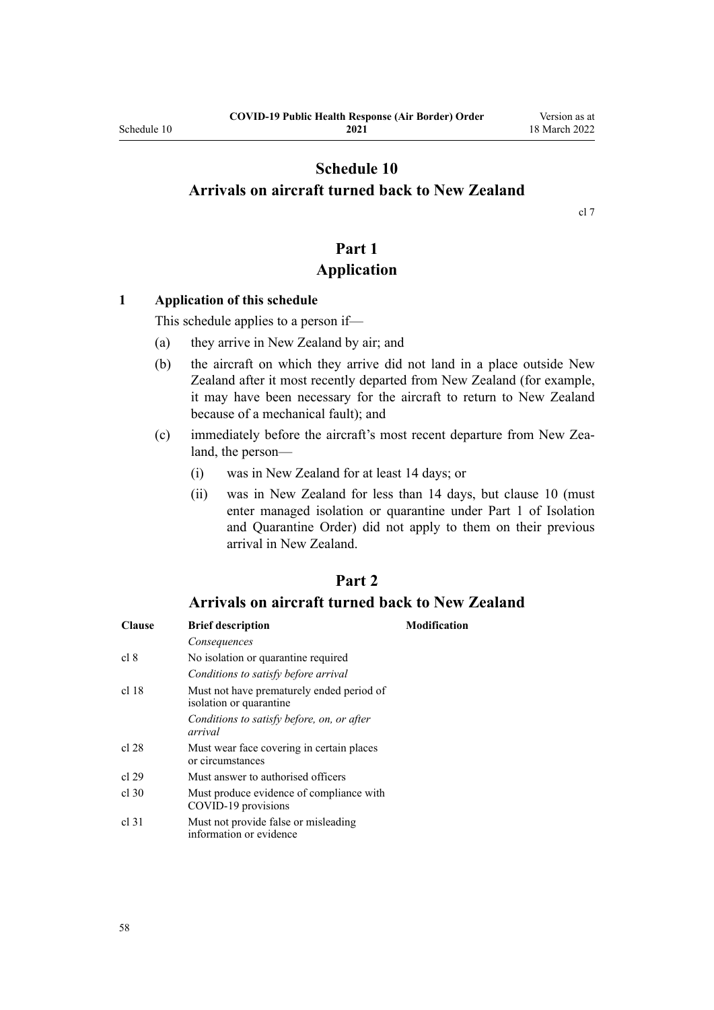## <span id="page-57-0"></span>**Schedule 10 Arrivals on aircraft turned back to New Zealand**

[cl 7](#page-9-0)

## **Part 1 Application**

#### **1 Application of this schedule**

This schedule applies to a person if—

- (a) they arrive in New Zealand by air; and
- (b) the aircraft on which they arrive did not land in a place outside New Zealand after it most recently departed from New Zealand (for example, it may have been necessary for the aircraft to return to New Zealand because of a mechanical fault); and
- (c) immediately before the aircraft's most recent departure from New Zea‐ land, the person—
	- (i) was in New Zealand for at least 14 days; or
	- (ii) was in New Zealand for less than 14 days, but [clause 10](#page-12-0) (must enter managed isolation or quarantine under [Part 1](http://legislation.govt.nz/pdflink.aspx?id=LMS401726) of Isolation and Quarantine Order) did not apply to them on their previous arrival in New Zealand.

## **Part 2**

## **Arrivals on aircraft turned back to New Zealand**

| <b>Clause</b> | <b>Brief description</b>                                             | <b>Modification</b> |
|---------------|----------------------------------------------------------------------|---------------------|
|               | Consequences                                                         |                     |
| cl 8          | No isolation or quarantine required                                  |                     |
|               | Conditions to satisfy before arrival                                 |                     |
| cl 18         | Must not have prematurely ended period of<br>isolation or quarantine |                     |
|               | Conditions to satisfy before, on, or after<br>arrival                |                     |
| cl 28         | Must wear face covering in certain places<br>or circumstances        |                     |
| cl 29         | Must answer to authorised officers                                   |                     |
| $cl$ 30       | Must produce evidence of compliance with<br>COVID-19 provisions      |                     |
| cl.31         | Must not provide false or misleading<br>information or evidence      |                     |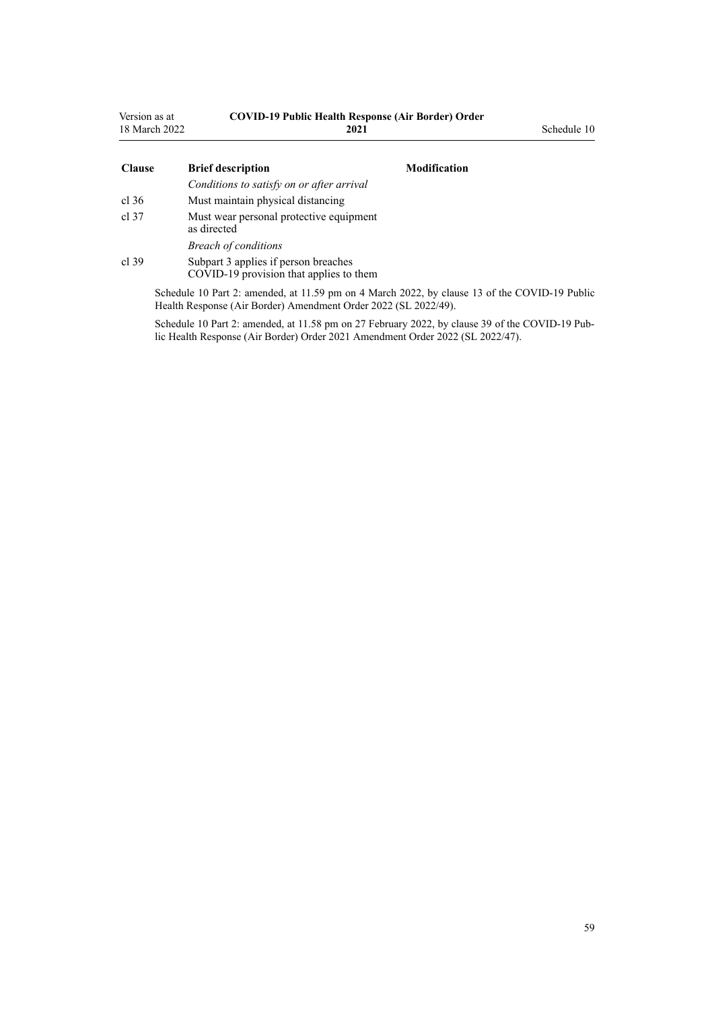| Version as at<br>18 March 2022 | <b>COVID-19 Public Health Response (Air Border) Order</b><br>2021               |                     | Schedule 10 |
|--------------------------------|---------------------------------------------------------------------------------|---------------------|-------------|
| <b>Clause</b>                  | <b>Brief description</b>                                                        | <b>Modification</b> |             |
|                                | Conditions to satisfy on or after arrival                                       |                     |             |
| $cl$ 36                        | Must maintain physical distancing                                               |                     |             |
| cl.37                          | Must wear personal protective equipment<br>as directed                          |                     |             |
|                                | <b>Breach of conditions</b>                                                     |                     |             |
| cl.39                          | Subpart 3 applies if person breaches<br>COVID-19 provision that applies to them |                     |             |

Schedule 10 Part 2: amended, at 11.59 pm on 4 March 2022, by [clause 13](http://legislation.govt.nz/pdflink.aspx?id=LMS653796) of the COVID-19 Public Health Response (Air Border) Amendment Order 2022 (SL 2022/49).

Schedule 10 Part 2: amended, at 11.58 pm on 27 February 2022, by [clause 39](http://legislation.govt.nz/pdflink.aspx?id=LMS650882) of the COVID-19 Public Health Response (Air Border) Order 2021 Amendment Order 2022 (SL 2022/47).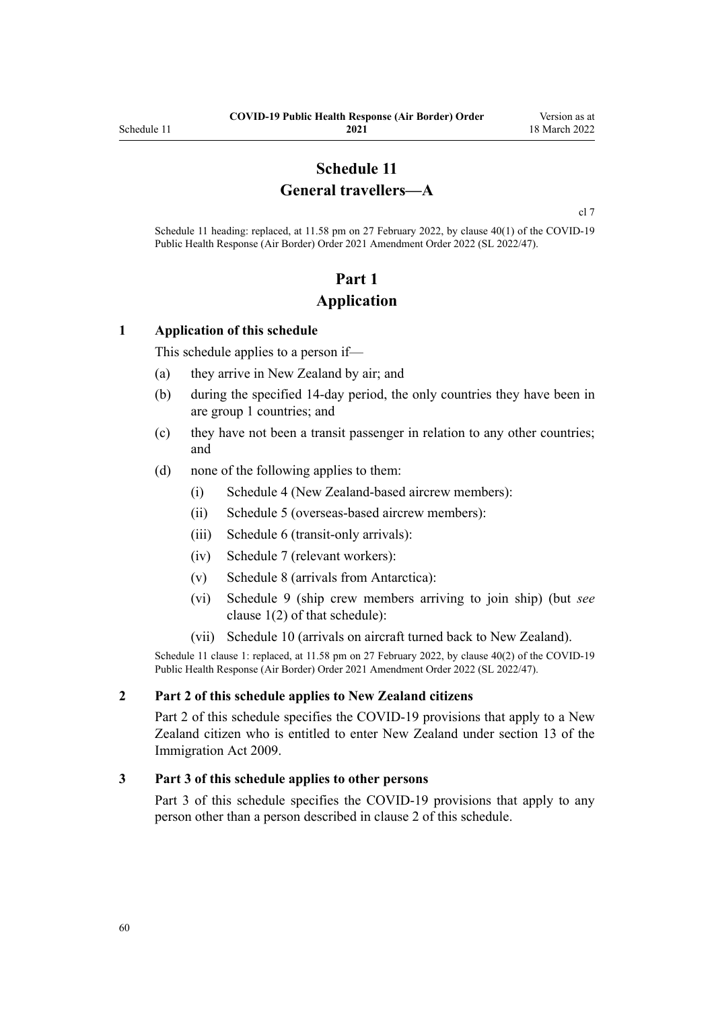## **Schedule 11 General travellers—A**

[cl 7](#page-9-0)

<span id="page-59-0"></span>Schedule 11 heading: replaced, at 11.58 pm on 27 February 2022, by [clause 40\(1\)](http://legislation.govt.nz/pdflink.aspx?id=LMS650887) of the COVID-19 Public Health Response (Air Border) Order 2021 Amendment Order 2022 (SL 2022/47).

# **Part 1 Application**

#### **1 Application of this schedule**

This schedule applies to a person if—

- (a) they arrive in New Zealand by air; and
- (b) during the specified 14-day period, the only countries they have been in are group 1 countries; and
- (c) they have not been a transit passenger in relation to any other countries; and
- (d) none of the following applies to them:
	- (i) [Schedule 4](#page-38-0) (New Zealand-based aircrew members):
	- (ii) [Schedule 5](#page-40-0) (overseas-based aircrew members):
	- (iii) [Schedule 6](#page-44-0) (transit-only arrivals):
	- (iv) [Schedule 7](#page-46-0) (relevant workers):
	- (v) [Schedule 8](#page-53-0) (arrivals from Antarctica):
	- (vi) [Schedule 9](#page-55-0) (ship crew members arriving to join ship) (but *see* [clause 1\(2\)](#page-55-0) of that schedule):
	- (vii) [Schedule 10](#page-57-0) (arrivals on aircraft turned back to New Zealand).

Schedule 11 clause 1: replaced, at 11.58 pm on 27 February 2022, by [clause 40\(2\)](http://legislation.govt.nz/pdflink.aspx?id=LMS650887) of the COVID-19 Public Health Response (Air Border) Order 2021 Amendment Order 2022 (SL 2022/47).

#### **2 Part 2 of this schedule applies to New Zealand citizens**

[Part 2](#page-60-0) of this schedule specifies the COVID-19 provisions that apply to a New Zealand citizen who is entitled to enter New Zealand under [section 13](http://legislation.govt.nz/pdflink.aspx?id=DLM1440595) of the Immigration Act 2009.

#### **3 Part 3 of this schedule applies to other persons**

[Part 3](#page-61-0) of this schedule specifies the COVID-19 provisions that apply to any person other than a person described in clause 2 of this schedule.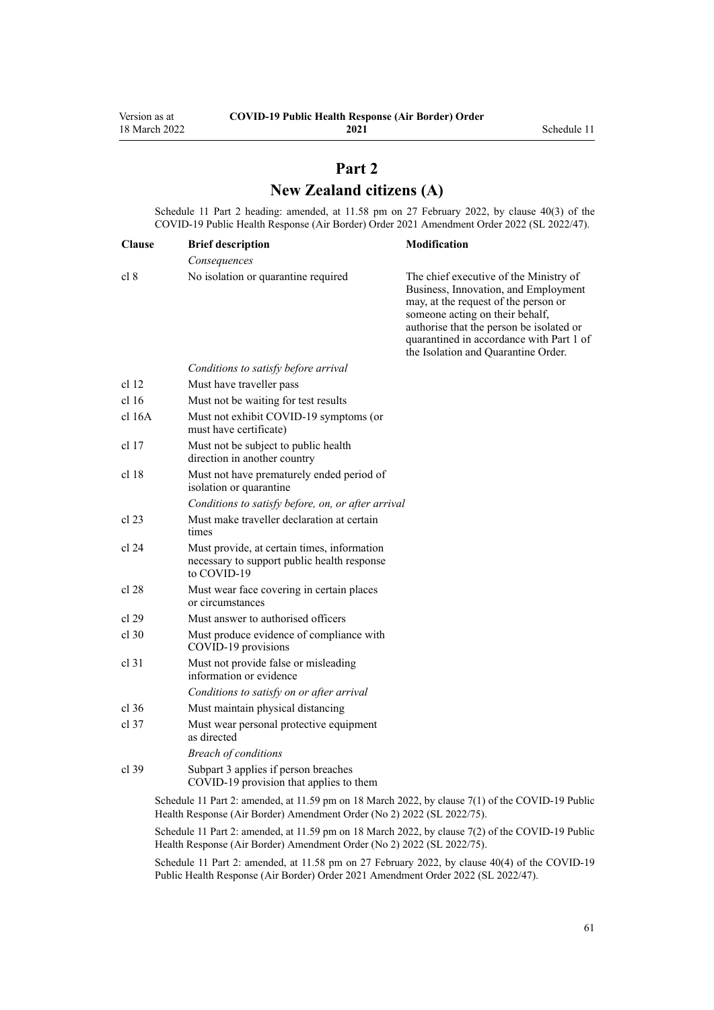## **Part 2 New Zealand citizens (A)**

<span id="page-60-0"></span>Schedule 11 Part 2 heading: amended, at 11.58 pm on 27 February 2022, by [clause 40\(3\)](http://legislation.govt.nz/pdflink.aspx?id=LMS650887) of the COVID-19 Public Health Response (Air Border) Order 2021 Amendment Order 2022 (SL 2022/47).

| <b>Clause</b>    | <b>Brief description</b>                                                                                  | Modification                                                                                                                                                                                                                                                                             |
|------------------|-----------------------------------------------------------------------------------------------------------|------------------------------------------------------------------------------------------------------------------------------------------------------------------------------------------------------------------------------------------------------------------------------------------|
|                  | Consequences                                                                                              |                                                                                                                                                                                                                                                                                          |
| cl 8             | No isolation or quarantine required                                                                       | The chief executive of the Ministry of<br>Business, Innovation, and Employment<br>may, at the request of the person or<br>someone acting on their behalf,<br>authorise that the person be isolated or<br>quarantined in accordance with Part 1 of<br>the Isolation and Quarantine Order. |
|                  | Conditions to satisfy before arrival                                                                      |                                                                                                                                                                                                                                                                                          |
| cl <sub>12</sub> | Must have traveller pass                                                                                  |                                                                                                                                                                                                                                                                                          |
| cl <sub>16</sub> | Must not be waiting for test results                                                                      |                                                                                                                                                                                                                                                                                          |
| cl 16A           | Must not exhibit COVID-19 symptoms (or<br>must have certificate)                                          |                                                                                                                                                                                                                                                                                          |
| cl 17            | Must not be subject to public health<br>direction in another country                                      |                                                                                                                                                                                                                                                                                          |
| cl 18            | Must not have prematurely ended period of<br>isolation or quarantine                                      |                                                                                                                                                                                                                                                                                          |
|                  | Conditions to satisfy before, on, or after arrival                                                        |                                                                                                                                                                                                                                                                                          |
| cl 23            | Must make traveller declaration at certain<br>times                                                       |                                                                                                                                                                                                                                                                                          |
| cl 24            | Must provide, at certain times, information<br>necessary to support public health response<br>to COVID-19 |                                                                                                                                                                                                                                                                                          |
| cl 28            | Must wear face covering in certain places<br>or circumstances                                             |                                                                                                                                                                                                                                                                                          |
| cl 29            | Must answer to authorised officers                                                                        |                                                                                                                                                                                                                                                                                          |
| $cl$ 30          | Must produce evidence of compliance with<br>COVID-19 provisions                                           |                                                                                                                                                                                                                                                                                          |
| $cl$ 31          | Must not provide false or misleading<br>information or evidence                                           |                                                                                                                                                                                                                                                                                          |
|                  | Conditions to satisfy on or after arrival                                                                 |                                                                                                                                                                                                                                                                                          |
| $cl$ 36          | Must maintain physical distancing                                                                         |                                                                                                                                                                                                                                                                                          |
| $cl$ 37          | Must wear personal protective equipment<br>as directed                                                    |                                                                                                                                                                                                                                                                                          |
|                  | <b>Breach of conditions</b>                                                                               |                                                                                                                                                                                                                                                                                          |
| $cl$ 39          | Subpart 3 applies if person breaches<br>COVID-19 provision that applies to them                           |                                                                                                                                                                                                                                                                                          |
|                  | Schedule 11 Part 2: amended, at 11.59 pm on 18 March 2022, by clause 7(1) of the COVID-19 Public          |                                                                                                                                                                                                                                                                                          |

Health Response (Air Border) Amendment Order (No 2) 2022 (SL 2022/75).

Schedule 11 Part 2: amended, at 11.59 pm on 18 March 2022, by [clause 7\(2\)](http://legislation.govt.nz/pdflink.aspx?id=LMS664433) of the COVID-19 Public Health Response (Air Border) Amendment Order (No 2) 2022 (SL 2022/75).

Schedule 11 Part 2: amended, at 11.58 pm on 27 February 2022, by [clause 40\(4\)](http://legislation.govt.nz/pdflink.aspx?id=LMS650887) of the COVID-19 Public Health Response (Air Border) Order 2021 Amendment Order 2022 (SL 2022/47).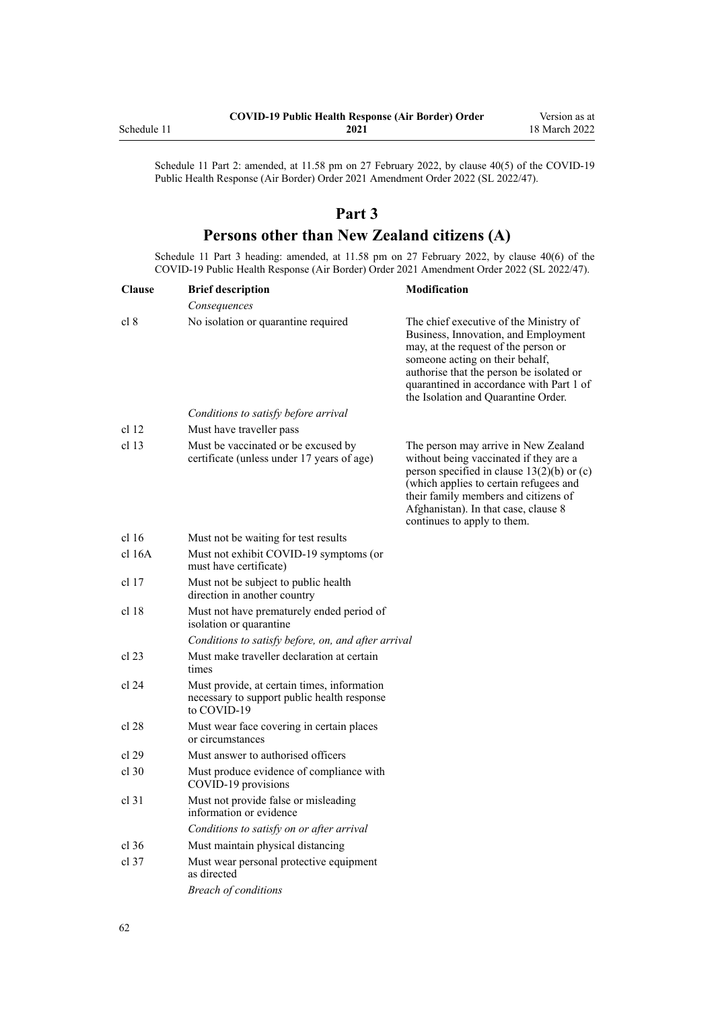<span id="page-61-0"></span>

|             | <b>COVID-19 Public Health Response (Air Border) Order</b> | Version as at |
|-------------|-----------------------------------------------------------|---------------|
| Schedule 11 | 2021                                                      | 18 March 2022 |

Schedule 11 Part 2: amended, at 11.58 pm on 27 February 2022, by [clause 40\(5\)](http://legislation.govt.nz/pdflink.aspx?id=LMS650887) of the COVID-19 Public Health Response (Air Border) Order 2021 Amendment Order 2022 (SL 2022/47).

## **Part 3**

## **Persons other than New Zealand citizens (A)**

Schedule 11 Part 3 heading: amended, at 11.58 pm on 27 February 2022, by [clause 40\(6\)](http://legislation.govt.nz/pdflink.aspx?id=LMS650887) of the COVID-19 Public Health Response (Air Border) Order 2021 Amendment Order 2022 (SL 2022/47).

| <b>Clause</b>    | <b>Brief description</b>                                                                                  | <b>Modification</b>                                                                                                                                                                                                                                                                      |
|------------------|-----------------------------------------------------------------------------------------------------------|------------------------------------------------------------------------------------------------------------------------------------------------------------------------------------------------------------------------------------------------------------------------------------------|
|                  | Consequences                                                                                              |                                                                                                                                                                                                                                                                                          |
| cl 8             | No isolation or quarantine required                                                                       | The chief executive of the Ministry of<br>Business, Innovation, and Employment<br>may, at the request of the person or<br>someone acting on their behalf,<br>authorise that the person be isolated or<br>quarantined in accordance with Part 1 of<br>the Isolation and Quarantine Order. |
|                  | Conditions to satisfy before arrival                                                                      |                                                                                                                                                                                                                                                                                          |
| cl <sub>12</sub> | Must have traveller pass                                                                                  |                                                                                                                                                                                                                                                                                          |
| cl <sub>13</sub> | Must be vaccinated or be excused by<br>certificate (unless under 17 years of age)                         | The person may arrive in New Zealand<br>without being vaccinated if they are a<br>person specified in clause $13(2)(b)$ or (c)<br>(which applies to certain refugees and<br>their family members and citizens of<br>Afghanistan). In that case, clause 8<br>continues to apply to them.  |
| cl 16            | Must not be waiting for test results                                                                      |                                                                                                                                                                                                                                                                                          |
| cl 16A           | Must not exhibit COVID-19 symptoms (or<br>must have certificate)                                          |                                                                                                                                                                                                                                                                                          |
| cl <sub>17</sub> | Must not be subject to public health<br>direction in another country                                      |                                                                                                                                                                                                                                                                                          |
| cl <sub>18</sub> | Must not have prematurely ended period of<br>isolation or quarantine                                      |                                                                                                                                                                                                                                                                                          |
|                  | Conditions to satisfy before, on, and after arrival                                                       |                                                                                                                                                                                                                                                                                          |
| cl 23            | Must make traveller declaration at certain<br>times                                                       |                                                                                                                                                                                                                                                                                          |
| cl 24            | Must provide, at certain times, information<br>necessary to support public health response<br>to COVID-19 |                                                                                                                                                                                                                                                                                          |
| cl 28            | Must wear face covering in certain places<br>or circumstances                                             |                                                                                                                                                                                                                                                                                          |
| cl 29            | Must answer to authorised officers                                                                        |                                                                                                                                                                                                                                                                                          |
| cl 30            | Must produce evidence of compliance with<br>COVID-19 provisions                                           |                                                                                                                                                                                                                                                                                          |
| $cl$ 31          | Must not provide false or misleading<br>information or evidence                                           |                                                                                                                                                                                                                                                                                          |
|                  | Conditions to satisfy on or after arrival                                                                 |                                                                                                                                                                                                                                                                                          |
| cl.36            | Must maintain physical distancing                                                                         |                                                                                                                                                                                                                                                                                          |
| cl 37            | Must wear personal protective equipment<br>as directed                                                    |                                                                                                                                                                                                                                                                                          |
|                  | <b>Breach of conditions</b>                                                                               |                                                                                                                                                                                                                                                                                          |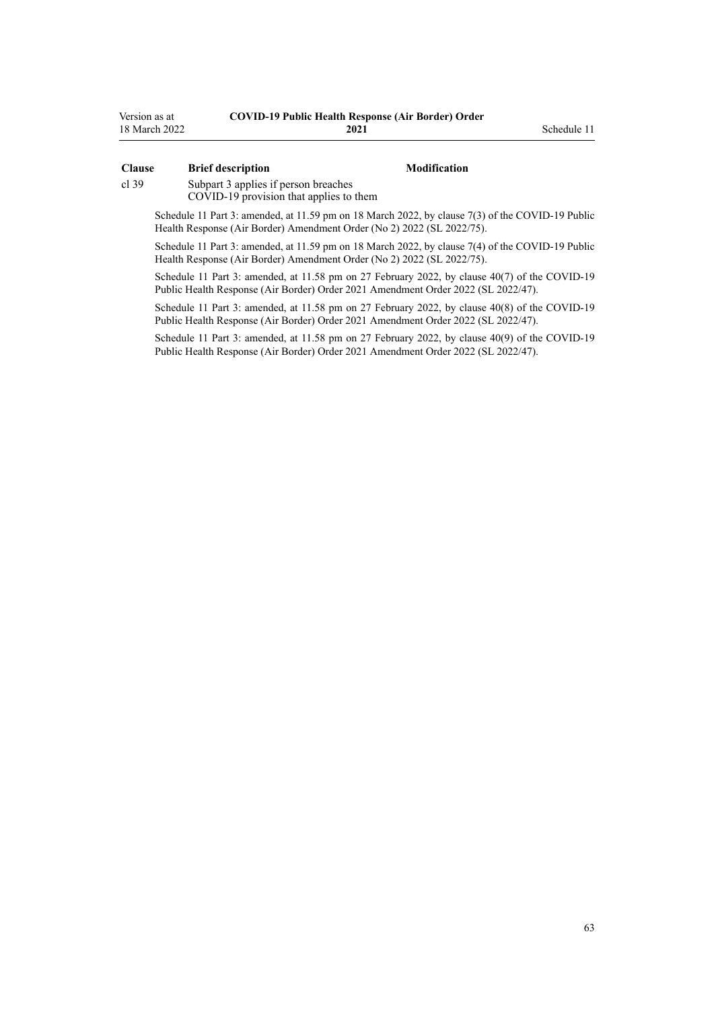| Version as at | <b>COVID-19 Public Health Response (Air Border) Order</b> |
|---------------|-----------------------------------------------------------|
| 18 March 2022 | 2021                                                      |

#### **Clause Brief description Modification**

**2021** Schedule 11

[cl 39](#page-22-0) [Subpart 3](#page-22-0) applies if person breaches

COVID-19 provision that applies to them

Schedule 11 Part 3: amended, at 11.59 pm on 18 March 2022, by [clause 7\(3\)](http://legislation.govt.nz/pdflink.aspx?id=LMS664433) of the COVID-19 Public Health Response (Air Border) Amendment Order (No 2) 2022 (SL 2022/75).

Schedule 11 Part 3: amended, at 11.59 pm on 18 March 2022, by [clause 7\(4\)](http://legislation.govt.nz/pdflink.aspx?id=LMS664433) of the COVID-19 Public Health Response (Air Border) Amendment Order (No 2) 2022 (SL 2022/75).

Schedule 11 Part 3: amended, at 11.58 pm on 27 February 2022, by [clause 40\(7\)](http://legislation.govt.nz/pdflink.aspx?id=LMS650887) of the COVID-19 Public Health Response (Air Border) Order 2021 Amendment Order 2022 (SL 2022/47).

Schedule 11 Part 3: amended, at 11.58 pm on 27 February 2022, by [clause 40\(8\)](http://legislation.govt.nz/pdflink.aspx?id=LMS650887) of the COVID-19 Public Health Response (Air Border) Order 2021 Amendment Order 2022 (SL 2022/47).

Schedule 11 Part 3: amended, at 11.58 pm on 27 February 2022, by [clause 40\(9\)](http://legislation.govt.nz/pdflink.aspx?id=LMS650887) of the COVID-19 Public Health Response (Air Border) Order 2021 Amendment Order 2022 (SL 2022/47).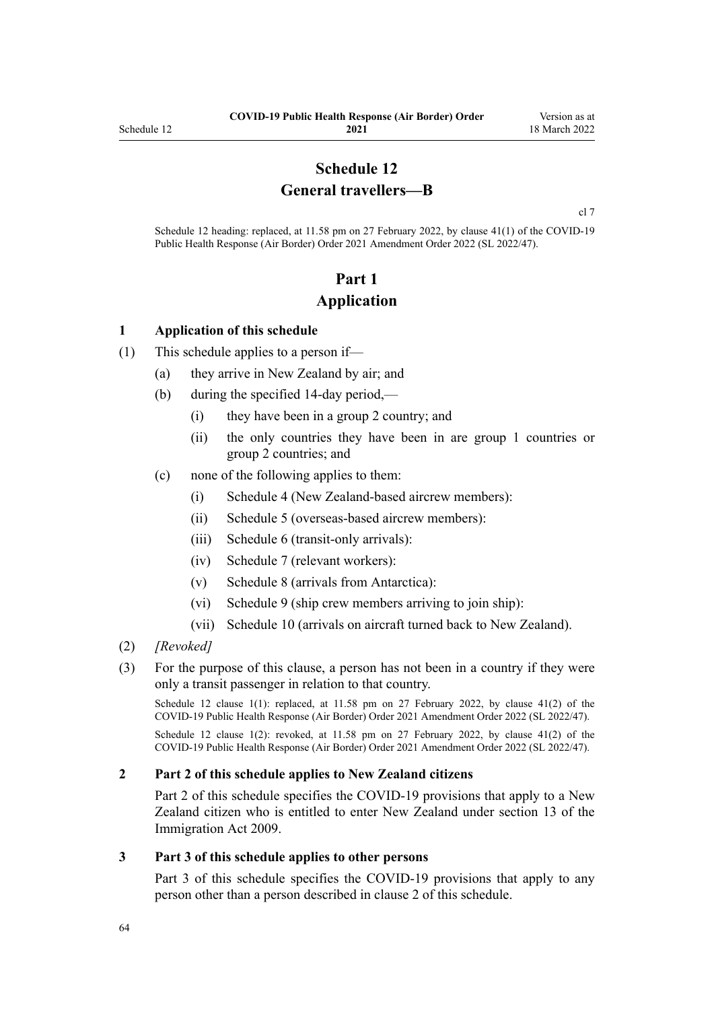## **Schedule 12 General travellers—B**

[cl 7](#page-9-0)

Schedule 12 heading: replaced, at 11.58 pm on 27 February 2022, by [clause 41\(1\)](http://legislation.govt.nz/pdflink.aspx?id=LMS650896) of the COVID-19 Public Health Response (Air Border) Order 2021 Amendment Order 2022 (SL 2022/47).

# **Part 1 Application**

#### **1 Application of this schedule**

- (1) This schedule applies to a person if—
	- (a) they arrive in New Zealand by air; and
	- (b) during the specified 14-day period,—
		- (i) they have been in a group 2 country; and
		- (ii) the only countries they have been in are group 1 countries or group 2 countries; and
	- (c) none of the following applies to them:
		- (i) [Schedule 4](#page-38-0) (New Zealand-based aircrew members):
		- (ii) [Schedule 5](#page-40-0) (overseas-based aircrew members):
		- (iii) [Schedule 6](#page-44-0) (transit-only arrivals):
		- (iv) [Schedule 7](#page-46-0) (relevant workers):
		- (v) [Schedule 8](#page-53-0) (arrivals from Antarctica):
		- (vi) [Schedule 9](#page-55-0) (ship crew members arriving to join ship):
		- (vii) [Schedule 10](#page-57-0) (arrivals on aircraft turned back to New Zealand).
- (2) *[Revoked]*
- (3) For the purpose of this clause, a person has not been in a country if they were only a transit passenger in relation to that country.

Schedule 12 clause 1(1): replaced, at 11.58 pm on 27 February 2022, by [clause 41\(2\)](http://legislation.govt.nz/pdflink.aspx?id=LMS650896) of the COVID-19 Public Health Response (Air Border) Order 2021 Amendment Order 2022 (SL 2022/47).

Schedule 12 clause 1(2): revoked, at 11.58 pm on 27 February 2022, by [clause 41\(2\)](http://legislation.govt.nz/pdflink.aspx?id=LMS650896) of the COVID-19 Public Health Response (Air Border) Order 2021 Amendment Order 2022 (SL 2022/47).

#### **2 Part 2 of this schedule applies to New Zealand citizens**

[Part 2](#page-64-0) of this schedule specifies the COVID-19 provisions that apply to a New Zealand citizen who is entitled to enter New Zealand under [section 13](http://legislation.govt.nz/pdflink.aspx?id=DLM1440595) of the Immigration Act 2009.

#### **3 Part 3 of this schedule applies to other persons**

[Part 3](#page-65-0) of this schedule specifies the COVID-19 provisions that apply to any person other than a person described in clause 2 of this schedule.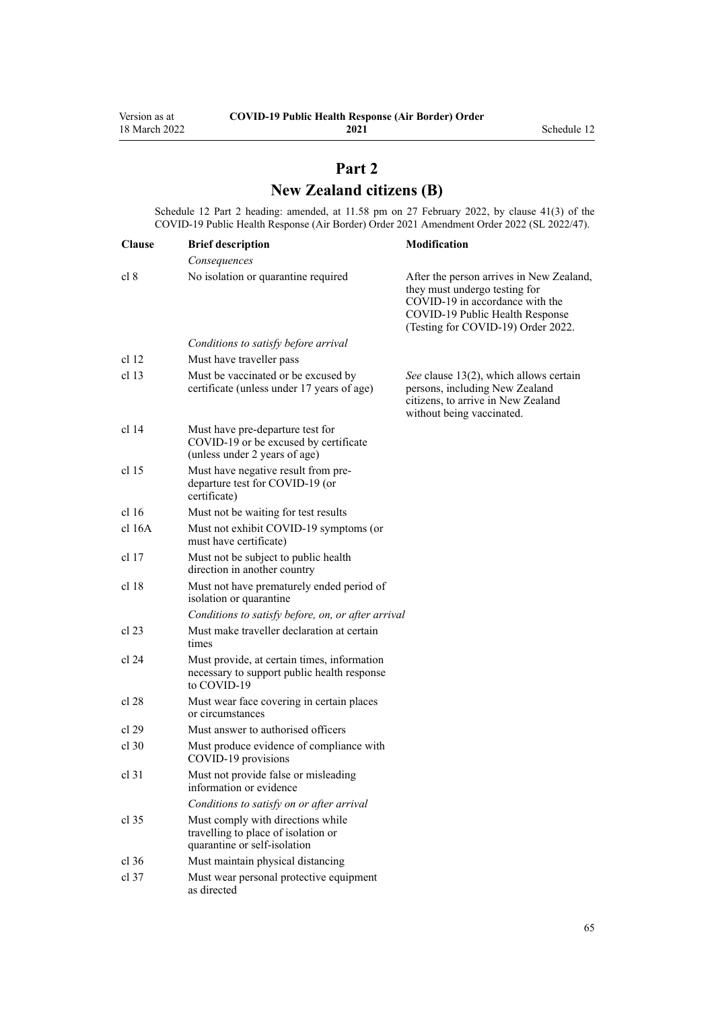# **Part 2 New Zealand citizens (B)**

<span id="page-64-0"></span>Schedule 12 Part 2 heading: amended, at 11.58 pm on 27 February 2022, by [clause 41\(3\)](http://legislation.govt.nz/pdflink.aspx?id=LMS650896) of the COVID-19 Public Health Response (Air Border) Order 2021 Amendment Order 2022 (SL 2022/47).

| <b>Clause</b>    | <b>Brief description</b>                                                                                   | Modification                                                                                                                                                                          |
|------------------|------------------------------------------------------------------------------------------------------------|---------------------------------------------------------------------------------------------------------------------------------------------------------------------------------------|
|                  | Consequences                                                                                               |                                                                                                                                                                                       |
| cl 8             | No isolation or quarantine required                                                                        | After the person arrives in New Zealand,<br>they must undergo testing for<br>COVID-19 in accordance with the<br>COVID-19 Public Health Response<br>(Testing for COVID-19) Order 2022. |
|                  | Conditions to satisfy before arrival                                                                       |                                                                                                                                                                                       |
| cl 12            | Must have traveller pass                                                                                   |                                                                                                                                                                                       |
| cl 13            | Must be vaccinated or be excused by<br>certificate (unless under 17 years of age)                          | See clause 13(2), which allows certain<br>persons, including New Zealand<br>citizens, to arrive in New Zealand<br>without being vaccinated.                                           |
| cl 14            | Must have pre-departure test for<br>COVID-19 or be excused by certificate<br>(unless under 2 years of age) |                                                                                                                                                                                       |
| cl <sub>15</sub> | Must have negative result from pre-<br>departure test for COVID-19 (or<br>certificate)                     |                                                                                                                                                                                       |
| cl 16            | Must not be waiting for test results                                                                       |                                                                                                                                                                                       |
| cl 16A           | Must not exhibit COVID-19 symptoms (or<br>must have certificate)                                           |                                                                                                                                                                                       |
| $cl$ 17          | Must not be subject to public health<br>direction in another country                                       |                                                                                                                                                                                       |
| cl <sub>18</sub> | Must not have prematurely ended period of<br>isolation or quarantine                                       |                                                                                                                                                                                       |
|                  | Conditions to satisfy before, on, or after arrival                                                         |                                                                                                                                                                                       |
| cl 23            | Must make traveller declaration at certain<br>times                                                        |                                                                                                                                                                                       |
| cl 24            | Must provide, at certain times, information<br>necessary to support public health response<br>to COVID-19  |                                                                                                                                                                                       |
| cl 28            | Must wear face covering in certain places<br>or circumstances                                              |                                                                                                                                                                                       |
| cl 29            | Must answer to authorised officers                                                                         |                                                                                                                                                                                       |
| $cl$ 30          | Must produce evidence of compliance with<br>COVID-19 provisions                                            |                                                                                                                                                                                       |
| $cl$ 31          | Must not provide false or misleading<br>information or evidence                                            |                                                                                                                                                                                       |
|                  | Conditions to satisfy on or after arrival                                                                  |                                                                                                                                                                                       |
| $cl$ 35          | Must comply with directions while<br>travelling to place of isolation or<br>quarantine or self-isolation   |                                                                                                                                                                                       |
| $cl$ 36          | Must maintain physical distancing                                                                          |                                                                                                                                                                                       |
| $cl$ 37          | Must wear personal protective equipment<br>as directed                                                     |                                                                                                                                                                                       |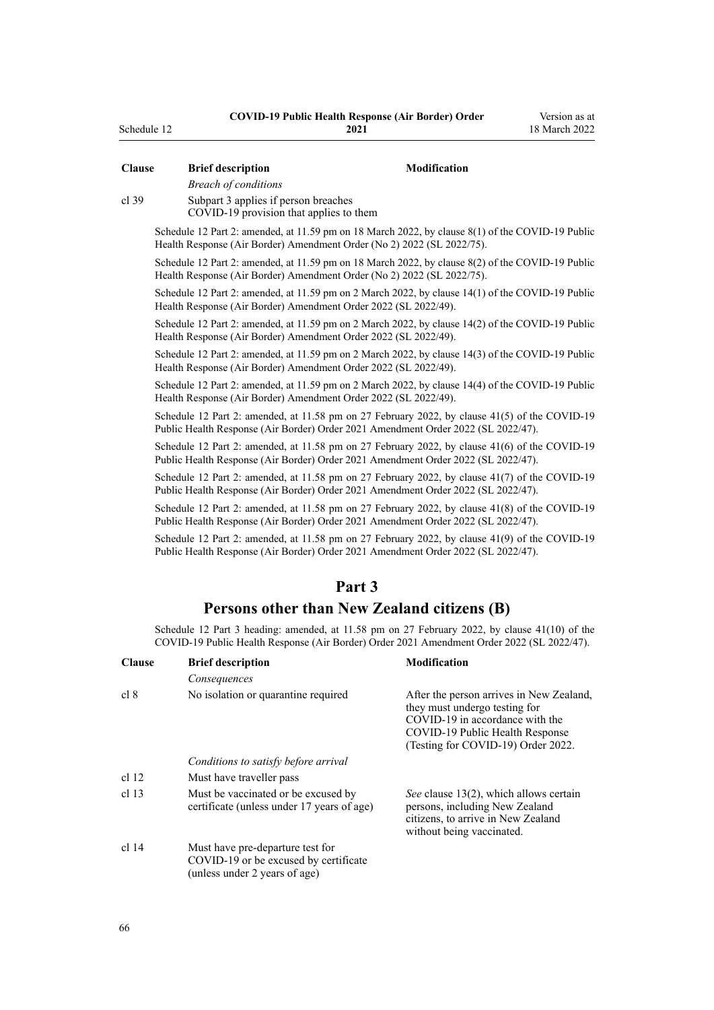| <b>Clause</b>    | <b>Brief description</b>                                                                                                                                                                    | Modification                                                                                                                                                                          |
|------------------|---------------------------------------------------------------------------------------------------------------------------------------------------------------------------------------------|---------------------------------------------------------------------------------------------------------------------------------------------------------------------------------------|
|                  | <b>Breach of conditions</b>                                                                                                                                                                 |                                                                                                                                                                                       |
| $cl$ 39          | Subpart 3 applies if person breaches<br>COVID-19 provision that applies to them                                                                                                             |                                                                                                                                                                                       |
|                  | Schedule 12 Part 2: amended, at 11.59 pm on 18 March 2022, by clause 8(1) of the COVID-19 Public<br>Health Response (Air Border) Amendment Order (No 2) 2022 (SL 2022/75).                  |                                                                                                                                                                                       |
|                  | Schedule 12 Part 2: amended, at 11.59 pm on 18 March 2022, by clause 8(2) of the COVID-19 Public<br>Health Response (Air Border) Amendment Order (No 2) 2022 (SL 2022/75).                  |                                                                                                                                                                                       |
|                  | Schedule 12 Part 2: amended, at 11.59 pm on 2 March 2022, by clause 14(1) of the COVID-19 Public<br>Health Response (Air Border) Amendment Order 2022 (SL 2022/49).                         |                                                                                                                                                                                       |
|                  | Schedule 12 Part 2: amended, at 11.59 pm on 2 March 2022, by clause 14(2) of the COVID-19 Public<br>Health Response (Air Border) Amendment Order 2022 (SL 2022/49).                         |                                                                                                                                                                                       |
|                  | Schedule 12 Part 2: amended, at 11.59 pm on 2 March 2022, by clause 14(3) of the COVID-19 Public<br>Health Response (Air Border) Amendment Order 2022 (SL 2022/49).                         |                                                                                                                                                                                       |
|                  | Schedule 12 Part 2: amended, at 11.59 pm on 2 March 2022, by clause 14(4) of the COVID-19 Public<br>Health Response (Air Border) Amendment Order 2022 (SL 2022/49).                         |                                                                                                                                                                                       |
|                  | Schedule 12 Part 2: amended, at 11.58 pm on 27 February 2022, by clause 41(5) of the COVID-19<br>Public Health Response (Air Border) Order 2021 Amendment Order 2022 (SL 2022/47).          |                                                                                                                                                                                       |
|                  | Schedule 12 Part 2: amended, at 11.58 pm on 27 February 2022, by clause 41(6) of the COVID-19<br>Public Health Response (Air Border) Order 2021 Amendment Order 2022 (SL 2022/47).          |                                                                                                                                                                                       |
|                  | Schedule 12 Part 2: amended, at 11.58 pm on 27 February 2022, by clause 41(7) of the COVID-19<br>Public Health Response (Air Border) Order 2021 Amendment Order 2022 (SL 2022/47).          |                                                                                                                                                                                       |
|                  | Schedule 12 Part 2: amended, at 11.58 pm on 27 February 2022, by clause 41(8) of the COVID-19<br>Public Health Response (Air Border) Order 2021 Amendment Order 2022 (SL 2022/47).          |                                                                                                                                                                                       |
|                  | Schedule 12 Part 2: amended, at 11.58 pm on 27 February 2022, by clause 41(9) of the COVID-19<br>Public Health Response (Air Border) Order 2021 Amendment Order 2022 (SL 2022/47).          |                                                                                                                                                                                       |
|                  | Part 3                                                                                                                                                                                      |                                                                                                                                                                                       |
|                  | Persons other than New Zealand citizens (B)                                                                                                                                                 |                                                                                                                                                                                       |
|                  | Schedule 12 Part 3 heading: amended, at 11.58 pm on 27 February 2022, by clause 41(10) of the<br>COVID-19 Public Health Response (Air Border) Order 2021 Amendment Order 2022 (SL 2022/47). |                                                                                                                                                                                       |
| <b>Clause</b>    | <b>Brief description</b>                                                                                                                                                                    | <b>Modification</b>                                                                                                                                                                   |
|                  | Consequences                                                                                                                                                                                |                                                                                                                                                                                       |
| cl 8             | No isolation or quarantine required                                                                                                                                                         | After the person arrives in New Zealand,<br>they must undergo testing for<br>COVID-19 in accordance with the<br>COVID-19 Public Health Response<br>(Testing for COVID-19) Order 2022. |
|                  | Conditions to satisfy before arrival                                                                                                                                                        |                                                                                                                                                                                       |
| cl 12            | Must have traveller pass                                                                                                                                                                    |                                                                                                                                                                                       |
| cl <sub>13</sub> | Must be vaccinated or be excused by<br>certificate (unless under 17 years of age)                                                                                                           | See clause 13(2), which allows certain<br>persons, including New Zealand<br>citizens, to arrive in New Zealand<br>without being vaccinated.                                           |
| cl 14            | Must have pre-departure test for<br>COVID-19 or be excused by certificate<br>(unless under 2 years of age)                                                                                  |                                                                                                                                                                                       |

<span id="page-65-0"></span>Schedule 12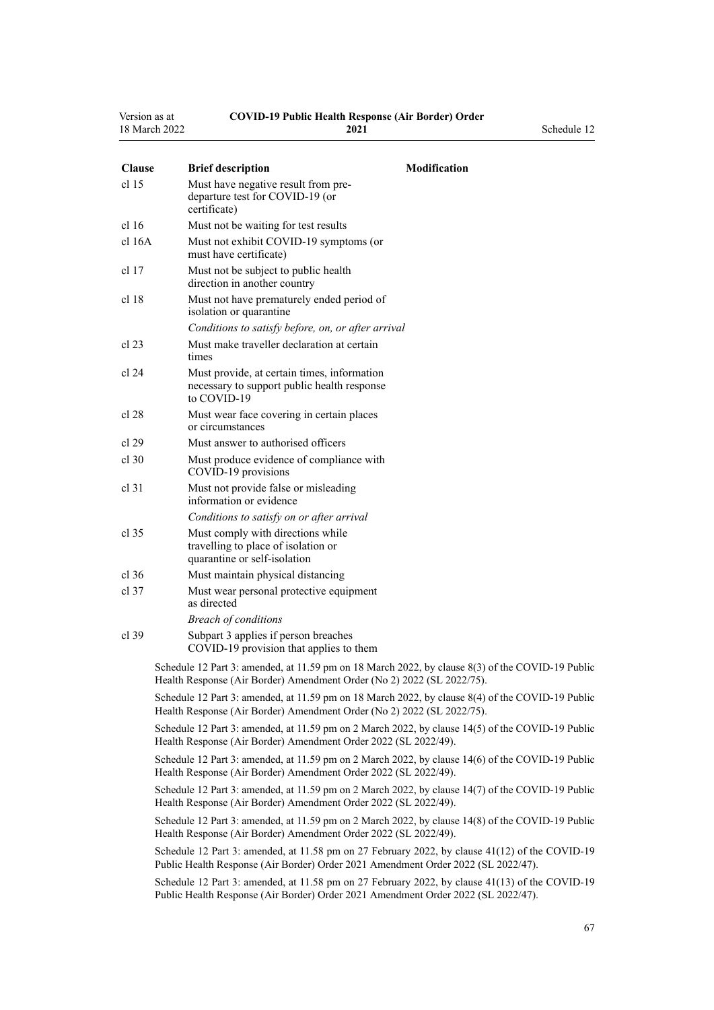| Version as at | <b>COVID-19 Public Health Response (Air Border) Order</b> |             |
|---------------|-----------------------------------------------------------|-------------|
| 18 March 2022 | 2021                                                      | Schedule 12 |

| <b>Clause</b> | <b>Brief description</b>                                                                                  | <b>Modification</b> |
|---------------|-----------------------------------------------------------------------------------------------------------|---------------------|
| cl 15         | Must have negative result from pre-<br>departure test for COVID-19 (or<br>certificate)                    |                     |
| cl 16         | Must not be waiting for test results                                                                      |                     |
| cl 16A        | Must not exhibit COVID-19 symptoms (or<br>must have certificate)                                          |                     |
| cl 17         | Must not be subject to public health.<br>direction in another country                                     |                     |
| cl 18         | Must not have prematurely ended period of<br>isolation or quarantine                                      |                     |
|               | Conditions to satisfy before, on, or after arrival                                                        |                     |
| cl 23         | Must make traveller declaration at certain<br>times                                                       |                     |
| cl 24         | Must provide, at certain times, information<br>necessary to support public health response<br>to COVID-19 |                     |
| cl 28         | Must wear face covering in certain places<br>or circumstances                                             |                     |
| cl 29         | Must answer to authorised officers                                                                        |                     |
| cl 30         | Must produce evidence of compliance with<br>COVID-19 provisions                                           |                     |

*Breach of conditions* [cl 39](#page-22-0) [Subpart 3](#page-22-0) applies if person breaches COVID-19 provision that applies to them

[cl 31](#page-20-0) Must not provide false or misleading information or evidence

[cl 35](#page-21-0) Must comply with directions while

as directed

*Conditions to satisfy on or after arrival*

travelling to place of isolation or quarantine or self-isolation [cl 36](#page-21-0) Must maintain physical distancing [cl 37](#page-21-0) Must wear personal protective equipment

> Schedule 12 Part 3: amended, at 11.59 pm on 18 March 2022, by [clause 8\(3\)](http://legislation.govt.nz/pdflink.aspx?id=LMS664436) of the COVID-19 Public Health Response (Air Border) Amendment Order (No 2) 2022 (SL 2022/75).

> Schedule 12 Part 3: amended, at 11.59 pm on 18 March 2022, by [clause 8\(4\)](http://legislation.govt.nz/pdflink.aspx?id=LMS664436) of the COVID-19 Public Health Response (Air Border) Amendment Order (No 2) 2022 (SL 2022/75).

> Schedule 12 Part 3: amended, at 11.59 pm on 2 March 2022, by [clause 14\(5\)](http://legislation.govt.nz/pdflink.aspx?id=LMS653803) of the COVID-19 Public Health Response (Air Border) Amendment Order 2022 (SL 2022/49).

> Schedule 12 Part 3: amended, at 11.59 pm on 2 March 2022, by [clause 14\(6\)](http://legislation.govt.nz/pdflink.aspx?id=LMS653803) of the COVID-19 Public Health Response (Air Border) Amendment Order 2022 (SL 2022/49).

> Schedule 12 Part 3: amended, at 11.59 pm on 2 March 2022, by [clause 14\(7\)](http://legislation.govt.nz/pdflink.aspx?id=LMS653803) of the COVID-19 Public Health Response (Air Border) Amendment Order 2022 (SL 2022/49).

> Schedule 12 Part 3: amended, at 11.59 pm on 2 March 2022, by [clause 14\(8\)](http://legislation.govt.nz/pdflink.aspx?id=LMS653803) of the COVID-19 Public Health Response (Air Border) Amendment Order 2022 (SL 2022/49).

> Schedule 12 Part 3: amended, at 11.58 pm on 27 February 2022, by [clause 41\(12\)](http://legislation.govt.nz/pdflink.aspx?id=LMS650896) of the COVID-19 Public Health Response (Air Border) Order 2021 Amendment Order 2022 (SL 2022/47).

> Schedule 12 Part 3: amended, at 11.58 pm on 27 February 2022, by [clause 41\(13\)](http://legislation.govt.nz/pdflink.aspx?id=LMS650896) of the COVID-19 Public Health Response (Air Border) Order 2021 Amendment Order 2022 (SL 2022/47).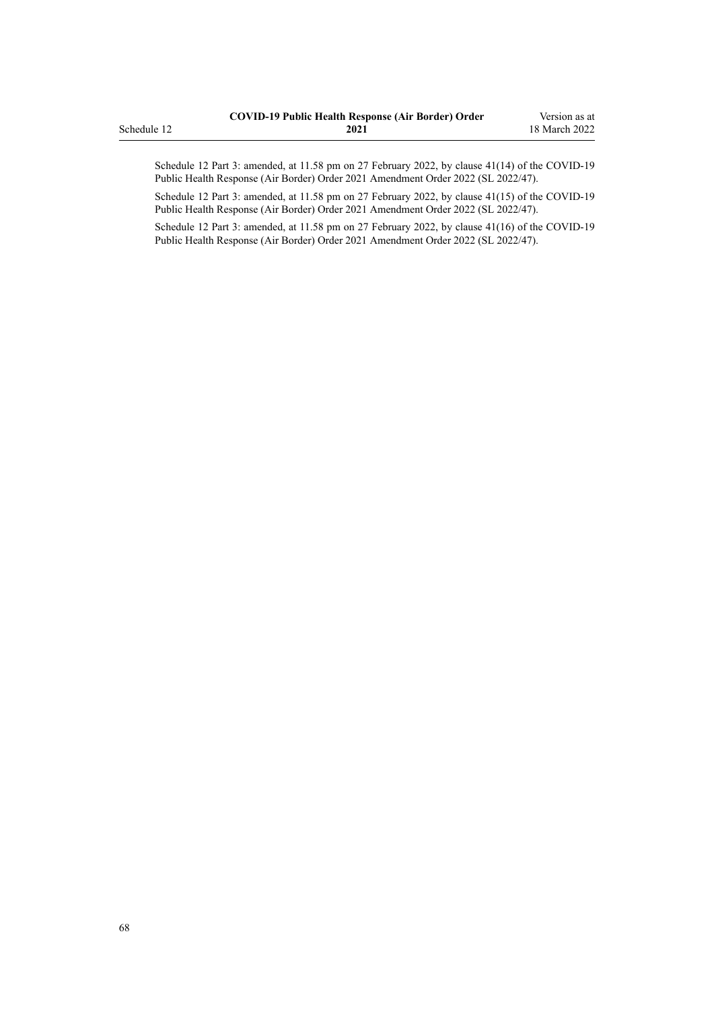|             | <b>COVID-19 Public Health Response (Air Border) Order</b> | Version as at |
|-------------|-----------------------------------------------------------|---------------|
| Schedule 12 | 2021                                                      | 18 March 2022 |
|             |                                                           |               |

Schedule 12 Part 3: amended, at 11.58 pm on 27 February 2022, by [clause 41\(14\)](http://legislation.govt.nz/pdflink.aspx?id=LMS650896) of the COVID-19 Public Health Response (Air Border) Order 2021 Amendment Order 2022 (SL 2022/47).

Schedule 12 Part 3: amended, at 11.58 pm on 27 February 2022, by [clause 41\(15\)](http://legislation.govt.nz/pdflink.aspx?id=LMS650896) of the COVID-19 Public Health Response (Air Border) Order 2021 Amendment Order 2022 (SL 2022/47).

Schedule 12 Part 3: amended, at 11.58 pm on 27 February 2022, by [clause 41\(16\)](http://legislation.govt.nz/pdflink.aspx?id=LMS650896) of the COVID-19 Public Health Response (Air Border) Order 2021 Amendment Order 2022 (SL 2022/47).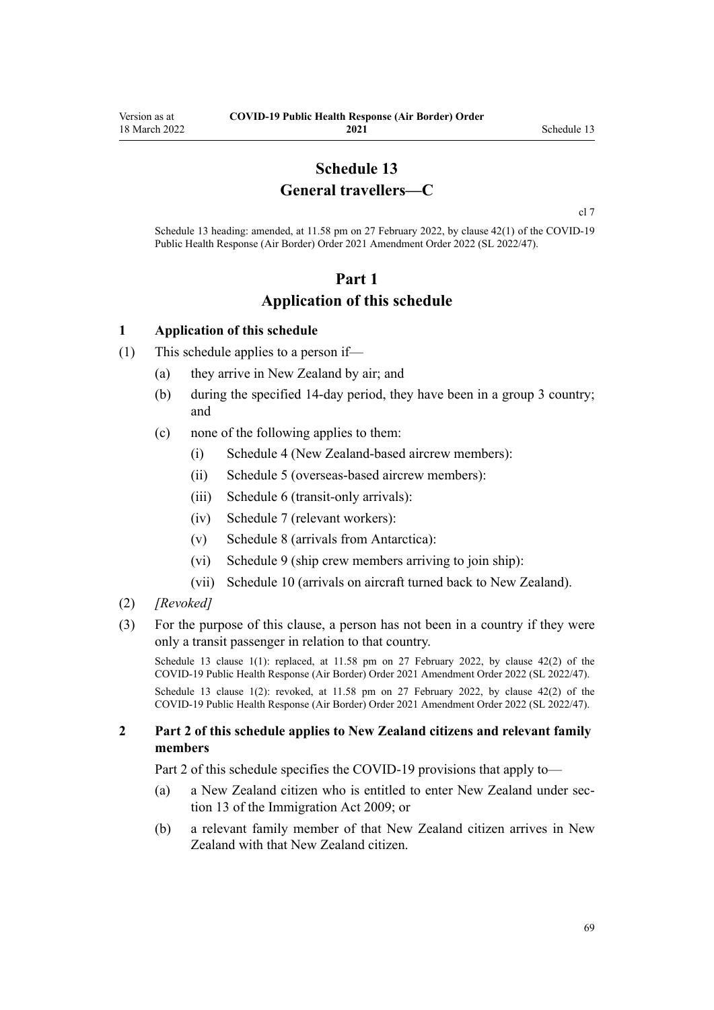## **Schedule 13 General travellers—C**

[cl 7](#page-9-0)

<span id="page-68-0"></span>Schedule 13 heading: amended, at 11.58 pm on 27 February 2022, by [clause 42\(1\)](http://legislation.govt.nz/pdflink.aspx?id=LMS650901) of the COVID-19 Public Health Response (Air Border) Order 2021 Amendment Order 2022 (SL 2022/47).

## **Part 1 Application of this schedule**

#### **1 Application of this schedule**

- (1) This schedule applies to a person if—
	- (a) they arrive in New Zealand by air; and
	- (b) during the specified 14-day period, they have been in a group 3 country; and
	- (c) none of the following applies to them:
		- (i) [Schedule 4](#page-38-0) (New Zealand-based aircrew members):
		- (ii) [Schedule 5](#page-40-0) (overseas-based aircrew members):
		- (iii) [Schedule 6](#page-44-0) (transit-only arrivals):
		- (iv) [Schedule 7](#page-46-0) (relevant workers):
		- (v) [Schedule 8](#page-53-0) (arrivals from Antarctica):
		- (vi) [Schedule 9](#page-55-0) (ship crew members arriving to join ship):
		- (vii) [Schedule 10](#page-57-0) (arrivals on aircraft turned back to New Zealand).
- (2) *[Revoked]*
- (3) For the purpose of this clause, a person has not been in a country if they were only a transit passenger in relation to that country.

Schedule 13 clause 1(1): replaced, at 11.58 pm on 27 February 2022, by [clause 42\(2\)](http://legislation.govt.nz/pdflink.aspx?id=LMS650901) of the COVID-19 Public Health Response (Air Border) Order 2021 Amendment Order 2022 (SL 2022/47).

Schedule 13 clause 1(2): revoked, at 11.58 pm on 27 February 2022, by [clause 42\(2\)](http://legislation.govt.nz/pdflink.aspx?id=LMS650901) of the COVID-19 Public Health Response (Air Border) Order 2021 Amendment Order 2022 (SL 2022/47).

#### **2 Part 2 of this schedule applies to New Zealand citizens and relevant family members**

[Part 2](#page-69-0) of this schedule specifies the COVID-19 provisions that apply to—

- (a) a New Zealand citizen who is entitled to enter New Zealand under [sec‐](http://legislation.govt.nz/pdflink.aspx?id=DLM1440595) [tion 13](http://legislation.govt.nz/pdflink.aspx?id=DLM1440595) of the Immigration Act 2009; or
- (b) a relevant family member of that New Zealand citizen arrives in New Zealand with that New Zealand citizen.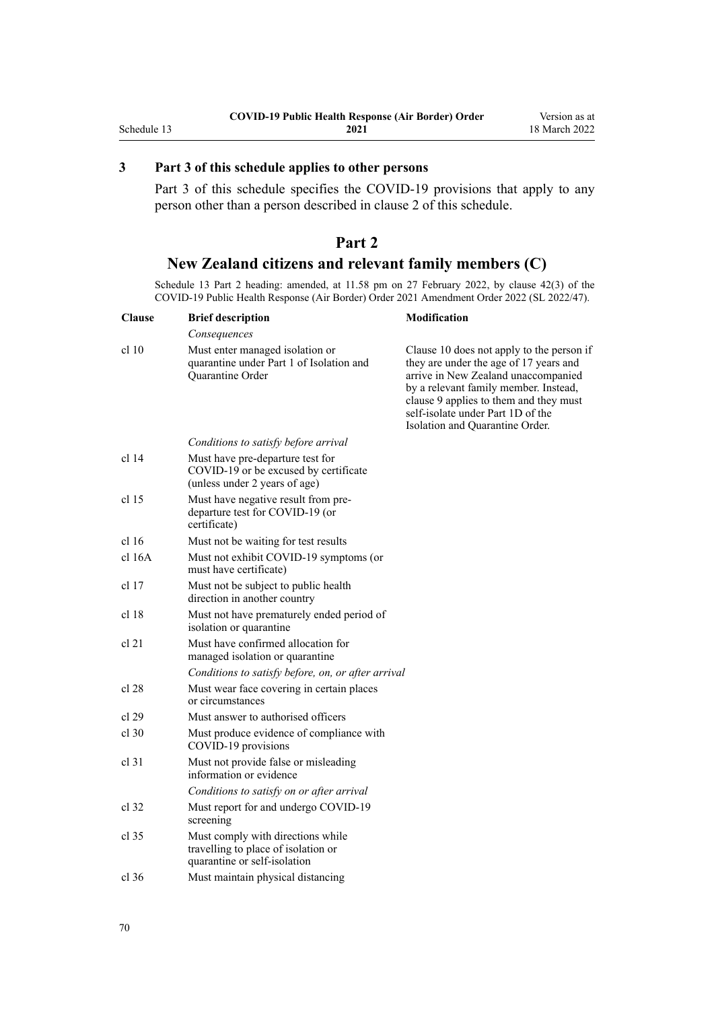## <span id="page-69-0"></span>**3 Part 3 of this schedule applies to other persons**

[Part 3](#page-70-0) of this schedule specifies the COVID-19 provisions that apply to any person other than a person described in [clause 2](#page-68-0) of this schedule.

## **Part 2 New Zealand citizens and relevant family members (C)**

Schedule 13 Part 2 heading: amended, at 11.58 pm on 27 February 2022, by [clause 42\(3\)](http://legislation.govt.nz/pdflink.aspx?id=LMS650901) of the COVID-19 Public Health Response (Air Border) Order 2021 Amendment Order 2022 (SL 2022/47).

| <b>Clause</b>    | <b>Brief description</b>                                                                                   | Modification                                                                                                                                                                                                                                                                          |
|------------------|------------------------------------------------------------------------------------------------------------|---------------------------------------------------------------------------------------------------------------------------------------------------------------------------------------------------------------------------------------------------------------------------------------|
|                  | Consequences                                                                                               |                                                                                                                                                                                                                                                                                       |
| cl 10            | Must enter managed isolation or<br>quarantine under Part 1 of Isolation and<br>Quarantine Order            | Clause 10 does not apply to the person if<br>they are under the age of 17 years and<br>arrive in New Zealand unaccompanied<br>by a relevant family member. Instead,<br>clause 9 applies to them and they must<br>self-isolate under Part 1D of the<br>Isolation and Quarantine Order. |
|                  | Conditions to satisfy before arrival                                                                       |                                                                                                                                                                                                                                                                                       |
| cl 14            | Must have pre-departure test for<br>COVID-19 or be excused by certificate<br>(unless under 2 years of age) |                                                                                                                                                                                                                                                                                       |
| cl <sub>15</sub> | Must have negative result from pre-<br>departure test for COVID-19 (or<br>certificate)                     |                                                                                                                                                                                                                                                                                       |
| cl 16            | Must not be waiting for test results                                                                       |                                                                                                                                                                                                                                                                                       |
| cl 16A           | Must not exhibit COVID-19 symptoms (or<br>must have certificate)                                           |                                                                                                                                                                                                                                                                                       |
| cl 17            | Must not be subject to public health<br>direction in another country                                       |                                                                                                                                                                                                                                                                                       |
| cl 18            | Must not have prematurely ended period of<br>isolation or quarantine                                       |                                                                                                                                                                                                                                                                                       |
| cl 21            | Must have confirmed allocation for<br>managed isolation or quarantine                                      |                                                                                                                                                                                                                                                                                       |
|                  | Conditions to satisfy before, on, or after arrival                                                         |                                                                                                                                                                                                                                                                                       |
| cl 28            | Must wear face covering in certain places<br>or circumstances                                              |                                                                                                                                                                                                                                                                                       |
| cl 29            | Must answer to authorised officers                                                                         |                                                                                                                                                                                                                                                                                       |
| $cl$ 30          | Must produce evidence of compliance with<br>COVID-19 provisions                                            |                                                                                                                                                                                                                                                                                       |
| $cl$ 31          | Must not provide false or misleading<br>information or evidence                                            |                                                                                                                                                                                                                                                                                       |
|                  | Conditions to satisfy on or after arrival                                                                  |                                                                                                                                                                                                                                                                                       |
| cl 32            | Must report for and undergo COVID-19<br>screening                                                          |                                                                                                                                                                                                                                                                                       |
| $cl$ 35          | Must comply with directions while<br>travelling to place of isolation or<br>quarantine or self-isolation   |                                                                                                                                                                                                                                                                                       |
| $cl$ 36          | Must maintain physical distancing                                                                          |                                                                                                                                                                                                                                                                                       |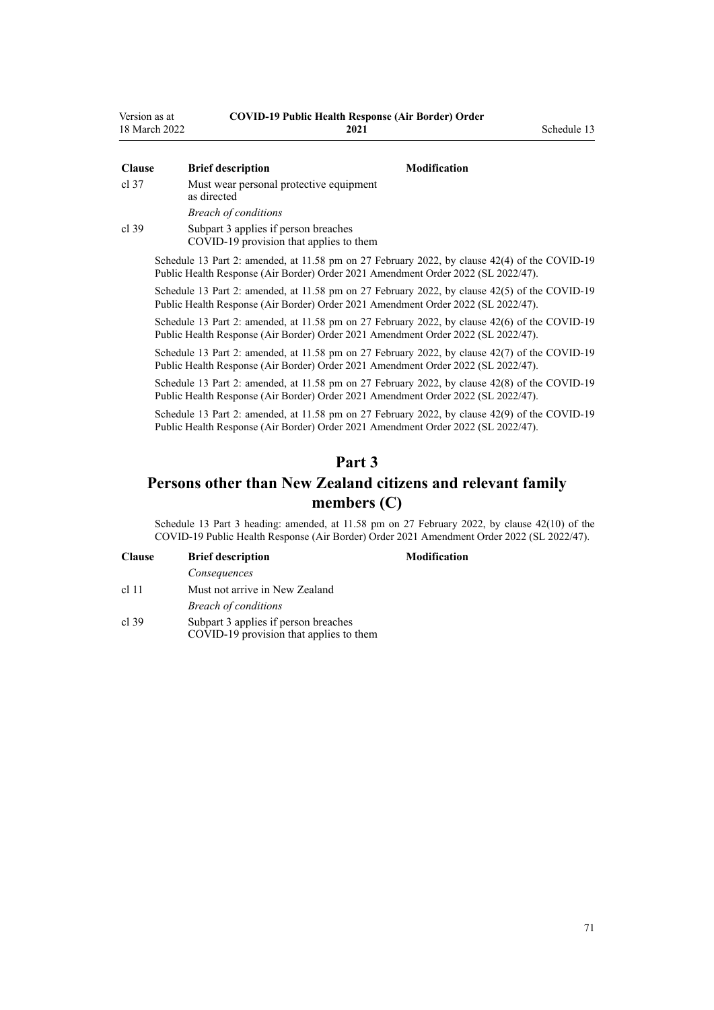<span id="page-70-0"></span>

| Version as at | <b>COVID-19 Public Health Response (Air Border) Order</b> |             |
|---------------|-----------------------------------------------------------|-------------|
| 18 March 2022 | 2021                                                      | Schedule 13 |

| <b>Clause</b> | <b>Brief description</b><br><b>Modification</b>                                                                                                                                      |  |
|---------------|--------------------------------------------------------------------------------------------------------------------------------------------------------------------------------------|--|
| cl 37         | Must wear personal protective equipment<br>as directed                                                                                                                               |  |
|               | <b>Breach of conditions</b>                                                                                                                                                          |  |
| cl 39         | Subpart 3 applies if person breaches<br>COVID-19 provision that applies to them                                                                                                      |  |
|               | Schedule 13 Part 2: amended, at 11.58 pm on 27 February 2022, by clause 42(4) of the COVID-19<br>Public Health Response (Air Border) Order 2021 Amendment Order 2022 (SL 2022/47).   |  |
|               | Schedule 13 Part 2: amended, at 11.58 pm on 27 February 2022, by clause 42(5) of the COVID-19<br>Public Health Response (Air Border) Order 2021 Amendment Order 2022 (SL 2022/47).   |  |
|               | Schedule 13 Part 2: amended, at 11.58 pm on 27 February 2022, by clause $42(6)$ of the COVID-19<br>Public Health Response (Air Border) Order 2021 Amendment Order 2022 (SL 2022/47). |  |
|               | Schodule 12 Dext 2; emended at 11.59 nm on 27 Echrician 2022, by clause $42(7)$ of the COVID 10                                                                                      |  |

Schedule 13 Part 2: amended, at 11.58 pm on 27 February 2022, by [clause 42\(7\)](http://legislation.govt.nz/pdflink.aspx?id=LMS650901) of the COVID-19 Public Health Response (Air Border) Order 2021 Amendment Order 2022 (SL 2022/47).

Schedule 13 Part 2: amended, at 11.58 pm on 27 February 2022, by [clause 42\(8\)](http://legislation.govt.nz/pdflink.aspx?id=LMS650901) of the COVID-19 Public Health Response (Air Border) Order 2021 Amendment Order 2022 (SL 2022/47).

Schedule 13 Part 2: amended, at 11.58 pm on 27 February 2022, by [clause 42\(9\)](http://legislation.govt.nz/pdflink.aspx?id=LMS650901) of the COVID-19 Public Health Response (Air Border) Order 2021 Amendment Order 2022 (SL 2022/47).

## **Part 3**

## **Persons other than New Zealand citizens and relevant family members (C)**

Schedule 13 Part 3 heading: amended, at 11.58 pm on 27 February 2022, by [clause 42\(10\)](http://legislation.govt.nz/pdflink.aspx?id=LMS650901) of the COVID-19 Public Health Response (Air Border) Order 2021 Amendment Order 2022 (SL 2022/47).

| <b>Clause</b> | <b>Brief description</b>       |  |  |
|---------------|--------------------------------|--|--|
|               | Consequences                   |  |  |
| $cl$ 11       | Must not arrive in New Zealand |  |  |
|               | <b>Breach of conditions</b>    |  |  |
|               |                                |  |  |

[cl 39](#page-22-0) [Subpart 3](#page-22-0) applies if person breaches COVID-19 provision that applies to them

#### **Clause Brief description Modification**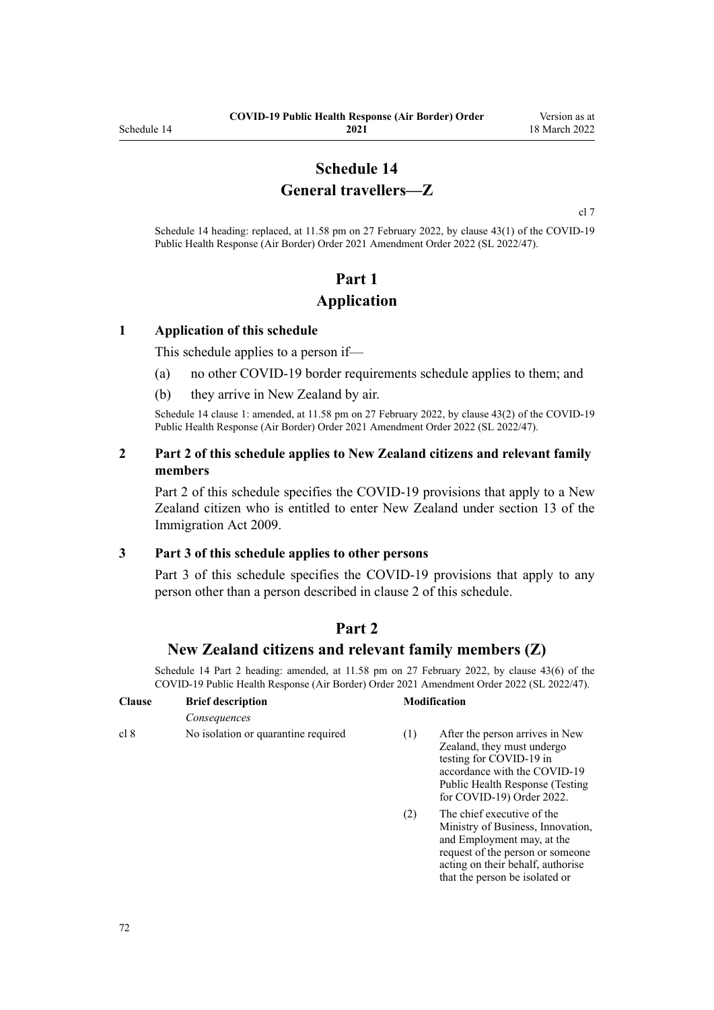## **Schedule 14 General travellers—Z**

[cl 7](#page-9-0)

Schedule 14 heading: replaced, at 11.58 pm on 27 February 2022, by [clause 43\(1\)](http://legislation.govt.nz/pdflink.aspx?id=LMS650909) of the COVID-19 Public Health Response (Air Border) Order 2021 Amendment Order 2022 (SL 2022/47).

# **Part 1 Application**

#### **1 Application of this schedule**

This schedule applies to a person if—

- (a) no other COVID-19 border requirements schedule applies to them; and
- (b) they arrive in New Zealand by air.

Schedule 14 clause 1: amended, at 11.58 pm on 27 February 2022, by [clause 43\(2\)](http://legislation.govt.nz/pdflink.aspx?id=LMS650909) of the COVID-19 Public Health Response (Air Border) Order 2021 Amendment Order 2022 (SL 2022/47).

#### **2 Part 2 of this schedule applies to New Zealand citizens and relevant family members**

Part 2 of this schedule specifies the COVID-19 provisions that apply to a New Zealand citizen who is entitled to enter New Zealand under [section 13](http://legislation.govt.nz/pdflink.aspx?id=DLM1440595) of the Immigration Act 2009.

#### **3 Part 3 of this schedule applies to other persons**

[Part 3](#page-73-0) of this schedule specifies the COVID-19 provisions that apply to any person other than a person described in clause 2 of this schedule.

## **Part 2**

#### **New Zealand citizens and relevant family members (Z)**

Schedule 14 Part 2 heading: amended, at 11.58 pm on 27 February 2022, by [clause 43\(6\)](http://legislation.govt.nz/pdflink.aspx?id=LMS650909) of the COVID-19 Public Health Response (Air Border) Order 2021 Amendment Order 2022 (SL 2022/47).

| <b>Clause</b> | <b>Brief description</b>            | <b>Modification</b> |                                                                                                                                                                                           |
|---------------|-------------------------------------|---------------------|-------------------------------------------------------------------------------------------------------------------------------------------------------------------------------------------|
|               | Consequences                        |                     |                                                                                                                                                                                           |
| cl 8          | No isolation or quarantine required | (1)                 | After the person arrives in New<br>Zealand, they must undergo<br>testing for COVID-19 in<br>accordance with the COVID-19<br>Public Health Response (Testing)<br>for COVID-19) Order 2022. |
|               |                                     | 71                  | The chief executive of the                                                                                                                                                                |

(2) The chief executive of the Ministry of Business, Innovation, and Employment may, at the request of the person or someone acting on their behalf, authorise that the person be isolated or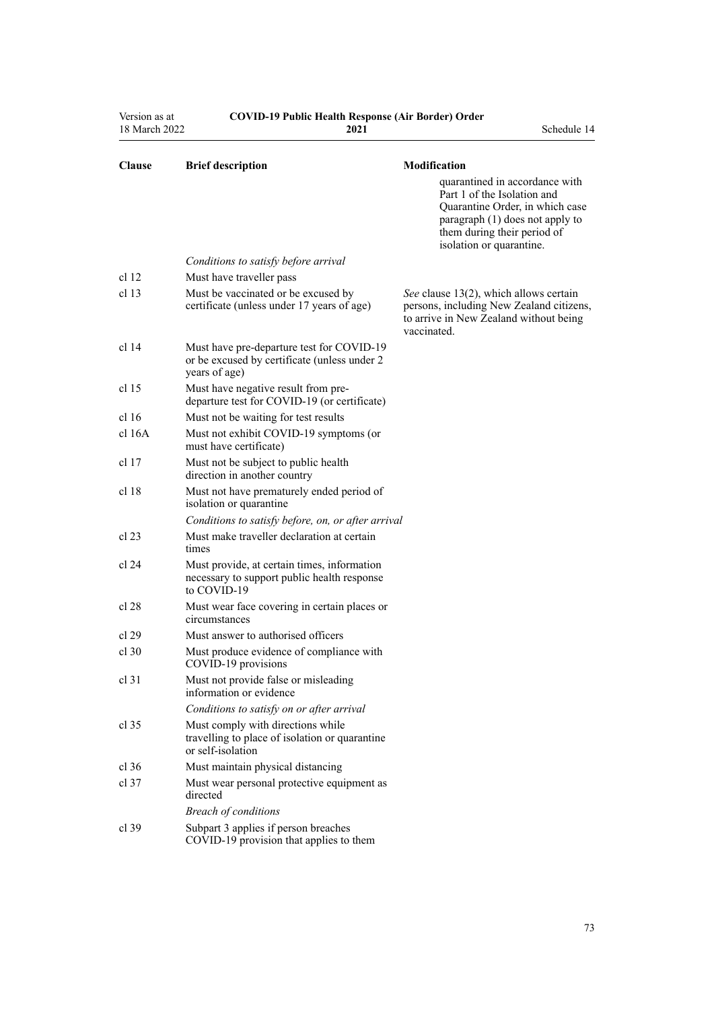| Version as at<br>18 March 2022 | <b>COVID-19 Public Health Response (Air Border) Order</b><br>2021                                          | Schedule 14                                                                                                                                                                        |
|--------------------------------|------------------------------------------------------------------------------------------------------------|------------------------------------------------------------------------------------------------------------------------------------------------------------------------------------|
| <b>Clause</b>                  | <b>Brief description</b>                                                                                   | Modification<br>quarantined in accordance with<br>Part 1 of the Isolation and<br>Quarantine Order, in which case<br>paragraph (1) does not apply to<br>them during their period of |
|                                | Conditions to satisfy before arrival                                                                       | isolation or quarantine.                                                                                                                                                           |
| cl <sub>12</sub>               | Must have traveller pass                                                                                   |                                                                                                                                                                                    |
| cl 13                          | Must be vaccinated or be excused by<br>certificate (unless under 17 years of age)                          | See clause 13(2), which allows certain<br>persons, including New Zealand citizens,<br>to arrive in New Zealand without being<br>vaccinated.                                        |
| cl 14                          | Must have pre-departure test for COVID-19<br>or be excused by certificate (unless under 2<br>years of age) |                                                                                                                                                                                    |
| cl <sub>15</sub>               | Must have negative result from pre-<br>departure test for COVID-19 (or certificate)                        |                                                                                                                                                                                    |
| cl <sub>16</sub>               | Must not be waiting for test results                                                                       |                                                                                                                                                                                    |
| $cl$ 16A                       | Must not exhibit COVID-19 symptoms (or<br>must have certificate)                                           |                                                                                                                                                                                    |
| cl 17                          | Must not be subject to public health<br>direction in another country                                       |                                                                                                                                                                                    |
| cl 18                          | Must not have prematurely ended period of<br>isolation or quarantine                                       |                                                                                                                                                                                    |
|                                | Conditions to satisfy before, on, or after arrival                                                         |                                                                                                                                                                                    |
| cl 23                          | Must make traveller declaration at certain<br>times                                                        |                                                                                                                                                                                    |
| cl 24                          | Must provide, at certain times, information<br>necessary to support public health response<br>to COVID-19  |                                                                                                                                                                                    |
| cl 28                          | Must wear face covering in certain places or<br>circumstances                                              |                                                                                                                                                                                    |
| cl 29                          | Must answer to authorised officers                                                                         |                                                                                                                                                                                    |
| cl 30                          | Must produce evidence of compliance with<br>COVID-19 provisions                                            |                                                                                                                                                                                    |
| cl <sub>31</sub>               | Must not provide false or misleading<br>information or evidence                                            |                                                                                                                                                                                    |
|                                | Conditions to satisfy on or after arrival                                                                  |                                                                                                                                                                                    |
| cl 35                          | Must comply with directions while<br>travelling to place of isolation or quarantine<br>or self-isolation   |                                                                                                                                                                                    |
| $cl$ 36                        | Must maintain physical distancing                                                                          |                                                                                                                                                                                    |
| $cl$ 37                        | Must wear personal protective equipment as<br>directed                                                     |                                                                                                                                                                                    |
|                                | <b>Breach of conditions</b>                                                                                |                                                                                                                                                                                    |
| $cl$ 39                        | Subpart 3 applies if person breaches<br>COVID-19 provision that applies to them                            |                                                                                                                                                                                    |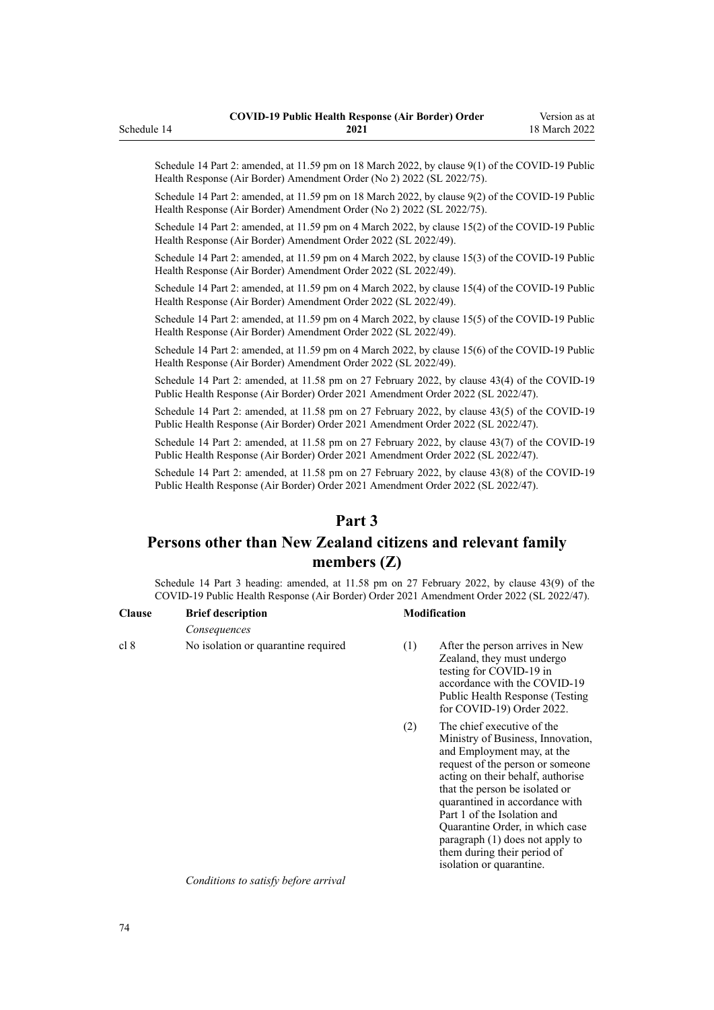Schedule 14 Part 2: amended, at 11.59 pm on 18 March 2022, by [clause 9\(1\)](http://legislation.govt.nz/pdflink.aspx?id=LMS664439) of the COVID-19 Public Health Response (Air Border) Amendment Order (No 2) 2022 (SL 2022/75).

Schedule 14 Part 2: amended, at 11.59 pm on 18 March 2022, by [clause 9\(2\)](http://legislation.govt.nz/pdflink.aspx?id=LMS664439) of the COVID-19 Public Health Response (Air Border) Amendment Order (No 2) 2022 (SL 2022/75).

Schedule 14 Part 2: amended, at 11.59 pm on 4 March 2022, by [clause 15\(2\)](http://legislation.govt.nz/pdflink.aspx?id=LMS653815) of the COVID-19 Public Health Response (Air Border) Amendment Order 2022 (SL 2022/49).

Schedule 14 Part 2: amended, at 11.59 pm on 4 March 2022, by [clause 15\(3\)](http://legislation.govt.nz/pdflink.aspx?id=LMS653815) of the COVID-19 Public Health Response (Air Border) Amendment Order 2022 (SL 2022/49).

Schedule 14 Part 2: amended, at 11.59 pm on 4 March 2022, by [clause 15\(4\)](http://legislation.govt.nz/pdflink.aspx?id=LMS653815) of the COVID-19 Public Health Response (Air Border) Amendment Order 2022 (SL 2022/49).

Schedule 14 Part 2: amended, at 11.59 pm on 4 March 2022, by [clause 15\(5\)](http://legislation.govt.nz/pdflink.aspx?id=LMS653815) of the COVID-19 Public Health Response (Air Border) Amendment Order 2022 (SL 2022/49).

Schedule 14 Part 2: amended, at 11.59 pm on 4 March 2022, by [clause 15\(6\)](http://legislation.govt.nz/pdflink.aspx?id=LMS653815) of the COVID-19 Public Health Response (Air Border) Amendment Order 2022 (SL 2022/49).

Schedule 14 Part 2: amended, at 11.58 pm on 27 February 2022, by [clause 43\(4\)](http://legislation.govt.nz/pdflink.aspx?id=LMS650909) of the COVID-19 Public Health Response (Air Border) Order 2021 Amendment Order 2022 (SL 2022/47).

Schedule 14 Part 2: amended, at 11.58 pm on 27 February 2022, by [clause 43\(5\)](http://legislation.govt.nz/pdflink.aspx?id=LMS650909) of the COVID-19 Public Health Response (Air Border) Order 2021 Amendment Order 2022 (SL 2022/47).

Schedule 14 Part 2: amended, at 11.58 pm on 27 February 2022, by [clause 43\(7\)](http://legislation.govt.nz/pdflink.aspx?id=LMS650909) of the COVID-19 Public Health Response (Air Border) Order 2021 Amendment Order 2022 (SL 2022/47).

Schedule 14 Part 2: amended, at 11.58 pm on 27 February 2022, by [clause 43\(8\)](http://legislation.govt.nz/pdflink.aspx?id=LMS650909) of the COVID-19 Public Health Response (Air Border) Order 2021 Amendment Order 2022 (SL 2022/47).

# **Part 3**

# **Persons other than New Zealand citizens and relevant family members (Z)**

Schedule 14 Part 3 heading: amended, at 11.58 pm on 27 February 2022, by [clause 43\(9\)](http://legislation.govt.nz/pdflink.aspx?id=LMS650909) of the COVID-19 Public Health Response (Air Border) Order 2021 Amendment Order 2022 (SL 2022/47).

| <b>Clause</b> | <b>Brief description</b>            | <b>Modification</b> |                                                                                                                                                             |
|---------------|-------------------------------------|---------------------|-------------------------------------------------------------------------------------------------------------------------------------------------------------|
|               | Consequences                        |                     |                                                                                                                                                             |
| cl 8          | No isolation or quarantine required | (1)                 | After the person arrives in New<br>Zealand, they must undergo<br>testing for COVID-19 in<br>accordance with the COVID-19<br>Public Health Response (Testing |

(2) The chief executive of the Ministry of Business, Innovation, and Employment may, at the request of the person or someone acting on their behalf, authorise that the person be isolated or quarantined in accordance with [Part 1](http://legislation.govt.nz/pdflink.aspx?id=LMS401726) of the Isolation and Quarantine Order, in which case paragraph (1) does not apply to them during their period of isolation or quarantine.

[for COVID-19\) Order 2022.](http://legislation.govt.nz/pdflink.aspx?id=LMS653602)

*Conditions to satisfy before arrival*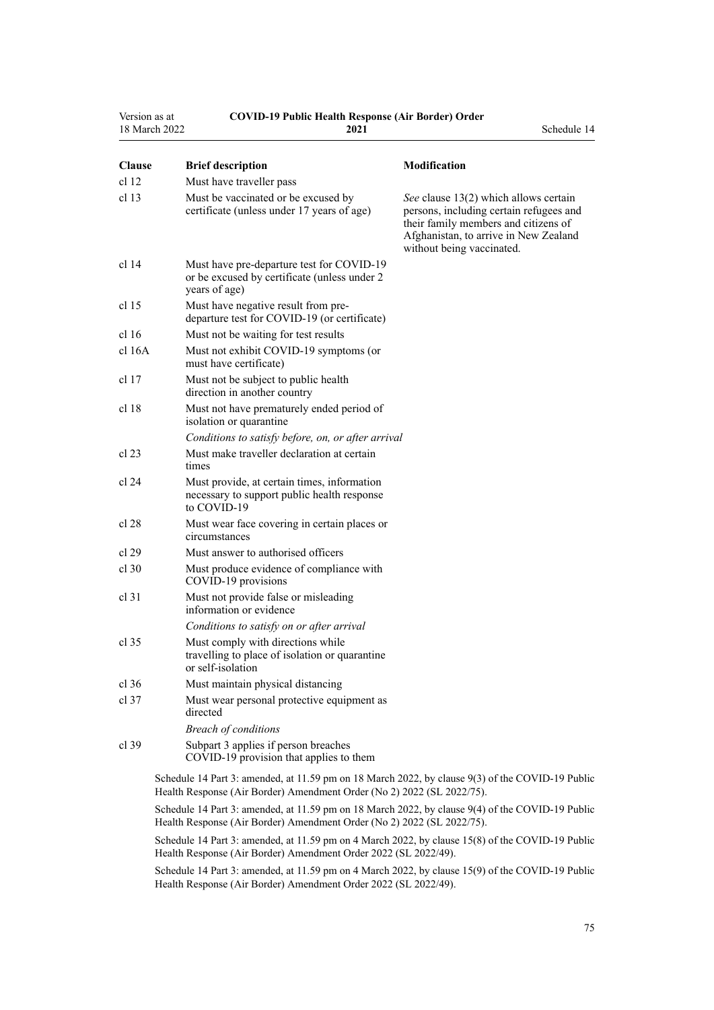| Version as at<br>18 March 2022 | <b>COVID-19 Public Health Response (Air Border) Order</b><br>2021                                          | Schedule 14                                                                                                                                                                                    |
|--------------------------------|------------------------------------------------------------------------------------------------------------|------------------------------------------------------------------------------------------------------------------------------------------------------------------------------------------------|
| <b>Clause</b>                  | <b>Brief description</b>                                                                                   | <b>Modification</b>                                                                                                                                                                            |
| cl 12                          | Must have traveller pass                                                                                   |                                                                                                                                                                                                |
| cl <sub>13</sub>               | Must be vaccinated or be excused by<br>certificate (unless under 17 years of age)                          | See clause 13(2) which allows certain<br>persons, including certain refugees and<br>their family members and citizens of<br>Afghanistan, to arrive in New Zealand<br>without being vaccinated. |
| cl 14                          | Must have pre-departure test for COVID-19<br>or be excused by certificate (unless under 2<br>years of age) |                                                                                                                                                                                                |
| cl 15                          | Must have negative result from pre-<br>departure test for COVID-19 (or certificate)                        |                                                                                                                                                                                                |
| cl 16                          | Must not be waiting for test results                                                                       |                                                                                                                                                                                                |
| cl 16A                         | Must not exhibit COVID-19 symptoms (or<br>must have certificate)                                           |                                                                                                                                                                                                |
| cl 17                          | Must not be subject to public health<br>direction in another country                                       |                                                                                                                                                                                                |
| cl 18                          | Must not have prematurely ended period of<br>isolation or quarantine                                       |                                                                                                                                                                                                |
|                                | Conditions to satisfy before, on, or after arrival                                                         |                                                                                                                                                                                                |
| cl 23                          | Must make traveller declaration at certain<br>times                                                        |                                                                                                                                                                                                |
| cl 24                          | Must provide, at certain times, information<br>necessary to support public health response<br>to COVID-19  |                                                                                                                                                                                                |
| cl 28                          | Must wear face covering in certain places or<br>circumstances                                              |                                                                                                                                                                                                |
| cl 29                          | Must answer to authorised officers                                                                         |                                                                                                                                                                                                |
| $cl$ 30                        | Must produce evidence of compliance with<br>COVID-19 provisions                                            |                                                                                                                                                                                                |
| $cl$ 31                        | Must not provide false or misleading<br>information or evidence                                            |                                                                                                                                                                                                |
|                                | Conditions to satisfy on or after arrival                                                                  |                                                                                                                                                                                                |
| cl 35                          | Must comply with directions while<br>travelling to place of isolation or quarantine<br>or self-isolation   |                                                                                                                                                                                                |
| $cl$ 36                        | Must maintain physical distancing                                                                          |                                                                                                                                                                                                |
| $cl$ 37                        | Must wear personal protective equipment as<br>directed                                                     |                                                                                                                                                                                                |
|                                | <b>Breach of conditions</b>                                                                                |                                                                                                                                                                                                |
| $cl$ 39                        | Subpart 3 applies if person breaches<br>COVID-19 provision that applies to them                            |                                                                                                                                                                                                |
|                                | Schedule 14 Part 3: amended at 11.59 nm on 18 March 2022, by clause $9(3)$ of the COVID-19 Public          |                                                                                                                                                                                                |

ule 14 Part 3: amended, at 11.59 pm on 18 March 2022, by [clause 9\(3\)](http://legislation.govt.nz/pdflink.aspx?id=LMS664439) of the COVID-19 Public Health Response (Air Border) Amendment Order (No 2) 2022 (SL 2022/75).

Schedule 14 Part 3: amended, at 11.59 pm on 18 March 2022, by [clause 9\(4\)](http://legislation.govt.nz/pdflink.aspx?id=LMS664439) of the COVID-19 Public Health Response (Air Border) Amendment Order (No 2) 2022 (SL 2022/75).

Schedule 14 Part 3: amended, at 11.59 pm on 4 March 2022, by [clause 15\(8\)](http://legislation.govt.nz/pdflink.aspx?id=LMS653815) of the COVID-19 Public Health Response (Air Border) Amendment Order 2022 (SL 2022/49).

Schedule 14 Part 3: amended, at 11.59 pm on 4 March 2022, by [clause 15\(9\)](http://legislation.govt.nz/pdflink.aspx?id=LMS653815) of the COVID-19 Public Health Response (Air Border) Amendment Order 2022 (SL 2022/49).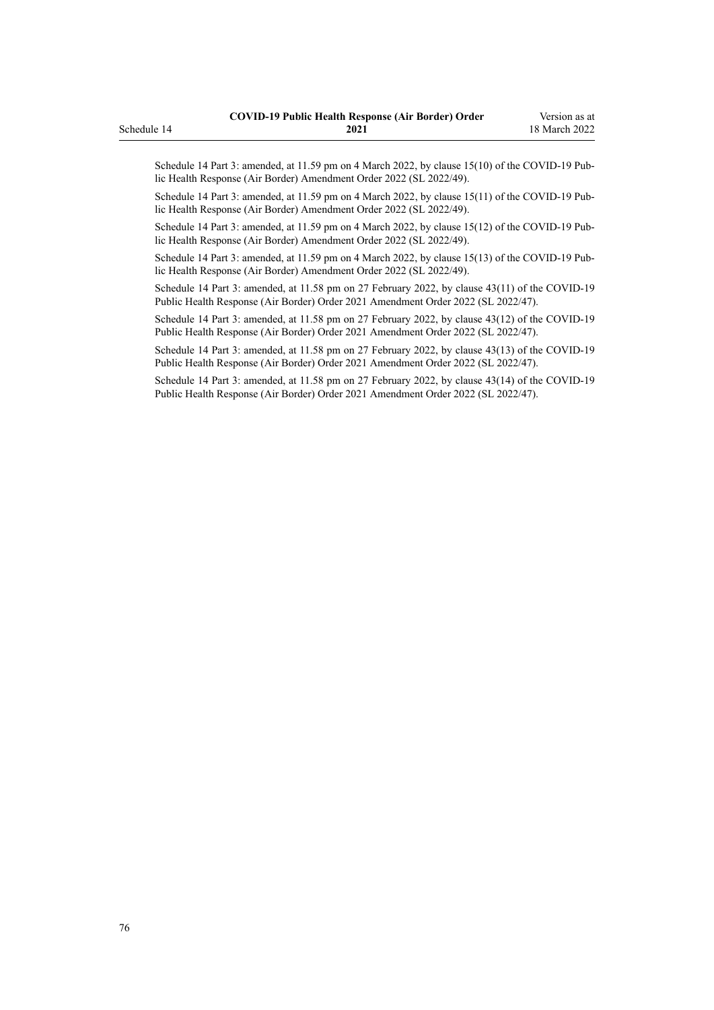Schedule 14 Part 3: amended, at 11.59 pm on 4 March 2022, by [clause 15\(10\)](http://legislation.govt.nz/pdflink.aspx?id=LMS653815) of the COVID-19 Public Health Response (Air Border) Amendment Order 2022 (SL 2022/49).

Schedule 14 Part 3: amended, at 11.59 pm on 4 March 2022, by [clause 15\(11\)](http://legislation.govt.nz/pdflink.aspx?id=LMS653815) of the COVID-19 Public Health Response (Air Border) Amendment Order 2022 (SL 2022/49).

Schedule 14 Part 3: amended, at 11.59 pm on 4 March 2022, by [clause 15\(12\)](http://legislation.govt.nz/pdflink.aspx?id=LMS653815) of the COVID-19 Pub‐ lic Health Response (Air Border) Amendment Order 2022 (SL 2022/49).

Schedule 14 Part 3: amended, at 11.59 pm on 4 March 2022, by [clause 15\(13\)](http://legislation.govt.nz/pdflink.aspx?id=LMS653815) of the COVID-19 Public Health Response (Air Border) Amendment Order 2022 (SL 2022/49).

Schedule 14 Part 3: amended, at 11.58 pm on 27 February 2022, by [clause 43\(11\)](http://legislation.govt.nz/pdflink.aspx?id=LMS650909) of the COVID-19 Public Health Response (Air Border) Order 2021 Amendment Order 2022 (SL 2022/47).

Schedule 14 Part 3: amended, at 11.58 pm on 27 February 2022, by [clause 43\(12\)](http://legislation.govt.nz/pdflink.aspx?id=LMS650909) of the COVID-19 Public Health Response (Air Border) Order 2021 Amendment Order 2022 (SL 2022/47).

Schedule 14 Part 3: amended, at 11.58 pm on 27 February 2022, by [clause 43\(13\)](http://legislation.govt.nz/pdflink.aspx?id=LMS650909) of the COVID-19 Public Health Response (Air Border) Order 2021 Amendment Order 2022 (SL 2022/47).

Schedule 14 Part 3: amended, at 11.58 pm on 27 February 2022, by [clause 43\(14\)](http://legislation.govt.nz/pdflink.aspx?id=LMS650909) of the COVID-19 Public Health Response (Air Border) Order 2021 Amendment Order 2022 (SL 2022/47).

# Schedule 14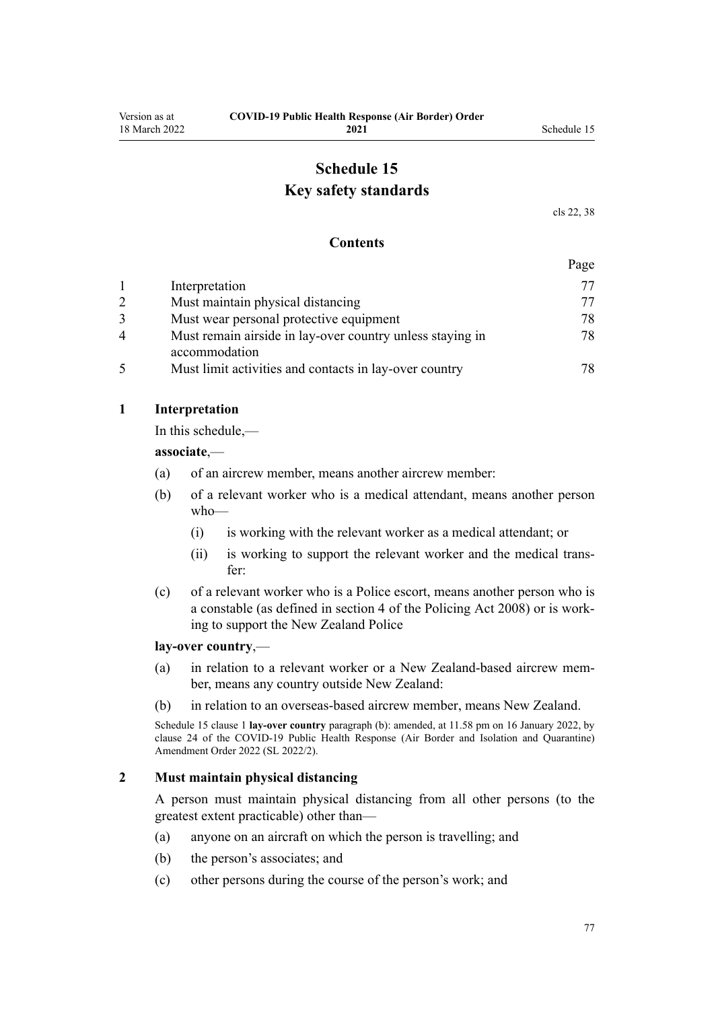# **Schedule 15 Key safety standards**

[cls 22,](#page-16-0) [38](#page-22-0)

### **Contents**

|   |                                                                            | Page |
|---|----------------------------------------------------------------------------|------|
|   | Interpretation                                                             | 77   |
|   | Must maintain physical distancing                                          | 77   |
|   | Must wear personal protective equipment                                    | 78   |
| 4 | Must remain airside in lay-over country unless staying in<br>accommodation | 78   |
|   | Must limit activities and contacts in lay-over country                     | 78   |

### **1 Interpretation**

In this schedule,—

**associate**,—

- (a) of an aircrew member, means another aircrew member:
- (b) of a relevant worker who is a medical attendant, means another person who—
	- (i) is working with the relevant worker as a medical attendant; or
	- (ii) is working to support the relevant worker and the medical trans‐ fer:
- (c) of a relevant worker who is a Police escort, means another person who is a constable (as defined in [section 4](http://legislation.govt.nz/pdflink.aspx?id=DLM1102132) of the Policing Act 2008) or is work‐ ing to support the New Zealand Police

#### **lay-over country**,—

- (a) in relation to a relevant worker or a New Zealand-based aircrew mem‐ ber, means any country outside New Zealand:
- (b) in relation to an overseas-based aircrew member, means New Zealand.

Schedule 15 clause 1 **lay-over country** paragraph (b): amended, at 11.58 pm on 16 January 2022, by [clause 24](http://legislation.govt.nz/pdflink.aspx?id=LMS629308) of the COVID-19 Public Health Response (Air Border and Isolation and Quarantine) Amendment Order 2022 (SL 2022/2).

### **2 Must maintain physical distancing**

A person must maintain physical distancing from all other persons (to the greatest extent practicable) other than—

- (a) anyone on an aircraft on which the person is travelling; and
- (b) the person's associates; and
- (c) other persons during the course of the person's work; and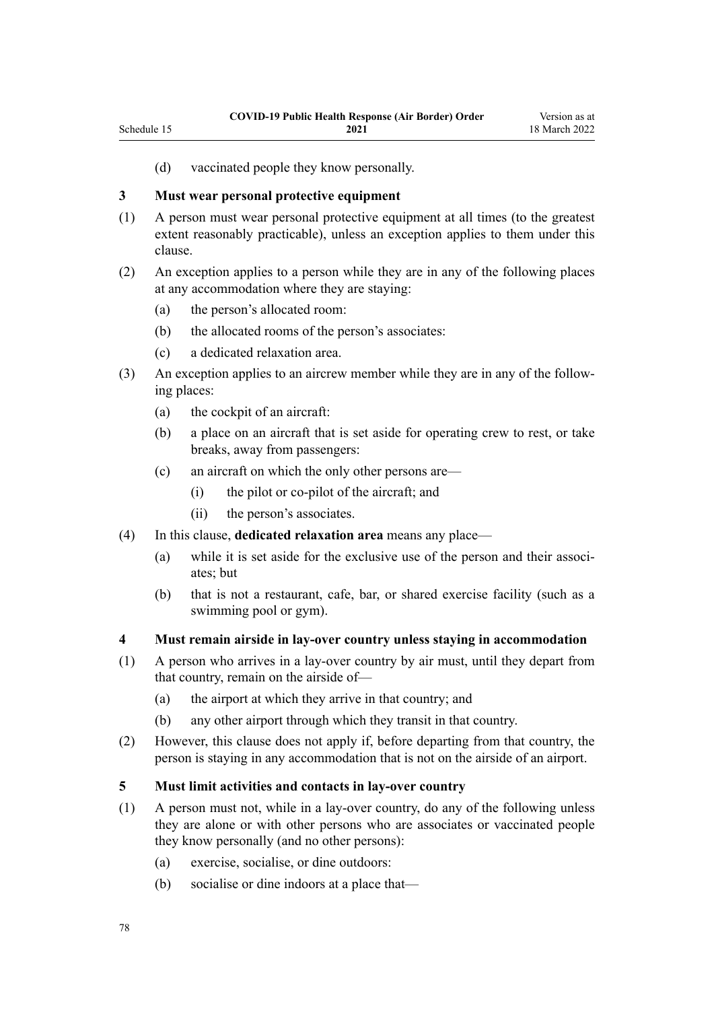(d) vaccinated people they know personally.

# **3 Must wear personal protective equipment**

<span id="page-77-0"></span>Schedule 15

- (1) A person must wear personal protective equipment at all times (to the greatest extent reasonably practicable), unless an exception applies to them under this clause.
- (2) An exception applies to a person while they are in any of the following places at any accommodation where they are staying:
	- (a) the person's allocated room:
	- (b) the allocated rooms of the person's associates:
	- (c) a dedicated relaxation area.
- (3) An exception applies to an aircrew member while they are in any of the follow‐ ing places:
	- (a) the cockpit of an aircraft:
	- (b) a place on an aircraft that is set aside for operating crew to rest, or take breaks, away from passengers:
	- (c) an aircraft on which the only other persons are—
		- (i) the pilot or co-pilot of the aircraft; and
		- (ii) the person's associates.
- (4) In this clause, **dedicated relaxation area** means any place—
	- (a) while it is set aside for the exclusive use of the person and their associates; but
	- (b) that is not a restaurant, cafe, bar, or shared exercise facility (such as a swimming pool or gym).

## **4 Must remain airside in lay-over country unless staying in accommodation**

- (1) A person who arrives in a lay-over country by air must, until they depart from that country, remain on the airside of—
	- (a) the airport at which they arrive in that country; and
	- (b) any other airport through which they transit in that country.
- (2) However, this clause does not apply if, before departing from that country, the person is staying in any accommodation that is not on the airside of an airport.

## **5 Must limit activities and contacts in lay-over country**

- (1) A person must not, while in a lay-over country, do any of the following unless they are alone or with other persons who are associates or vaccinated people they know personally (and no other persons):
	- (a) exercise, socialise, or dine outdoors:
	- (b) socialise or dine indoors at a place that—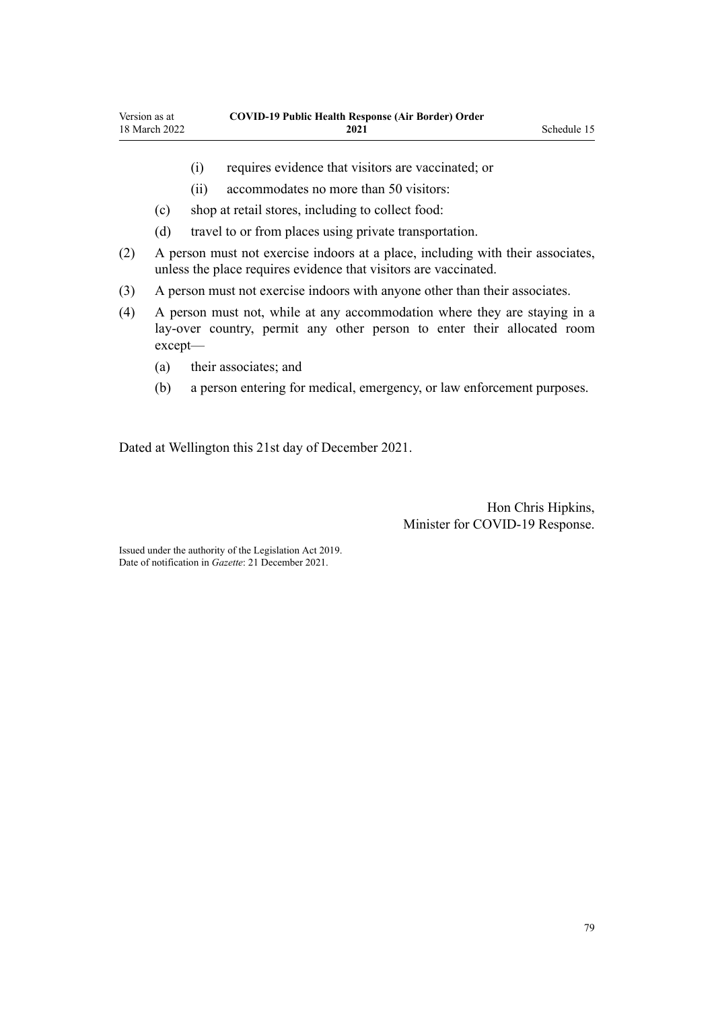- (i) requires evidence that visitors are vaccinated; or
- (ii) accommodates no more than 50 visitors:
- (c) shop at retail stores, including to collect food:
- (d) travel to or from places using private transportation.
- (2) A person must not exercise indoors at a place, including with their associates, unless the place requires evidence that visitors are vaccinated.
- (3) A person must not exercise indoors with anyone other than their associates.
- (4) A person must not, while at any accommodation where they are staying in a lay-over country, permit any other person to enter their allocated room except—
	- (a) their associates; and
	- (b) a person entering for medical, emergency, or law enforcement purposes.

Dated at Wellington this 21st day of December 2021.

Hon Chris Hipkins, Minister for COVID-19 Response.

Issued under the authority of the [Legislation Act 2019](http://legislation.govt.nz/pdflink.aspx?id=DLM7298104). Date of notification in *Gazette*: 21 December 2021.